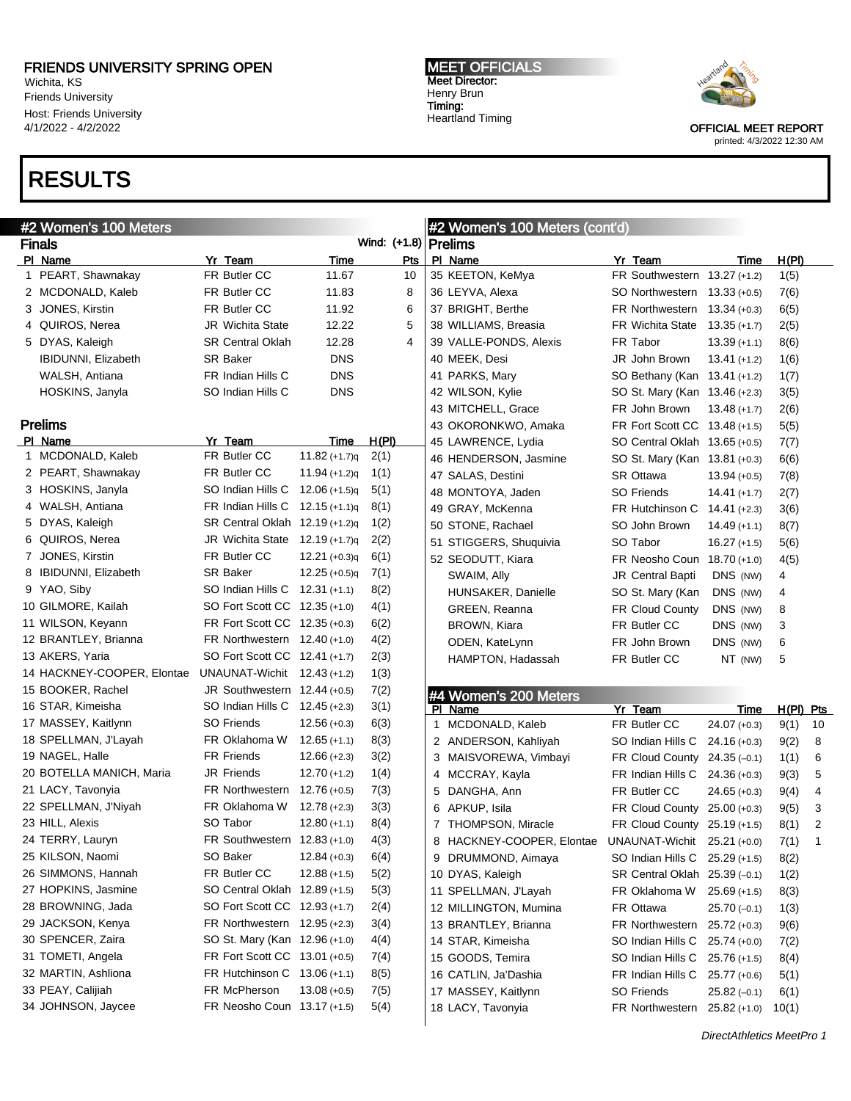Wichita, KS Friends University Host: Friends University 4/1/2022 - 4/2/2022

# RESULTS

#### MEET OFFICIALS Meet Director: Henry Brun Timing: Heartland Timing



| #2 Women's 100 Meters      |                                |                 |                        | #2 Women's 100 Meters (cont'd) |                                                       |                                 |                |             |                |  |
|----------------------------|--------------------------------|-----------------|------------------------|--------------------------------|-------------------------------------------------------|---------------------------------|----------------|-------------|----------------|--|
| <b>Finals</b>              |                                |                 | Wind: (+1.8)   Prelims |                                |                                                       |                                 |                |             |                |  |
| PI Name                    | Yr_Team                        | <u>Time</u>     | Pts                    |                                | PI Name                                               | Yr Team                         | Time           | H(PI)       |                |  |
| 1 PEART, Shawnakay         | FR Butler CC                   | 11.67           | 10                     |                                | 35 KEETON, KeMya                                      | FR Southwestern 13.27 (+1.2)    |                | 1(5)        |                |  |
| 2 MCDONALD, Kaleb          | FR Butler CC                   | 11.83           | 8                      |                                | 36 LEYVA, Alexa                                       | SO Northwestern 13.33 (+0.5)    |                | 7(6)        |                |  |
| 3 JONES, Kirstin           | FR Butler CC                   | 11.92           | 6                      |                                | 37 BRIGHT, Berthe                                     | FR Northwestern $13.34 (+0.3)$  |                | 6(5)        |                |  |
| 4 QUIROS, Nerea            | <b>JR Wichita State</b>        | 12.22           | 5                      |                                | 38 WILLIAMS, Breasia                                  | FR Wichita State $13.35 (+1.7)$ |                | 2(5)        |                |  |
| 5 DYAS, Kaleigh            | <b>SR Central Oklah</b>        | 12.28           | 4                      |                                | 39 VALLE-PONDS, Alexis                                | FR Tabor                        | $13.39 (+1.1)$ | 8(6)        |                |  |
| <b>IBIDUNNI, Elizabeth</b> | SR Baker                       | <b>DNS</b>      |                        |                                | 40 MEEK, Desi                                         | JR John Brown                   | $13.41 (+1.2)$ | 1(6)        |                |  |
| WALSH, Antiana             | FR Indian Hills C              | <b>DNS</b>      |                        |                                | 41 PARKS, Mary                                        | SO Bethany (Kan 13.41 (+1.2)    |                | 1(7)        |                |  |
| HOSKINS, Janyla            | SO Indian Hills C              | <b>DNS</b>      |                        |                                | 42 WILSON, Kylie                                      | SO St. Mary (Kan 13.46 (+2.3)   |                | 3(5)        |                |  |
|                            |                                |                 |                        |                                | 43 MITCHELL, Grace                                    | FR John Brown                   | $13.48 (+1.7)$ | 2(6)        |                |  |
| <b>Prelims</b>             |                                |                 |                        |                                | 43 OKORONKWO, Amaka                                   | FR Fort Scott CC 13.48 (+1.5)   |                | 5(5)        |                |  |
| PI Name                    | Yr Team                        | Time            | H(PI)                  |                                | 45 LAWRENCE, Lydia                                    | SO Central Oklah 13.65 (+0.5)   |                | 7(7)        |                |  |
| 1 MCDONALD, Kaleb          | FR Butler CC                   | $11.82 (+1.7)q$ | 2(1)                   |                                | 46 HENDERSON, Jasmine                                 | SO St. Mary (Kan 13.81 (+0.3)   |                | 6(6)        |                |  |
| 2 PEART, Shawnakay         | FR Butler CC                   | $11.94 (+1.2)q$ | 1(1)                   |                                | 47 SALAS, Destini                                     | SR Ottawa                       | $13.94 (+0.5)$ | 7(8)        |                |  |
| 3 HOSKINS, Janyla          | SO Indian Hills C              | $12.06 (+1.5)q$ | 5(1)                   |                                | 48 MONTOYA, Jaden                                     | <b>SO Friends</b>               | $14.41 (+1.7)$ | 2(7)        |                |  |
| 4 WALSH, Antiana           | FR Indian Hills C              | $12.15 (+1.1)q$ | 8(1)                   |                                | 49 GRAY, McKenna                                      | FR Hutchinson C 14.41 (+2.3)    |                | 3(6)        |                |  |
| 5 DYAS, Kaleigh            | SR Central Oklah 12.19 (+1.2)q |                 | 1(2)                   |                                | 50 STONE, Rachael                                     | SO John Brown                   | $14.49 (+1.1)$ | 8(7)        |                |  |
| 6 QUIROS, Nerea            | JR Wichita State               | $12.19 (+1.7)q$ | 2(2)                   |                                | 51 STIGGERS, Shuquivia                                | SO Tabor                        | $16.27 (+1.5)$ | 5(6)        |                |  |
| 7 JONES, Kirstin           | FR Butler CC                   | $12.21 (+0.3)q$ | 6(1)                   |                                | 52 SEODUTT, Kiara                                     | FR Neosho Coun 18.70 (+1.0)     |                | 4(5)        |                |  |
| 8 IBIDUNNI, Elizabeth      | <b>SR Baker</b>                | $12.25 (+0.5)q$ | 7(1)                   |                                | SWAIM, Ally                                           | JR Central Bapti                | DNS (NW)       | 4           |                |  |
| 9 YAO, Siby                | SO Indian Hills C              | $12.31 (+1.1)$  | 8(2)                   |                                | HUNSAKER, Danielle                                    | SO St. Mary (Kan                | DNS (NW)       | 4           |                |  |
| 10 GILMORE, Kailah         | SO Fort Scott CC 12.35 (+1.0)  |                 | 4(1)                   |                                | GREEN, Reanna                                         | <b>FR Cloud County</b>          | DNS (NW)       | 8           |                |  |
| 11 WILSON, Keyann          | FR Fort Scott CC 12.35 (+0.3)  |                 | 6(2)                   |                                | BROWN, Kiara                                          | FR Butler CC                    | DNS (NW)       | 3           |                |  |
| 12 BRANTLEY, Brianna       | FR Northwestern $12.40$ (+1.0) |                 | 4(2)                   |                                | ODEN, KateLynn                                        | FR John Brown                   | DNS (NW)       | 6           |                |  |
| 13 AKERS, Yaria            | SO Fort Scott CC 12.41 (+1.7)  |                 | 2(3)                   |                                | HAMPTON, Hadassah                                     | FR Butler CC                    | NT (NW)        | 5           |                |  |
| 14 HACKNEY-COOPER, Elontae | UNAUNAT-Wichit                 | 12.43 (+1.2)    | 1(3)                   |                                |                                                       |                                 |                |             |                |  |
| 15 BOOKER, Rachel          | JR Southwestern 12.44 (+0.5)   |                 | 7(2)                   |                                | #4 Women's 200 Meters                                 |                                 |                |             |                |  |
| 16 STAR, Kimeisha          | SO Indian Hills C              | 12.45 (+2.3)    | 3(1)                   |                                | PI Name                                               | Yr Team                         | Time           | $H(PI)$ Pts |                |  |
| 17 MASSEY, Kaitlynn        | <b>SO Friends</b>              | $12.56 (+0.3)$  | 6(3)                   | 1                              | MCDONALD, Kaleb                                       | FR Butler CC                    | $24.07 (+0.3)$ | 9(1)        | 10             |  |
| 18 SPELLMAN, J'Layah       | FR Oklahoma W                  | $12.65 (+1.1)$  | 8(3)                   |                                | 2 ANDERSON, Kahliyah                                  | SO Indian Hills C               | $24.16 (+0.3)$ | 9(2)        | 8              |  |
| 19 NAGEL, Halle            | <b>FR Friends</b>              | $12.66 (+2.3)$  | 3(2)                   |                                | 3 MAISVOREWA, Vimbayi                                 | FR Cloud County 24.35 (-0.1)    |                | 1(1)        | 6              |  |
| 20 BOTELLA MANICH, Maria   | JR Friends                     | $12.70 (+1.2)$  | 1(4)                   |                                | 4 MCCRAY, Kayla                                       | FR Indian Hills C 24.36 (+0.3)  |                | 9(3)        | 5              |  |
| 21 LACY, Tavonyia          | FR Northwestern                | $12.76 (+0.5)$  | 7(3)                   |                                | 5 DANGHA, Ann                                         | FR Butler CC                    | $24.65 (+0.3)$ | 9(4)        | 4              |  |
| 22 SPELLMAN, J'Niyah       | FR Oklahoma W                  | $12.78 (+2.3)$  | 3(3)                   |                                | 6 APKUP, Isila                                        | FR Cloud County 25.00 (+0.3)    |                | 9(5)        | 3              |  |
| 23 HILL, Alexis            | SO Tabor                       | $12.80 (+1.1)$  | 8(4)                   |                                | 7 THOMPSON, Miracle                                   | FR Cloud County 25.19 (+1.5)    |                | 8(1)        | 2              |  |
| 24 TERRY, Lauryn           | FR Southwestern 12.83 (+1.0)   |                 | 4(3)                   |                                | 8 HACKNEY-COOPER, Elontae UNAUNAT-Wichit 25.21 (+0.0) |                                 |                | 7(1)        | $\overline{1}$ |  |
| 25 KILSON, Naomi           | SO Baker                       | $12.84 (+0.3)$  | 6(4)                   |                                | 9 DRUMMOND, Aimaya                                    | SO Indian Hills C 25.29 (+1.5)  |                | 8(2)        |                |  |
| 26 SIMMONS, Hannah         | FR Butler CC                   | $12.88 (+1.5)$  | 5(2)                   |                                | 10 DYAS, Kaleigh                                      | SR Central Oklah 25.39 (-0.1)   |                | 1(2)        |                |  |
| 27 HOPKINS, Jasmine        | SO Central Oklah 12.89 (+1.5)  |                 | 5(3)                   |                                | 11 SPELLMAN, J'Layah                                  | FR Oklahoma W                   | $25.69 (+1.5)$ | 8(3)        |                |  |
| 28 BROWNING, Jada          | SO Fort Scott CC 12.93 (+1.7)  |                 | 2(4)                   |                                | 12 MILLINGTON, Mumina                                 | FR Ottawa                       | $25.70(-0.1)$  | 1(3)        |                |  |
| 29 JACKSON, Kenya          | FR Northwestern $12.95$ (+2.3) |                 | 3(4)                   |                                | 13 BRANTLEY, Brianna                                  | FR Northwestern 25.72 (+0.3)    |                | 9(6)        |                |  |
| 30 SPENCER, Zaira          | SO St. Mary (Kan 12.96 (+1.0)  |                 | 4(4)                   |                                | 14 STAR, Kimeisha                                     | SO Indian Hills C               | $25.74 (+0.0)$ | 7(2)        |                |  |
| 31 TOMETI, Angela          | FR Fort Scott CC 13.01 (+0.5)  |                 | 7(4)                   |                                | 15 GOODS, Temira                                      | SO Indian Hills C               | $25.76 (+1.5)$ | 8(4)        |                |  |
| 32 MARTIN, Ashliona        | FR Hutchinson C 13.06 (+1.1)   |                 | 8(5)                   |                                | 16 CATLIN, Ja'Dashia                                  | FR Indian Hills C               | $25.77 (+0.6)$ | 5(1)        |                |  |
| 33 PEAY, Calijiah          | FR McPherson                   | $13.08 (+0.5)$  | 7(5)                   |                                | 17 MASSEY, Kaitlynn                                   | SO Friends                      | $25.82(-0.1)$  | 6(1)        |                |  |
| 34 JOHNSON, Jaycee         | FR Neosho Coun 13.17 (+1.5)    |                 | 5(4)                   |                                | 18 LACY, Tavonyia                                     | FR Northwestern 25.82 (+1.0)    |                | 10(1)       |                |  |
|                            |                                |                 |                        |                                |                                                       |                                 |                |             |                |  |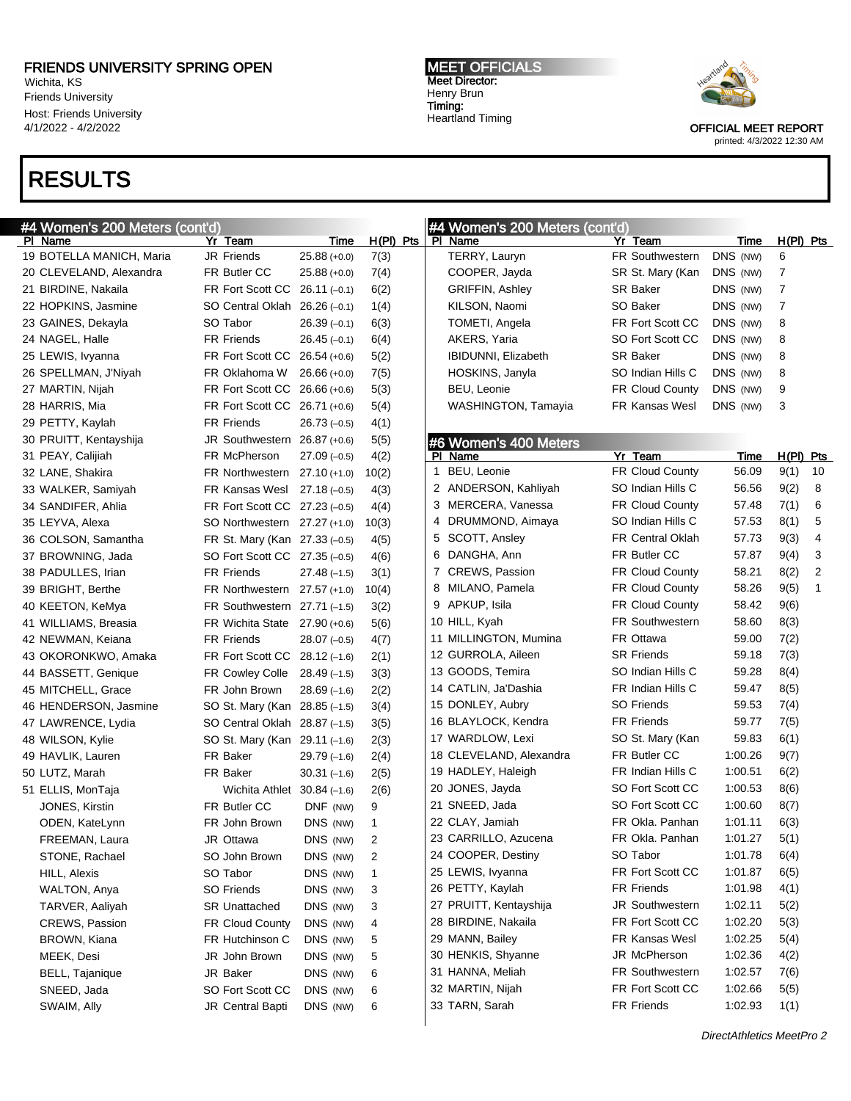Wichita, KS Friends University Host: Friends University 4/1/2022 - 4/2/2022

# RESULTS

MEET OFFICIALS Meet Director: Henry Brun Timing: Heartland Timing



| #4 Women's 200 Meters (cont'd) |                               |                |                | #4 Women's 200 Meters (cont'd) |                         |          |         |             |                |
|--------------------------------|-------------------------------|----------------|----------------|--------------------------------|-------------------------|----------|---------|-------------|----------------|
| PI Name                        | Yr Team                       | Time           | $H(PI)$ Pts    | PI Name                        | Yr Team                 |          | Time    | $H(PI)$ Pts |                |
| 19 BOTELLA MANICH, Maria       | <b>JR Friends</b>             | $25.88(+0.0)$  | 7(3)           | TERRY, Lauryn                  | FR Southwestern         | DNS (NW) |         | 6           |                |
| 20 CLEVELAND, Alexandra        | FR Butler CC                  | $25.88 (+0.0)$ | 7(4)           | COOPER, Jayda                  | SR St. Mary (Kan        | DNS (NW) |         | 7           |                |
| 21 BIRDINE, Nakaila            | FR Fort Scott CC 26.11 (-0.1) |                | 6(2)           | <b>GRIFFIN, Ashley</b>         | <b>SR Baker</b>         | DNS (NW) |         | 7           |                |
| 22 HOPKINS, Jasmine            | SO Central Oklah 26.26 (-0.1) |                | 1(4)           | KILSON, Naomi                  | SO Baker                | DNS (NW) |         | 7           |                |
| 23 GAINES, Dekayla             | SO Tabor                      | $26.39(-0.1)$  | 6(3)           | TOMETI, Angela                 | FR Fort Scott CC        | DNS (NW) |         | 8           |                |
| 24 NAGEL, Halle                | <b>FR Friends</b>             | $26.45(-0.1)$  | 6(4)           | AKERS, Yaria                   | SO Fort Scott CC        | DNS (NW) |         | 8           |                |
| 25 LEWIS, Ivyanna              | FR Fort Scott CC 26.54 (+0.6) |                | 5(2)           | <b>IBIDUNNI, Elizabeth</b>     | <b>SR Baker</b>         | DNS (NW) |         | 8           |                |
| 26 SPELLMAN, J'Niyah           | FR Oklahoma W                 | $26.66 (+0.0)$ | 7(5)           | HOSKINS, Janyla                | SO Indian Hills C       | DNS (NW) |         | 8           |                |
| 27 MARTIN, Nijah               | FR Fort Scott CC 26.66 (+0.6) |                | 5(3)           | BEU, Leonie                    | FR Cloud County         | DNS (NW) |         | 9           |                |
| 28 HARRIS, Mia                 | FR Fort Scott CC 26.71 (+0.6) |                | 5(4)           | WASHINGTON, Tamayia            | <b>FR Kansas Wesl</b>   | DNS (NW) |         | 3           |                |
| 29 PETTY, Kaylah               | <b>FR Friends</b>             | $26.73(-0.5)$  | 4(1)           |                                |                         |          |         |             |                |
| 30 PRUITT, Kentayshija         | JR Southwestern 26.87 (+0.6)  |                | 5(5)           | #6 Women's 400 Meters          |                         |          |         |             |                |
| 31 PEAY, Calijiah              | FR McPherson                  | $27.09(-0.5)$  | 4(2)           | PI Name                        | Yr Team                 |          | Time    | $H(PI)$ Pts |                |
| 32 LANE, Shakira               | FR Northwestern               | $27.10 (+1.0)$ | 10(2)          | 1 BEU, Leonie                  | FR Cloud County         |          | 56.09   | 9(1)        | 10             |
| 33 WALKER, Samiyah             | FR Kansas Wesl                | $27.18(-0.5)$  | 4(3)           | 2 ANDERSON, Kahliyah           | SO Indian Hills C       |          | 56.56   | 9(2)        | 8              |
| 34 SANDIFER, Ahlia             | FR Fort Scott CC 27.23 (-0.5) |                | 4(4)           | 3 MERCERA, Vanessa             | <b>FR Cloud County</b>  |          | 57.48   | 7(1)        | 6              |
| 35 LEYVA, Alexa                | SO Northwestern 27.27 (+1.0)  |                | 10(3)          | 4 DRUMMOND, Aimaya             | SO Indian Hills C       |          | 57.53   | 8(1)        | 5              |
| 36 COLSON, Samantha            | FR St. Mary (Kan 27.33 (-0.5) |                | 4(5)           | 5 SCOTT, Ansley                | <b>FR Central Oklah</b> |          | 57.73   | 9(3)        | $\overline{4}$ |
| 37 BROWNING, Jada              | SO Fort Scott CC 27.35 (-0.5) |                | 4(6)           | 6 DANGHA, Ann                  | FR Butler CC            |          | 57.87   | 9(4)        | 3              |
| 38 PADULLES, Irian             | <b>FR Friends</b>             | $27.48(-1.5)$  | 3(1)           | 7 CREWS, Passion               | <b>FR Cloud County</b>  |          | 58.21   | 8(2)        | 2              |
| 39 BRIGHT, Berthe              | FR Northwestern 27.57 (+1.0)  |                | 10(4)          | 8 MILANO, Pamela               | <b>FR Cloud County</b>  |          | 58.26   | 9(5)        | 1              |
| 40 KEETON, KeMya               | FR Southwestern $27.71(-1.5)$ |                | 3(2)           | 9 APKUP, Isila                 | <b>FR Cloud County</b>  |          | 58.42   | 9(6)        |                |
| 41 WILLIAMS, Breasia           | FR Wichita State              | $27.90 (+0.6)$ | 5(6)           | 10 HILL, Kyah                  | <b>FR Southwestern</b>  |          | 58.60   | 8(3)        |                |
| 42 NEWMAN, Keiana              | <b>FR Friends</b>             | $28.07(-0.5)$  | 4(7)           | 11 MILLINGTON, Mumina          | FR Ottawa               |          | 59.00   | 7(2)        |                |
| 43 OKORONKWO, Amaka            | FR Fort Scott CC 28.12 (-1.6) |                | 2(1)           | 12 GURROLA, Aileen             | <b>SR Friends</b>       |          | 59.18   | 7(3)        |                |
| 44 BASSETT, Genique            | <b>FR Cowley Colle</b>        | $28.49(-1.5)$  | 3(3)           | 13 GOODS, Temira               | SO Indian Hills C       |          | 59.28   | 8(4)        |                |
| 45 MITCHELL, Grace             | FR John Brown                 | $28.69(-1.6)$  | 2(2)           | 14 CATLIN, Ja'Dashia           | FR Indian Hills C       |          | 59.47   | 8(5)        |                |
| 46 HENDERSON, Jasmine          | SO St. Mary (Kan 28.85 (-1.5) |                | 3(4)           | 15 DONLEY, Aubry               | <b>SO Friends</b>       |          | 59.53   | 7(4)        |                |
| 47 LAWRENCE, Lydia             | SO Central Oklah 28.87 (-1.5) |                | 3(5)           | 16 BLAYLOCK, Kendra            | <b>FR Friends</b>       |          | 59.77   | 7(5)        |                |
| 48 WILSON, Kylie               | SO St. Mary (Kan 29.11 (-1.6) |                | 2(3)           | 17 WARDLOW, Lexi               | SO St. Mary (Kan        |          | 59.83   | 6(1)        |                |
| 49 HAVLIK, Lauren              | FR Baker                      | $29.79(-1.6)$  | 2(4)           | 18 CLEVELAND, Alexandra        | FR Butler CC            |          | 1:00.26 | 9(7)        |                |
| 50 LUTZ, Marah                 | FR Baker                      | $30.31(-1.6)$  | 2(5)           | 19 HADLEY, Haleigh             | FR Indian Hills C       |          | 1:00.51 | 6(2)        |                |
| 51 ELLIS, MonTaja              | Wichita Athlet $30.84(-1.6)$  |                | 2(6)           | 20 JONES, Jayda                | SO Fort Scott CC        |          | 1:00.53 | 8(6)        |                |
| JONES, Kirstin                 | FR Butler CC                  | DNF (NW)       | 9              | 21 SNEED, Jada                 | SO Fort Scott CC        |          | 1:00.60 | 8(7)        |                |
| ODEN, KateLynn                 | FR John Brown                 | DNS (NW)       | 1              | 22 CLAY, Jamiah                | FR Okla, Panhan         |          | 1:01.11 | 6(3)        |                |
| FREEMAN, Laura                 | JR Ottawa                     | DNS (NW)       | $\overline{c}$ | 23 CARRILLO, Azucena           | FR Okla. Panhan         |          | 1:01.27 | 5(1)        |                |
| STONE, Rachael                 | SO John Brown                 | DNS (NW)       | 2              | 24 COOPER, Destiny             | SO Tabor                |          | 1:01.78 | 6(4)        |                |
| HILL, Alexis                   | SO Tabor                      | DNS (NW)       | 1              | 25 LEWIS, Ivyanna              | FR Fort Scott CC        |          | 1:01.87 | 6(5)        |                |
| WALTON, Anya                   | <b>SO Friends</b>             | DNS (NW)       | 3              | 26 PETTY, Kaylah               | <b>FR Friends</b>       |          | 1:01.98 | 4(1)        |                |
| TARVER, Aaliyah                | <b>SR Unattached</b>          | DNS (NW)       | 3              | 27 PRUITT, Kentayshija         | JR Southwestern         |          | 1:02.11 | 5(2)        |                |
| CREWS, Passion                 | FR Cloud County               | DNS (NW)       | 4              | 28 BIRDINE, Nakaila            | FR Fort Scott CC        |          | 1:02.20 | 5(3)        |                |
| BROWN, Kiana                   | FR Hutchinson C               | DNS (NW)       | 5              | 29 MANN, Bailey                | FR Kansas Wesl          |          | 1:02.25 | 5(4)        |                |
| MEEK, Desi                     | JR John Brown                 | DNS (NW)       | 5              | 30 HENKIS, Shyanne             | JR McPherson            |          | 1:02.36 | 4(2)        |                |
| BELL, Tajanique                | JR Baker                      | DNS (NW)       | 6              | 31 HANNA, Meliah               | FR Southwestern         |          | 1:02.57 | 7(6)        |                |
| SNEED, Jada                    | SO Fort Scott CC              | DNS (NW)       | 6              | 32 MARTIN, Nijah               | FR Fort Scott CC        |          | 1:02.66 | 5(5)        |                |
| SWAIM, Ally                    | JR Central Bapti              | DNS (NW)       | 6              | 33 TARN, Sarah                 | FR Friends              |          | 1:02.93 | 1(1)        |                |
|                                |                               |                |                |                                |                         |          |         |             |                |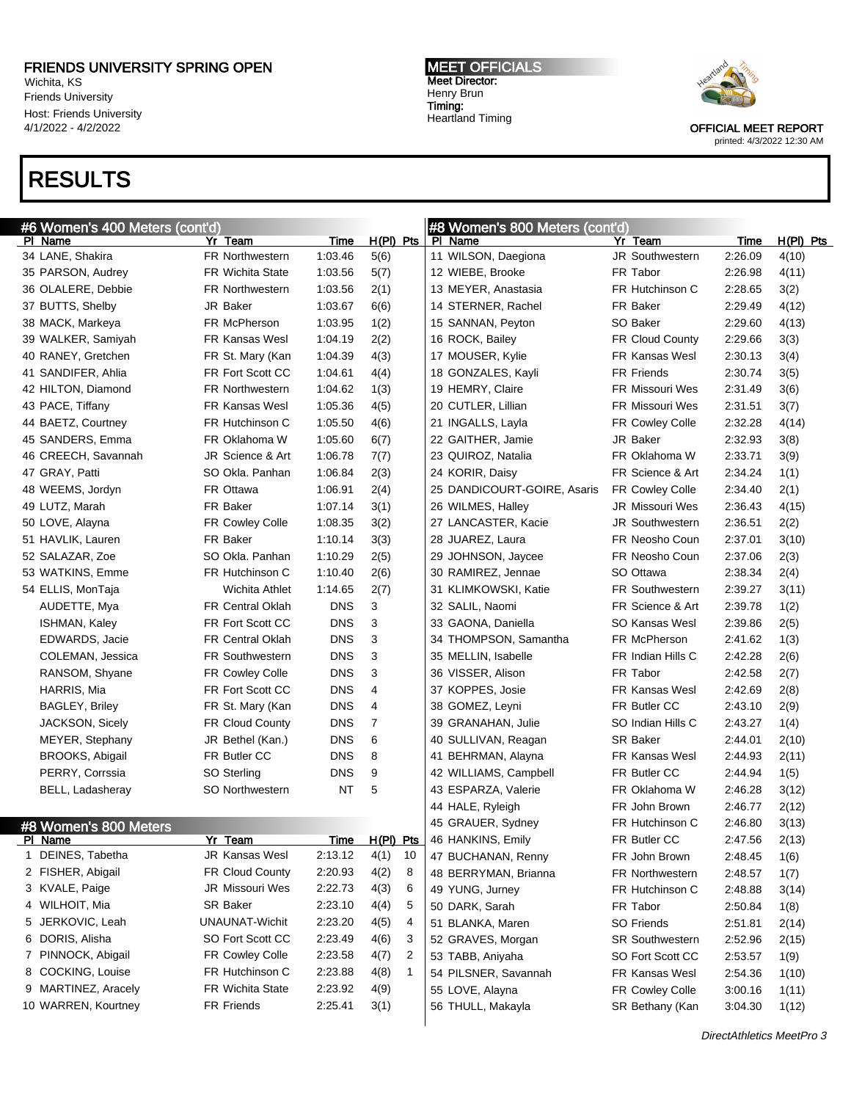Wichita, KS Friends University Host: Friends University 4/1/2022 - 4/2/2022

### RESULTS

MEET OFFICIALS Meet Director: Henry Brun Timing: Heartland Timing



|   | #6 Women's 400 Meters <u> (cont'd)</u> |                         |            |                      | #8 Women's 800 Meters (cont'd) |                        |                           |             |
|---|----------------------------------------|-------------------------|------------|----------------------|--------------------------------|------------------------|---------------------------|-------------|
|   | PI Name                                | Yr Team                 | Time       | H(PI) Pts            | PI Name                        | Yr Team                | <b>Time</b>               | $H(PI)$ Pts |
|   | 34 LANE, Shakira                       | FR Northwestern         | 1:03.46    | 5(6)                 | 11 WILSON, Daegiona            | JR Southwestern        | 2:26.09                   | 4(10)       |
|   | 35 PARSON, Audrey                      | <b>FR Wichita State</b> | 1:03.56    | 5(7)                 | 12 WIEBE, Brooke               | FR Tabor               | 2:26.98                   | 4(11)       |
|   | 36 OLALERE, Debbie                     | <b>FR Northwestern</b>  | 1:03.56    | 2(1)                 | 13 MEYER, Anastasia            | FR Hutchinson C        | 2:28.65                   | 3(2)        |
|   | 37 BUTTS, Shelby                       | JR Baker                | 1:03.67    | 6(6)                 | 14 STERNER, Rachel             | FR Baker               | 2:29.49                   | 4(12)       |
|   | 38 MACK, Markeya                       | FR McPherson            | 1:03.95    | 1(2)                 | 15 SANNAN, Peyton              | SO Baker               | 2:29.60                   | 4(13)       |
|   | 39 WALKER, Samiyah                     | <b>FR Kansas Wesl</b>   | 1:04.19    | 2(2)                 | 16 ROCK, Bailey                | <b>FR Cloud County</b> | 2:29.66                   | 3(3)        |
|   | 40 RANEY, Gretchen                     | FR St. Mary (Kan        | 1:04.39    | 4(3)                 | 17 MOUSER, Kylie               | <b>FR Kansas Wesl</b>  | 2:30.13                   | 3(4)        |
|   | 41 SANDIFER, Ahlia                     | FR Fort Scott CC        | 1:04.61    | 4(4)                 | 18 GONZALES, Kayli             | <b>FR Friends</b>      | 2:30.74                   | 3(5)        |
|   | 42 HILTON, Diamond                     | <b>FR Northwestern</b>  | 1:04.62    | 1(3)                 | 19 HEMRY, Claire               | <b>FR Missouri Wes</b> | 2:31.49                   | 3(6)        |
|   | 43 PACE, Tiffany                       | <b>FR Kansas Wesl</b>   | 1:05.36    | 4(5)                 | 20 CUTLER, Lillian             | <b>FR Missouri Wes</b> | 2:31.51                   | 3(7)        |
|   | 44 BAETZ, Courtney                     | FR Hutchinson C         | 1:05.50    | 4(6)                 | 21 INGALLS, Layla              | FR Cowley Colle        | 2:32.28                   | 4(14)       |
|   | 45 SANDERS, Emma                       | FR Oklahoma W           | 1:05.60    | 6(7)                 | 22 GAITHER, Jamie              | JR Baker               | 2:32.93                   | 3(8)        |
|   | 46 CREECH, Savannah                    | JR Science & Art        | 1:06.78    | 7(7)                 | 23 QUIROZ, Natalia             | FR Oklahoma W          | 2:33.71                   | 3(9)        |
|   | 47 GRAY, Patti                         | SO Okla. Panhan         | 1:06.84    | 2(3)                 | 24 KORIR, Daisy                | FR Science & Art       | 2:34.24                   | 1(1)        |
|   | 48 WEEMS, Jordyn                       | FR Ottawa               | 1:06.91    | 2(4)                 | 25 DANDICOURT-GOIRE, Asaris    | FR Cowley Colle        | 2:34.40                   | 2(1)        |
|   | 49 LUTZ, Marah                         | FR Baker                | 1:07.14    | 3(1)                 | 26 WILMES, Halley              | <b>JR Missouri Wes</b> | 2:36.43                   | 4(15)       |
|   | 50 LOVE, Alayna                        | FR Cowley Colle         | 1:08.35    | 3(2)                 | 27 LANCASTER, Kacie            | <b>JR Southwestern</b> | 2:36.51                   | 2(2)        |
|   | 51 HAVLIK, Lauren                      | FR Baker                | 1:10.14    | 3(3)                 | 28 JUAREZ, Laura               | FR Neosho Coun         | 2:37.01                   | 3(10)       |
|   | 52 SALAZAR, Zoe                        | SO Okla. Panhan         | 1:10.29    | 2(5)                 | 29 JOHNSON, Jaycee             | FR Neosho Coun         | 2:37.06                   | 2(3)        |
|   | 53 WATKINS, Emme                       | FR Hutchinson C         | 1:10.40    | 2(6)                 | 30 RAMIREZ, Jennae             | SO Ottawa              | 2:38.34                   | 2(4)        |
|   | 54 ELLIS, MonTaja                      | Wichita Athlet          | 1:14.65    | 2(7)                 | 31 KLIMKOWSKI, Katie           | <b>FR Southwestern</b> | 2:39.27                   | 3(11)       |
|   | AUDETTE, Mya                           | <b>FR Central Oklah</b> | <b>DNS</b> | 3                    | 32 SALIL, Naomi                | FR Science & Art       | 2:39.78                   | 1(2)        |
|   | ISHMAN, Kaley                          | FR Fort Scott CC        | <b>DNS</b> | 3                    | 33 GAONA, Daniella             | SO Kansas Wesl         | 2:39.86                   | 2(5)        |
|   | EDWARDS, Jacie                         | <b>FR Central Oklah</b> | <b>DNS</b> | 3                    | 34 THOMPSON, Samantha          | FR McPherson           | 2:41.62                   | 1(3)        |
|   | COLEMAN, Jessica                       | <b>FR Southwestern</b>  | <b>DNS</b> | 3                    | 35 MELLIN, Isabelle            | FR Indian Hills C      | 2:42.28                   | 2(6)        |
|   | RANSOM, Shyane                         | FR Cowley Colle         | <b>DNS</b> | 3                    | 36 VISSER, Alison              | FR Tabor               | 2:42.58                   | 2(7)        |
|   | HARRIS, Mia                            | FR Fort Scott CC        | <b>DNS</b> | 4                    | 37 KOPPES, Josie               | <b>FR Kansas Wesl</b>  | 2:42.69                   | 2(8)        |
|   | <b>BAGLEY, Briley</b>                  | FR St. Mary (Kan        | <b>DNS</b> | 4                    | 38 GOMEZ, Leyni                | FR Butler CC           | 2:43.10                   | 2(9)        |
|   | JACKSON, Sicely                        | <b>FR Cloud County</b>  | <b>DNS</b> | 7                    | 39 GRANAHAN, Julie             | SO Indian Hills C      | 2:43.27                   | 1(4)        |
|   | MEYER, Stephany                        | JR Bethel (Kan.)        | <b>DNS</b> | 6                    | 40 SULLIVAN, Reagan            | <b>SR Baker</b>        | 2:44.01                   | 2(10)       |
|   | <b>BROOKS, Abigail</b>                 | FR Butler CC            | <b>DNS</b> | 8                    | 41 BEHRMAN, Alayna             | <b>FR Kansas Wesl</b>  | 2:44.93                   | 2(11)       |
|   | PERRY, Corrssia                        | SO Sterling             | <b>DNS</b> | 9                    | 42 WILLIAMS, Campbell          | FR Butler CC           | 2:44.94                   | 1(5)        |
|   | BELL, Ladasheray                       | <b>SO Northwestern</b>  | NT         | 5                    | 43 ESPARZA, Valerie            | FR Oklahoma W          | 2:46.28                   | 3(12)       |
|   |                                        |                         |            |                      | 44 HALE, Ryleigh               | FR John Brown          | 2:46.77                   | 2(12)       |
|   | #8 Women's 800 Meters                  |                         |            |                      | 45 GRAUER, Sydney              | FR Hutchinson C        | 2:46.80                   | 3(13)       |
|   | PI Name                                | Yr Team                 | Time       | H(PI) Pts            | 46 HANKINS, Emily              | FR Butler CC           | 2:47.56                   | 2(13)       |
| 1 | DEINES, Tabetha                        | JR Kansas Wesl          | 2:13.12    | 4(1)<br>10           | 47 BUCHANAN, Renny             | FR John Brown          | 2:48.45                   | 1(6)        |
|   | 2 FISHER, Abigail                      | FR Cloud County         | 2:20.93    | 4(2)<br>8            | 48 BERRYMAN, Brianna           | <b>FR Northwestern</b> | 2:48.57                   | 1(7)        |
|   | 3 KVALE, Paige                         | JR Missouri Wes         | 2:22.73    | 4(3)<br>6            | 49 YUNG, Jurney                | FR Hutchinson C        | 2:48.88                   | 3(14)       |
|   | 4 WILHOIT, Mia                         | <b>SR Baker</b>         | 2:23.10    | 4(4)<br>5            | 50 DARK, Sarah                 | FR Tabor               | 2:50.84                   | 1(8)        |
|   | 5 JERKOVIC, Leah                       | <b>UNAUNAT-Wichit</b>   | 2:23.20    | 4(5)<br>4            | 51 BLANKA, Maren               | SO Friends             | 2:51.81                   | 2(14)       |
|   | 6 DORIS, Alisha                        | SO Fort Scott CC        | 2:23.49    | 4(6)<br>3            | 52 GRAVES, Morgan              | SR Southwestern        | 2:52.96                   | 2(15)       |
|   | 7 PINNOCK, Abigail                     | FR Cowley Colle         | 2:23.58    | 4(7)<br>2            | 53 TABB, Aniyaha               | SO Fort Scott CC       | 2:53.57                   | 1(9)        |
|   | 8 COCKING, Louise                      | FR Hutchinson C         | 2:23.88    | 4(8)<br>$\mathbf{1}$ | 54 PILSNER, Savannah           | FR Kansas Wesl         | 2:54.36                   | 1(10)       |
|   | 9 MARTINEZ, Aracely                    | FR Wichita State        | 2:23.92    | 4(9)                 | 55 LOVE, Alayna                | FR Cowley Colle        | 3:00.16                   | 1(11)       |
|   | 10 WARREN, Kourtney                    | FR Friends              | 2:25.41    | 3(1)                 | 56 THULL, Makayla              | SR Bethany (Kan        | 3:04.30                   | 1(12)       |
|   |                                        |                         |            |                      |                                |                        |                           |             |
|   |                                        |                         |            |                      |                                |                        | DirectAthletics MeetPro 3 |             |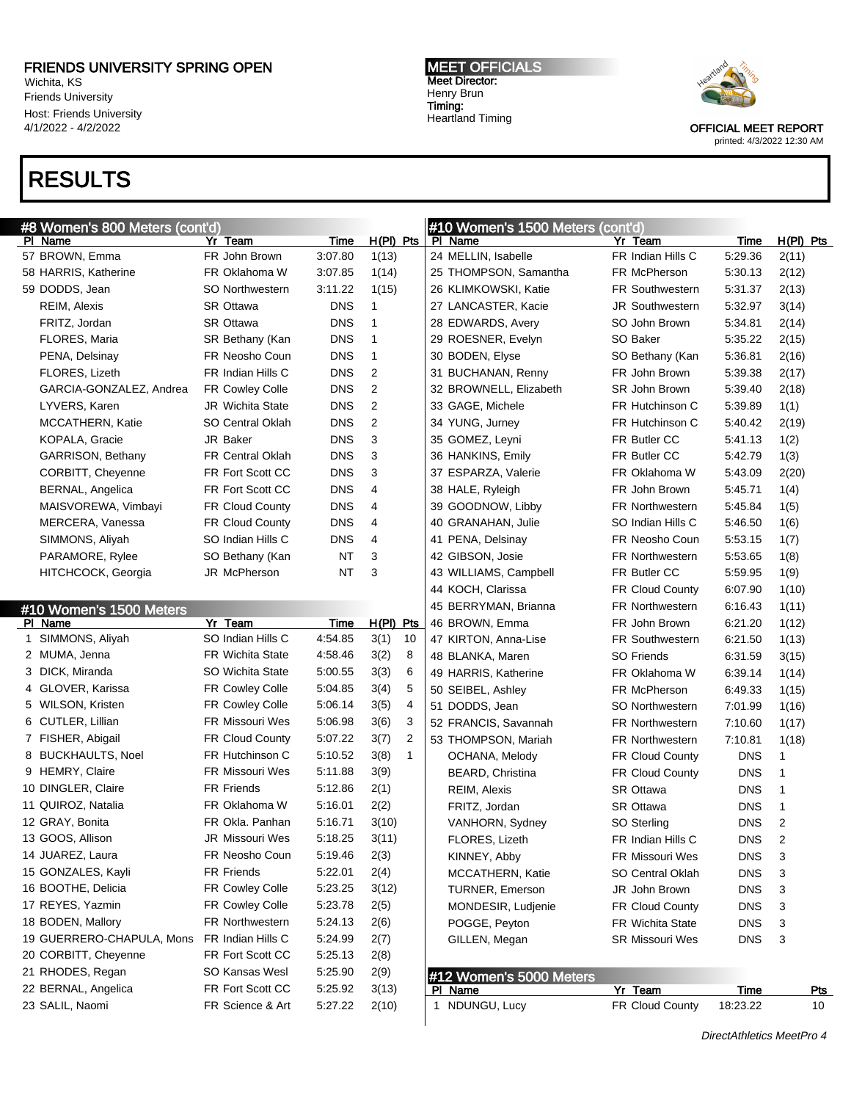Wichita, KS Friends University Host: Friends University 4/1/2022 - 4/2/2022

# RESULTS

#### MEET OFFICIALS Meet Director: Henry Brun Timing: Heartland Timing



| #8 Women's 800 Meters (cont'd) |                         |             |                      | #10 Women's 1500 Meters (cont'd)   |                        |                         |                  |  |  |
|--------------------------------|-------------------------|-------------|----------------------|------------------------------------|------------------------|-------------------------|------------------|--|--|
| PI Name                        | Yr Team                 | Time        | $H(PI)$ Pts          | PI Name                            | Yr Team                | Time                    | $H(PI)$ Pts      |  |  |
| 57 BROWN, Emma                 | FR John Brown           | 3:07.80     | 1(13)                | 24 MELLIN, Isabelle                | FR Indian Hills C      | 5:29.36                 | 2(11)            |  |  |
| 58 HARRIS, Katherine           | FR Oklahoma W           | 3:07.85     | 1(14)                | 25 THOMPSON, Samantha              | FR McPherson           | 5:30.13                 | 2(12)            |  |  |
| 59 DODDS, Jean                 | SO Northwestern         | 3:11.22     | 1(15)                | 26 KLIMKOWSKI, Katie               | <b>FR Southwestern</b> | 5:31.37                 | 2(13)            |  |  |
| REIM, Alexis                   | <b>SR Ottawa</b>        | <b>DNS</b>  | 1                    | 27 LANCASTER, Kacie                | <b>JR Southwestern</b> | 5:32.97                 | 3(14)            |  |  |
| FRITZ, Jordan                  | <b>SR Ottawa</b>        | <b>DNS</b>  | 1                    | 28 EDWARDS, Avery                  | SO John Brown          | 5:34.81                 | 2(14)            |  |  |
| FLORES, Maria                  | SR Bethany (Kan         | <b>DNS</b>  | 1                    | 29 ROESNER, Evelyn                 | SO Baker               | 5:35.22                 | 2(15)            |  |  |
| PENA, Delsinay                 | FR Neosho Coun          | <b>DNS</b>  | 1                    | 30 BODEN, Elyse                    | SO Bethany (Kan        | 5:36.81                 | 2(16)            |  |  |
| FLORES, Lizeth                 | FR Indian Hills C       | <b>DNS</b>  | 2                    | 31 BUCHANAN, Renny                 | FR John Brown          | 5:39.38                 | 2(17)            |  |  |
| GARCIA-GONZALEZ, Andrea        | FR Cowley Colle         | <b>DNS</b>  | 2                    | 32 BROWNELL, Elizabeth             | SR John Brown          | 5:39.40                 | 2(18)            |  |  |
| LYVERS, Karen                  | <b>JR</b> Wichita State | <b>DNS</b>  | 2                    | 33 GAGE, Michele                   | FR Hutchinson C        | 5:39.89                 | 1(1)             |  |  |
| MCCATHERN, Katie               | <b>SO Central Oklah</b> | <b>DNS</b>  | 2                    | 34 YUNG, Jurney                    | FR Hutchinson C        | 5:40.42                 | 2(19)            |  |  |
| KOPALA, Gracie                 | JR Baker                | <b>DNS</b>  | 3                    | 35 GOMEZ, Leyni                    | FR Butler CC           | 5:41.13                 | 1(2)             |  |  |
| GARRISON, Bethany              | <b>FR Central Oklah</b> | <b>DNS</b>  | 3                    | 36 HANKINS, Emily                  | FR Butler CC           | 5:42.79                 | 1(3)             |  |  |
| CORBITT, Cheyenne              | FR Fort Scott CC        | <b>DNS</b>  | 3                    | 37 ESPARZA, Valerie                | FR Oklahoma W          | 5:43.09                 | 2(20)            |  |  |
| <b>BERNAL, Angelica</b>        | FR Fort Scott CC        | <b>DNS</b>  | 4                    | 38 HALE, Ryleigh                   | FR John Brown          | 5:45.71                 | 1(4)             |  |  |
| MAISVOREWA, Vimbayi            | FR Cloud County         | <b>DNS</b>  | 4                    | 39 GOODNOW, Libby                  | <b>FR Northwestern</b> | 5:45.84                 | 1(5)             |  |  |
| MERCERA, Vanessa               | FR Cloud County         | <b>DNS</b>  | 4                    | 40 GRANAHAN, Julie                 | SO Indian Hills C      | 5:46.50                 | 1(6)             |  |  |
| SIMMONS, Aliyah                | SO Indian Hills C       | <b>DNS</b>  | 4                    | 41 PENA, Delsinay                  | FR Neosho Coun         | 5:53.15                 | 1(7)             |  |  |
| PARAMORE, Rylee                | SO Bethany (Kan         | <b>NT</b>   | 3                    | 42 GIBSON, Josie                   | <b>FR Northwestern</b> | 5:53.65                 | 1(8)             |  |  |
| HITCHCOCK, Georgia             | JR McPherson            | <b>NT</b>   | 3                    | 43 WILLIAMS, Campbell              | FR Butler CC           | 5:59.95                 | 1(9)             |  |  |
|                                |                         |             |                      | 44 KOCH, Clarissa                  | FR Cloud County        | 6:07.90                 | 1(10)            |  |  |
| #10 Women's 1500 Meters        |                         |             |                      | 45 BERRYMAN, Brianna               | <b>FR Northwestern</b> | 6:16.43                 | 1(11)            |  |  |
| PI Name                        | Yr Team                 | <b>Time</b> | $H(PI)$ Pts          | 46 BROWN, Emma                     | FR John Brown          | 6:21.20                 | 1(12)            |  |  |
| 1 SIMMONS, Aliyah              | SO Indian Hills C       | 4:54.85     | 3(1)<br>10           | 47 KIRTON, Anna-Lise               | <b>FR Southwestern</b> | 6:21.50                 | 1(13)            |  |  |
| 2 MUMA, Jenna                  | <b>FR Wichita State</b> | 4:58.46     | 3(2)<br>8            | 48 BLANKA, Maren                   | <b>SO Friends</b>      | 6:31.59                 | 3(15)            |  |  |
| 3 DICK, Miranda                | <b>SO Wichita State</b> | 5:00.55     | 3(3)<br>6            | 49 HARRIS, Katherine               | FR Oklahoma W          | 6:39.14                 | 1(14)            |  |  |
| 4 GLOVER, Karissa              | <b>FR Cowley Colle</b>  | 5:04.85     | 5<br>3(4)            | 50 SEIBEL, Ashley                  | FR McPherson           | 6:49.33                 | 1(15)            |  |  |
| 5 WILSON, Kristen              | <b>FR Cowley Colle</b>  | 5:06.14     | 3(5)<br>4            | 51 DODDS, Jean                     | <b>SO Northwestern</b> | 7:01.99                 | 1(16)            |  |  |
| 6 CUTLER, Lillian              | <b>FR Missouri Wes</b>  | 5:06.98     | 3(6)<br>3            | 52 FRANCIS, Savannah               | <b>FR Northwestern</b> | 7:10.60                 | 1(17)            |  |  |
| 7 FISHER, Abigail              | FR Cloud County         | 5:07.22     | 3(7)<br>2            | 53 THOMPSON, Mariah                | <b>FR Northwestern</b> | 7:10.81                 | 1(18)            |  |  |
| 8 BUCKHAULTS, Noel             | FR Hutchinson C         | 5:10.52     | 3(8)<br>$\mathbf{1}$ | OCHANA, Melody                     | FR Cloud County        | <b>DNS</b>              | 1                |  |  |
| 9 HEMRY, Claire                | <b>FR Missouri Wes</b>  | 5:11.88     | 3(9)                 | BEARD, Christina                   | FR Cloud County        | <b>DNS</b>              | 1                |  |  |
| 10 DINGLER, Claire             | <b>FR Friends</b>       | 5:12.86     | 2(1)                 | REIM, Alexis                       | <b>SR Ottawa</b>       | <b>DNS</b>              | 1                |  |  |
| 11 QUIROZ, Natalia             | FR Oklahoma W           | 5:16.01     | 2(2)                 | FRITZ, Jordan                      | <b>SR Ottawa</b>       | <b>DNS</b>              | 1                |  |  |
| 12 GRAY, Bonita                | FR Okla. Panhan         | 5:16.71     | 3(10)                | VANHORN, Sydney                    | SO Sterling            | <b>DNS</b>              | $\overline{c}$   |  |  |
| 13 GOOS, Allison               | JR Missouri Wes         | 5:18.25     | 3(11)                | FLORES, Lizeth                     | FR Indian Hills C      | <b>DNS</b>              | $\mathfrak{p}$   |  |  |
| 14 JUAREZ, Laura               | FR Neosho Coun          | 5:19.46     | 2(3)                 | KINNEY, Abby                       | FR Missouri Wes        | DNS                     | 3                |  |  |
| 15 GONZALES, Kayli             | FR Friends              | 5:22.01     | 2(4)                 | MCCATHERN, Katie                   | SO Central Oklah       | <b>DNS</b>              | 3                |  |  |
| 16 BOOTHE, Delicia             | FR Cowley Colle         | 5:23.25     | 3(12)                | TURNER, Emerson                    | JR John Brown          | <b>DNS</b>              | 3                |  |  |
| 17 REYES, Yazmin               | FR Cowley Colle         | 5:23.78     | 2(5)                 | MONDESIR, Ludjenie                 | FR Cloud County        | <b>DNS</b>              | 3                |  |  |
| 18 BODEN, Mallory              | <b>FR Northwestern</b>  | 5:24.13     | 2(6)                 | POGGE, Peyton                      | FR Wichita State       | <b>DNS</b>              | 3                |  |  |
| 19 GUERRERO-CHAPULA, Mons      | FR Indian Hills C       | 5:24.99     | 2(7)                 | GILLEN, Megan                      | <b>SR Missouri Wes</b> | <b>DNS</b>              | 3                |  |  |
| 20 CORBITT, Cheyenne           | FR Fort Scott CC        | 5:25.13     | 2(8)                 |                                    |                        |                         |                  |  |  |
| 21 RHODES, Regan               | SO Kansas Wesl          | 5:25.90     | 2(9)                 |                                    |                        |                         |                  |  |  |
| 22 BERNAL, Angelica            | FR Fort Scott CC        | 5:25.92     | 3(13)                | #12 Women's 5000 Meters<br>PI Name | Yr Team                |                         |                  |  |  |
| 23 SALIL, Naomi                | FR Science & Art        | 5:27.22     | 2(10)                | 1 NDUNGU, Lucy                     | FR Cloud County        | <u>Time</u><br>18:23.22 | <u>Pts</u><br>10 |  |  |
|                                |                         |             |                      |                                    |                        |                         |                  |  |  |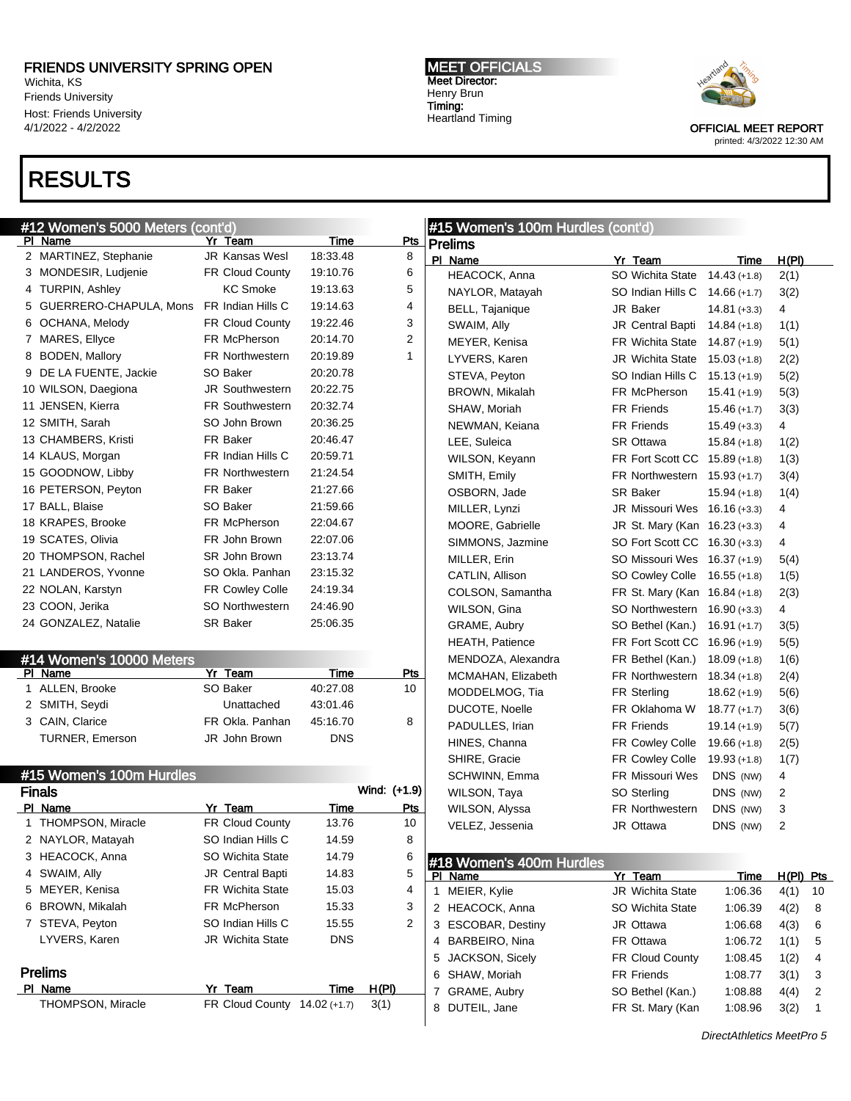Wichita, KS Friends University Host: Friends University 4/1/2022 - 4/2/2022

# RESULTS

MEET OFFICIALS Meet Director: Henry Brun Timing: Heartland Timing



| #12 Women's 5000 Meters (cont'd) |                          |                              |            |                | #15 Women's 100m Hurdles (cont'd)   |                                      |                           |             |    |
|----------------------------------|--------------------------|------------------------------|------------|----------------|-------------------------------------|--------------------------------------|---------------------------|-------------|----|
|                                  | PI Name                  | Yr Team                      | Time       | $P$ ts         | <b>Prelims</b>                      |                                      |                           |             |    |
|                                  | 2 MARTINEZ, Stephanie    | <b>JR Kansas Wesl</b>        | 18:33.48   | 8              | PI Name                             | Yr Team                              | <b>Time</b>               | H(PI)       |    |
|                                  | 3 MONDESIR, Ludjenie     | FR Cloud County              | 19:10.76   | 6              | HEACOCK, Anna                       | SO Wichita State                     | $14.43 (+1.8)$            | 2(1)        |    |
|                                  | 4 TURPIN, Ashley         | <b>KC Smoke</b>              | 19:13.63   | 5              | NAYLOR, Matayah                     | SO Indian Hills C                    | $14.66(+1.7)$             | 3(2)        |    |
|                                  | 5 GUERRERO-CHAPULA, Mons | FR Indian Hills C            | 19:14.63   | 4              | BELL, Tajanique                     | JR Baker                             | $14.81 (+3.3)$            | 4           |    |
|                                  | 6 OCHANA, Melody         | FR Cloud County              | 19:22.46   | 3              | SWAIM, Ally                         | <b>JR Central Bapti</b>              | $14.84 (+1.8)$            | 1(1)        |    |
|                                  | 7 MARES, Ellyce          | FR McPherson                 | 20:14.70   | $\overline{2}$ | MEYER, Kenisa                       | <b>FR Wichita State</b>              | $14.87(+1.9)$             | 5(1)        |    |
|                                  | 8 BODEN, Mallory         | <b>FR Northwestern</b>       | 20:19.89   | 1              | LYVERS, Karen                       | <b>JR Wichita State</b>              | $15.03 (+1.8)$            | 2(2)        |    |
|                                  | 9 DE LA FUENTE, Jackie   | SO Baker                     | 20:20.78   |                | STEVA, Peyton                       | SO Indian Hills C                    | $15.13 (+1.9)$            | 5(2)        |    |
|                                  | 10 WILSON, Daegiona      | <b>JR Southwestern</b>       | 20:22.75   |                | BROWN, Mikalah                      | FR McPherson                         | $15.41 (+1.9)$            | 5(3)        |    |
|                                  | 11 JENSEN, Kierra        | <b>FR Southwestern</b>       | 20:32.74   |                | SHAW, Moriah                        | <b>FR Friends</b>                    | $15.46 (+1.7)$            | 3(3)        |    |
|                                  | 12 SMITH, Sarah          | SO John Brown                | 20:36.25   |                | NEWMAN, Keiana                      | <b>FR Friends</b>                    | $15.49 (+3.3)$            | 4           |    |
|                                  | 13 CHAMBERS, Kristi      | FR Baker                     | 20:46.47   |                | LEE, Suleica                        | <b>SR Ottawa</b>                     | $15.84 (+1.8)$            | 1(2)        |    |
|                                  | 14 KLAUS, Morgan         | FR Indian Hills C            | 20:59.71   |                | WILSON, Keyann                      | FR Fort Scott CC 15.89 (+1.8)        |                           | 1(3)        |    |
|                                  | 15 GOODNOW, Libby        | <b>FR Northwestern</b>       | 21:24.54   |                | SMITH, Emily                        | FR Northwestern                      | $15.93(+1.7)$             | 3(4)        |    |
|                                  | 16 PETERSON, Peyton      | FR Baker                     | 21:27.66   |                | OSBORN, Jade                        | <b>SR Baker</b>                      | $15.94 (+1.8)$            | 1(4)        |    |
|                                  | 17 BALL, Blaise          | SO Baker                     | 21:59.66   |                | MILLER, Lynzi                       | JR Missouri Wes                      | $16.16 (+3.3)$            | 4           |    |
|                                  | 18 KRAPES, Brooke        | FR McPherson                 | 22:04.67   |                | MOORE, Gabrielle                    | JR St. Mary (Kan 16.23 (+3.3)        |                           | 4           |    |
|                                  | 19 SCATES, Olivia        | FR John Brown                | 22:07.06   |                | SIMMONS, Jazmine                    | SO Fort Scott CC 16.30 (+3.3)        |                           | 4           |    |
|                                  | 20 THOMPSON, Rachel      | SR John Brown                | 23:13.74   |                | MILLER, Erin                        | SO Missouri Wes                      | 16.37 (+1.9)              | 5(4)        |    |
|                                  | 21 LANDEROS, Yvonne      | SO Okla. Panhan              | 23:15.32   |                | CATLIN, Allison                     | SO Cowley Colle                      | $16.55 (+1.8)$            | 1(5)        |    |
|                                  | 22 NOLAN, Karstyn        | FR Cowley Colle              | 24:19.34   |                | COLSON, Samantha                    | FR St. Mary (Kan 16.84 (+1.8)        |                           | 2(3)        |    |
|                                  | 23 COON, Jerika          | <b>SO Northwestern</b>       | 24:46.90   |                | WILSON, Gina                        | SO Northwestern                      | $16.90 (+3.3)$            | 4           |    |
|                                  | 24 GONZALEZ, Natalie     | <b>SR Baker</b>              | 25:06.35   |                | GRAME, Aubry                        | SO Bethel (Kan.)                     | $16.91 (+1.7)$            | 3(5)        |    |
|                                  |                          |                              |            |                | <b>HEATH, Patience</b>              | FR Fort Scott CC 16.96 (+1.9)        |                           | 5(5)        |    |
|                                  | #14 Women's 10000 Meters |                              |            |                | MENDOZA, Alexandra                  | FR Bethel (Kan.)                     | $18.09 (+1.8)$            | 1(6)        |    |
|                                  | PI Name                  | Yr Team                      | Time       | <u>Pts</u>     | MCMAHAN, Elizabeth                  | <b>FR Northwestern</b>               | $18.34 (+1.8)$            | 2(4)        |    |
|                                  | 1 ALLEN, Brooke          | SO Baker                     | 40:27.08   | 10             | MODDELMOG, Tia                      | FR Sterling                          | $18.62 (+1.9)$            | 5(6)        |    |
|                                  | 2 SMITH, Seydi           | Unattached                   | 43:01.46   |                | DUCOTE, Noelle                      | FR Oklahoma W                        | $18.77(+1.7)$             | 3(6)        |    |
|                                  | 3 CAIN, Clarice          | FR Okla. Panhan              | 45:16.70   | 8              | PADULLES, Irian                     | <b>FR Friends</b>                    | $19.14 (+1.9)$            | 5(7)        |    |
|                                  | <b>TURNER, Emerson</b>   | JR John Brown                | <b>DNS</b> |                | HINES, Channa                       | <b>FR Cowley Colle</b>               | $19.66 (+1.8)$            | 2(5)        |    |
|                                  |                          |                              |            |                | SHIRE, Gracie                       | FR Cowley Colle                      | $19.93 (+1.8)$            | 1(7)        |    |
|                                  | #15 Women's 100m Hurdles |                              |            |                | SCHWINN, Emma                       | <b>FR Missouri Wes</b>               | DNS (NW)                  | 4           |    |
|                                  | <b>Finals</b>            |                              |            | Wind: (+1.9)   | WILSON, Taya                        | SO Sterling                          | DNS (NW)                  | 2           |    |
|                                  | PI Name                  | Yr Team                      | Time       | <u>Pts</u>     | WILSON, Alyssa                      | <b>FR Northwestern</b>               | DNS (NW)                  | 3           |    |
|                                  | 1 THOMPSON, Miracle      | FR Cloud County              | 13.76      | 10             | VELEZ, Jessenia                     | JR Ottawa                            | DNS (NW)                  | 2           |    |
|                                  | 2 NAYLOR, Matayah        | SO Indian Hills C            | 14.59      | 8              |                                     |                                      |                           |             |    |
|                                  | 3 HEACOCK, Anna          | SO Wichita State             | 14.79      | 6              |                                     |                                      |                           |             |    |
|                                  | 4 SWAIM, Ally            | JR Central Bapti             | 14.83      | 5              | #18 Women's 400m Hurdles<br>PI Name | Yr Team                              | Time                      | $H(PI)$ Pts |    |
|                                  | 5 MEYER, Kenisa          | FR Wichita State             | 15.03      | 4              | 1 MEIER, Kylie                      | <b>JR Wichita State</b>              | 1:06.36                   | 4(1)        | 10 |
|                                  | 6 BROWN, Mikalah         | FR McPherson                 | 15.33      | 3              | 2 HEACOCK, Anna                     | SO Wichita State                     | 1:06.39                   | 4(2)        | 8  |
|                                  | 7 STEVA, Peyton          | SO Indian Hills C            | 15.55      | $\overline{c}$ | 3 ESCOBAR, Destiny                  | JR Ottawa                            | 1:06.68                   | 4(3)        | 6  |
|                                  | LYVERS, Karen            | JR Wichita State             | <b>DNS</b> |                | 4 BARBEIRO, Nina                    | FR Ottawa                            | 1:06.72                   | 1(1)        | 5  |
|                                  |                          |                              |            |                | JACKSON, Sicely<br>5                | FR Cloud County                      | 1:08.45                   | 1(2)        | 4  |
|                                  | <b>Prelims</b>           |                              |            |                | SHAW, Moriah                        | FR Friends                           | 1:08.77                   |             |    |
|                                  | PI Name                  | Yr Team                      | Time       | <u>H(PI)</u>   | 6                                   |                                      | 1:08.88                   | 3(1)        | 3  |
|                                  | THOMPSON, Miracle        | FR Cloud County 14.02 (+1.7) |            | 3(1)           | 7 GRAME, Aubry                      | SO Bethel (Kan.)<br>FR St. Mary (Kan |                           | 4(4)        | 2  |
|                                  |                          |                              |            |                | DUTEIL, Jane<br>8                   |                                      | 1:08.96                   | 3(2)        | 1  |
|                                  |                          |                              |            |                |                                     |                                      | DirectAthletics MeetPro 5 |             |    |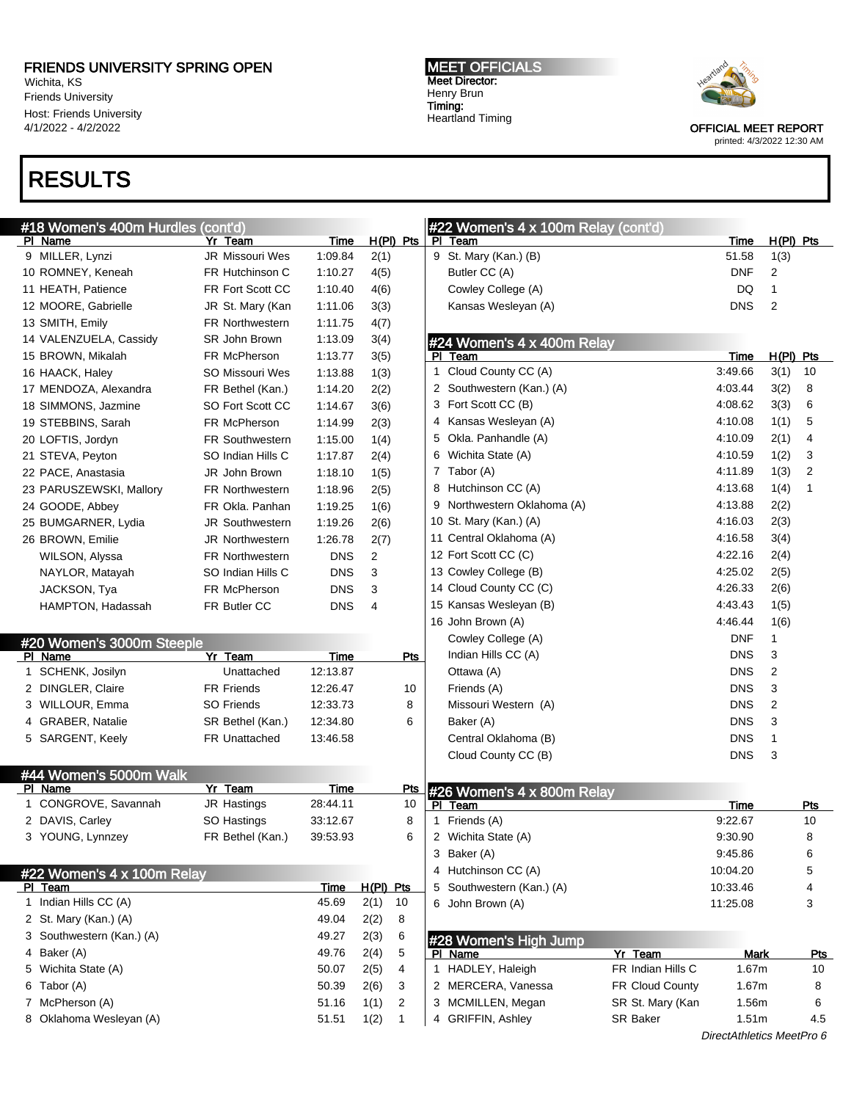Wichita, KS Friends University Host: Friends University 4/1/2022 - 4/2/2022

## RESULTS

MEET OFFICIALS Meet Director: Henry Brun Timing: Heartland Timing



OFFICIAL MEET REPORT

| printed: 4/3/2022 12:30 AM |  |
|----------------------------|--|
|                            |  |

| #18 Women's 400m Hurdles (cont'd)    |                        |             |                |                | #22 Women's 4 x 100m Relay (cont'd) |                   |             |                |            |
|--------------------------------------|------------------------|-------------|----------------|----------------|-------------------------------------|-------------------|-------------|----------------|------------|
| PI Name                              | Yr Team                | Time        |                | $H(PI)$ Pts    | PI Team                             |                   | Time        | $H(PI)$ Pts    |            |
| 9 MILLER, Lynzi                      | JR Missouri Wes        | 1:09.84     | 2(1)           |                | 9 St. Mary (Kan.) (B)               |                   | 51.58       | 1(3)           |            |
| 10 ROMNEY, Keneah                    | FR Hutchinson C        | 1:10.27     | 4(5)           |                | Butler CC (A)                       |                   | <b>DNF</b>  | $\overline{c}$ |            |
| 11 HEATH, Patience                   | FR Fort Scott CC       | 1:10.40     | 4(6)           |                | Cowley College (A)                  |                   | DQ          | 1              |            |
| 12 MOORE, Gabrielle                  | JR St. Mary (Kan       | 1:11.06     | 3(3)           |                | Kansas Wesleyan (A)                 |                   | <b>DNS</b>  | $\overline{2}$ |            |
| 13 SMITH, Emily                      | <b>FR Northwestern</b> | 1:11.75     | 4(7)           |                |                                     |                   |             |                |            |
| 14 VALENZUELA, Cassidy               | SR John Brown          | 1:13.09     | 3(4)           |                | #24 Women's 4 x 400m Relay          |                   |             |                |            |
| 15 BROWN, Mikalah                    | FR McPherson           | 1:13.77     | 3(5)           |                | PI Team                             |                   | <b>Time</b> | $H(PI)$ Pts    |            |
| 16 HAACK, Haley                      | SO Missouri Wes        | 1:13.88     | 1(3)           |                | 1 Cloud County CC (A)               |                   | 3:49.66     | 3(1)           | 10         |
| 17 MENDOZA, Alexandra                | FR Bethel (Kan.)       | 1:14.20     | 2(2)           |                | 2 Southwestern (Kan.) (A)           |                   | 4:03.44     | 3(2)           | 8          |
| 18 SIMMONS, Jazmine                  | SO Fort Scott CC       | 1:14.67     | 3(6)           |                | 3 Fort Scott CC (B)                 |                   | 4:08.62     | 3(3)           | 6          |
| 19 STEBBINS, Sarah                   | FR McPherson           | 1:14.99     | 2(3)           |                | 4 Kansas Wesleyan (A)               |                   | 4:10.08     | 1(1)           | 5          |
| 20 LOFTIS, Jordyn                    | <b>FR Southwestern</b> | 1:15.00     | 1(4)           |                | 5 Okla. Panhandle (A)               |                   | 4:10.09     | 2(1)           | 4          |
| 21 STEVA, Peyton                     | SO Indian Hills C      | 1:17.87     | 2(4)           |                | 6 Wichita State (A)                 |                   | 4:10.59     | 1(2)           | 3          |
| 22 PACE, Anastasia                   | JR John Brown          | 1:18.10     | 1(5)           |                | 7 Tabor (A)                         |                   | 4:11.89     | 1(3)           | 2          |
| 23 PARUSZEWSKI, Mallory              | <b>FR Northwestern</b> | 1:18.96     | 2(5)           |                | 8 Hutchinson CC (A)                 |                   | 4:13.68     | 1(4)           | -1         |
| 24 GOODE, Abbey                      | FR Okla. Panhan        | 1:19.25     | 1(6)           |                | 9 Northwestern Oklahoma (A)         |                   | 4:13.88     | 2(2)           |            |
| 25 BUMGARNER, Lydia                  | <b>JR Southwestern</b> | 1:19.26     | 2(6)           |                | 10 St. Mary (Kan.) (A)              |                   | 4:16.03     | 2(3)           |            |
| 26 BROWN, Emilie                     | JR Northwestern        | 1:26.78     | 2(7)           |                | 11 Central Oklahoma (A)             |                   | 4:16.58     | 3(4)           |            |
| WILSON, Alyssa                       | FR Northwestern        | <b>DNS</b>  | $\overline{2}$ |                | 12 Fort Scott CC (C)                |                   | 4:22.16     | 2(4)           |            |
| NAYLOR, Matayah                      | SO Indian Hills C      | <b>DNS</b>  | 3              |                | 13 Cowley College (B)               |                   | 4:25.02     | 2(5)           |            |
| JACKSON, Tya                         | FR McPherson           | <b>DNS</b>  | 3              |                | 14 Cloud County CC (C)              |                   | 4:26.33     | 2(6)           |            |
| HAMPTON, Hadassah                    | FR Butler CC           | <b>DNS</b>  | 4              |                | 15 Kansas Wesleyan (B)              |                   | 4:43.43     | 1(5)           |            |
|                                      |                        |             |                |                | 16 John Brown (A)                   |                   | 4:46.44     | 1(6)           |            |
|                                      |                        |             |                |                | Cowley College (A)                  |                   | <b>DNF</b>  | 1              |            |
| #20 Women's 3000m Steeple<br>PI Name | Yr Team                | <b>Time</b> |                | <b>Pts</b>     | Indian Hills CC (A)                 |                   | <b>DNS</b>  | 3              |            |
| 1 SCHENK, Josilyn                    | Unattached             | 12:13.87    |                |                | Ottawa (A)                          |                   | <b>DNS</b>  | $\overline{2}$ |            |
| 2 DINGLER, Claire                    | <b>FR Friends</b>      | 12:26.47    |                | 10             | Friends (A)                         |                   | <b>DNS</b>  | 3              |            |
| 3 WILLOUR, Emma                      | <b>SO Friends</b>      | 12:33.73    |                | 8              | Missouri Western (A)                |                   | <b>DNS</b>  | $\overline{2}$ |            |
| 4 GRABER, Natalie                    | SR Bethel (Kan.)       | 12:34.80    |                | 6              | Baker (A)                           |                   | <b>DNS</b>  | 3              |            |
| 5 SARGENT, Keely                     | <b>FR Unattached</b>   | 13:46.58    |                |                | Central Oklahoma (B)                |                   | <b>DNS</b>  | 1              |            |
|                                      |                        |             |                |                | Cloud County CC (B)                 |                   | <b>DNS</b>  | 3              |            |
| #44 Women's 5000m Walk               |                        |             |                |                |                                     |                   |             |                |            |
| PI Name                              | Yr Team                | Time        |                | <u>Pts</u>     | #26 Women's 4 x 800m Relay          |                   |             |                |            |
| 1 CONGROVE, Savannah                 | JR Hastings            | 28:44.11    |                | 10             | PI Team                             |                   | Time        |                | Pts        |
| 2 DAVIS, Carley                      | SO Hastings            | 33:12.67    |                | 8              | 1 Friends (A)                       |                   | 9:22.67     |                | 10         |
| 3 YOUNG, Lynnzey                     | FR Bethel (Kan.)       | 39:53.93    |                | 6              | 2 Wichita State (A)                 |                   | 9:30.90     |                | 8          |
|                                      |                        |             |                |                | 3 Baker (A)                         |                   | 9:45.86     |                | 6          |
| #22 Women's 4 x 100m Relay           |                        |             |                |                | 4 Hutchinson CC (A)                 |                   | 10:04.20    |                | 5          |
| PI Team                              |                        | Time        | $H(PI)$ Pts    |                | 5 Southwestern (Kan.) (A)           |                   | 10:33.46    |                | 4          |
| 1 Indian Hills CC (A)                |                        | 45.69       | 2(1)           | 10             | 6 John Brown (A)                    |                   | 11:25.08    |                | 3          |
| 2 St. Mary (Kan.) (A)                |                        | 49.04       | 2(2)           | 8              |                                     |                   |             |                |            |
| 3 Southwestern (Kan.) (A)            |                        | 49.27       | 2(3)           | 6              |                                     |                   |             |                |            |
| 4 Baker (A)                          |                        | 49.76       | 2(4)           | 5              | #28 Women's High Jump<br>PI Name    | Yr Team           | <b>Mark</b> |                | <u>Pts</u> |
| 5 Wichita State (A)                  |                        | 50.07       | 2(5)           | 4              | 1 HADLEY, Haleigh                   | FR Indian Hills C | 1.67m       |                | 10         |
| 6 Tabor (A)                          |                        | 50.39       | 2(6)           | 3              | 2 MERCERA, Vanessa                  | FR Cloud County   | 1.67m       |                | 8          |
| 7 McPherson (A)                      |                        | 51.16       | 1(1)           | $\overline{c}$ | 3 MCMILLEN, Megan                   | SR St. Mary (Kan  | 1.56m       |                | 6          |
| 8 Oklahoma Wesleyan (A)              |                        | 51.51       | 1(2)           | 1              | 4 GRIFFIN, Ashley                   | SR Baker          | 1.51m       |                | 4.5        |
|                                      |                        |             |                |                |                                     |                   |             |                |            |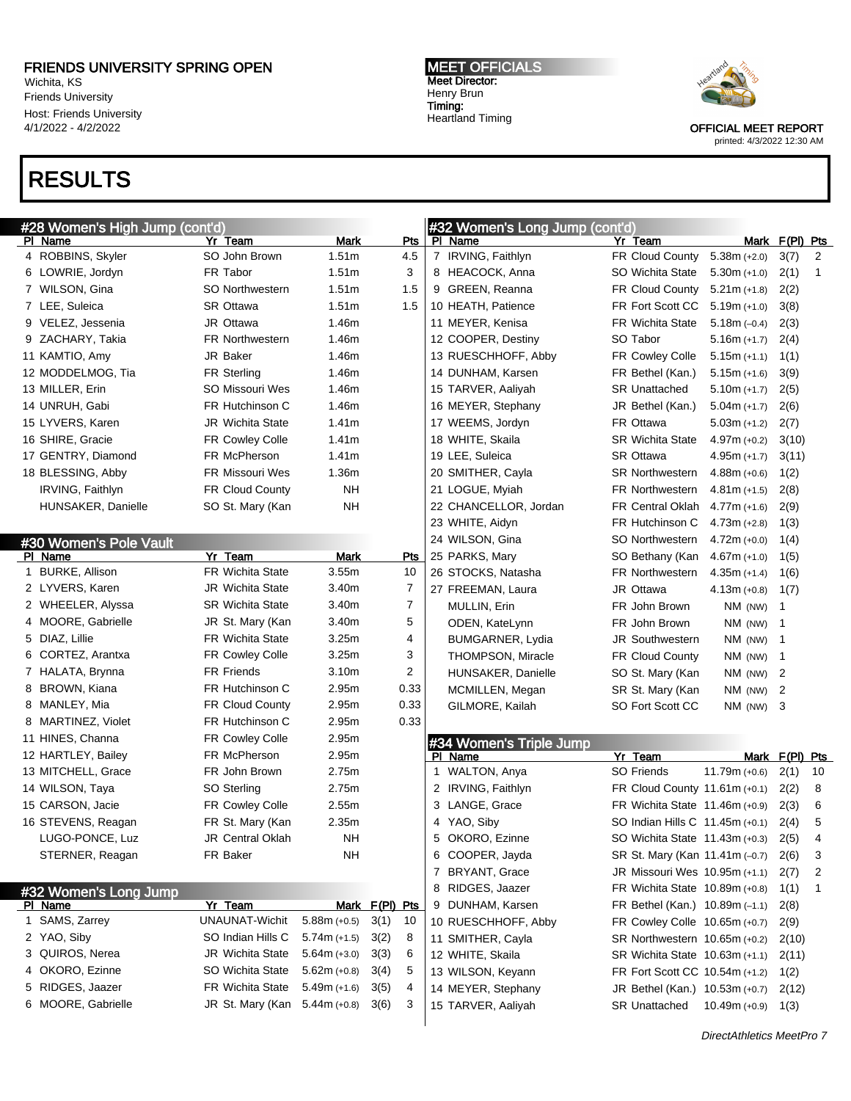Wichita, KS Friends University Host: Friends University 4/1/2022 - 4/2/2022

# RESULTS

#28 Women's High Jump (cont'd)

Pl Name Yr Team Mark Pts 4 ROBBINS, Skyler SO John Brown 1.51m 4.5 6 LOWRIE, Jordyn FR Tabor 1.51m 3 7 WILSON, Gina **SO Northwestern** 1.51m 1.5

#### MEET OFFICIALS Meet Director: Henry Brun Timing: Heartland Timing

#32 Women's Long Jump (cont'd)

Pl Name Yr Team Mark F(Pl) Pts IRVING, Faithlyn FR Cloud County 5.38m (+2.0) 3(7) 2 8 HEACOCK, Anna SO Wichita State 5.30m (+1.0) 2(1) 1 GREEN, Reanna FR Cloud County 5.21m (+1.8) 2(2)



| 7 LEE, Suleica         | SR Ottawa                     | 1.51m               | 1.5            | 10 HEATH, Patience  |                         | FR Fort Scott CC                 | $5.19m (+1.0)$            | 3(8)           |             |
|------------------------|-------------------------------|---------------------|----------------|---------------------|-------------------------|----------------------------------|---------------------------|----------------|-------------|
| 9 VELEZ, Jessenia      | JR Ottawa                     | 1.46m               |                | 11 MEYER, Kenisa    |                         | <b>FR Wichita State</b>          | $5.18m (-0.4)$            | 2(3)           |             |
| 9 ZACHARY, Takia       | <b>FR Northwestern</b>        | 1.46m               |                | 12 COOPER, Destiny  |                         | SO Tabor                         | $5.16m (+1.7)$            | 2(4)           |             |
| 11 KAMTIO, Amy         | JR Baker                      | 1.46m               |                |                     | 13 RUESCHHOFF, Abby     | FR Cowley Colle                  | $5.15m (+1.1)$            | 1(1)           |             |
| 12 MODDELMOG, Tia      | FR Sterling                   | 1.46m               |                | 14 DUNHAM, Karsen   |                         | FR Bethel (Kan.)                 | $5.15m (+1.6)$            | 3(9)           |             |
| 13 MILLER, Erin        | SO Missouri Wes               | 1.46m               |                | 15 TARVER, Aaliyah  |                         | <b>SR Unattached</b>             | $5.10m (+1.7)$            | 2(5)           |             |
| 14 UNRUH, Gabi         | FR Hutchinson C               | 1.46m               |                | 16 MEYER, Stephany  |                         | JR Bethel (Kan.)                 | $5.04m (+1.7)$            | 2(6)           |             |
| 15 LYVERS, Karen       | JR Wichita State              | 1.41m               |                | 17 WEEMS, Jordyn    |                         | FR Ottawa                        | $5.03m (+1.2)$            | 2(7)           |             |
| 16 SHIRE, Gracie       | FR Cowley Colle               | 1.41m               |                | 18 WHITE, Skaila    |                         | <b>SR Wichita State</b>          | $4.97m (+0.2)$            | 3(10)          |             |
| 17 GENTRY, Diamond     | FR McPherson                  | 1.41m               |                | 19 LEE, Suleica     |                         | SR Ottawa                        | $4.95m (+1.7)$            | 3(11)          |             |
| 18 BLESSING, Abby      | FR Missouri Wes               | 1.36m               |                | 20 SMITHER, Cayla   |                         | <b>SR Northwestern</b>           | $4.88m (+0.6)$            | 1(2)           |             |
| IRVING, Faithlyn       | FR Cloud County               | <b>NH</b>           |                | 21 LOGUE, Myiah     |                         | <b>FR Northwestern</b>           | $4.81m (+1.5)$            | 2(8)           |             |
| HUNSAKER, Danielle     | SO St. Mary (Kan              | <b>NH</b>           |                |                     | 22 CHANCELLOR, Jordan   | <b>FR Central Oklah</b>          | $4.77m (+1.6)$            | 2(9)           |             |
|                        |                               |                     |                | 23 WHITE, Aidyn     |                         | FR Hutchinson C                  | $4.73m (+2.8)$            | 1(3)           |             |
| #30 Women's Pole Vault |                               |                     |                | 24 WILSON, Gina     |                         | <b>SO Northwestern</b>           | $4.72m (+0.0)$            | 1(4)           |             |
| PI Name                | Yr Team                       | <b>Mark</b>         | <b>Pts</b>     | 25 PARKS, Mary      |                         | SO Bethany (Kan                  | $4.67m (+1.0)$            | 1(5)           |             |
| 1 BURKE, Allison       | FR Wichita State              | 3.55m               | 10             | 26 STOCKS, Natasha  |                         | <b>FR Northwestern</b>           | $4.35m (+1.4)$            | 1(6)           |             |
| 2 LYVERS, Karen        | <b>JR Wichita State</b>       | 3.40m               | 7              | 27 FREEMAN, Laura   |                         | JR Ottawa                        | $4.13m (+0.8)$            | 1(7)           |             |
| 2 WHEELER, Alyssa      | <b>SR Wichita State</b>       | 3.40m               | 7              | MULLIN, Erin        |                         | FR John Brown                    | NM (NW)                   | 1              |             |
| 4 MOORE, Gabrielle     | JR St. Mary (Kan              | 3.40m               | 5              | ODEN, KateLynn      |                         | FR John Brown                    | NM (NW)                   | $\mathbf{1}$   |             |
| 5 DIAZ, Lillie         | <b>FR Wichita State</b>       | 3.25m               | 4              |                     | BUMGARNER, Lydia        | <b>JR Southwestern</b>           | $NM$ (NW)                 | $\mathbf 1$    |             |
| 6 CORTEZ, Arantxa      | FR Cowley Colle               | 3.25m               | 3              |                     | THOMPSON, Miracle       | <b>FR Cloud County</b>           | NM (NW)                   | $\mathbf{1}$   |             |
| 7 HALATA, Brynna       | <b>FR Friends</b>             | 3.10m               | 2              |                     | HUNSAKER, Danielle      | SO St. Mary (Kan                 | NM (NW)                   | 2              |             |
| 8 BROWN, Kiana         | FR Hutchinson C               | 2.95m               | 0.33           |                     | MCMILLEN, Megan         | SR St. Mary (Kan                 | NM (NW)                   | 2              |             |
| 8 MANLEY, Mia          | <b>FR Cloud County</b>        | 2.95m               | 0.33           | GILMORE, Kailah     |                         | SO Fort Scott CC                 | $NM$ (NW) 3               |                |             |
| 8 MARTINEZ, Violet     | FR Hutchinson C               | 2.95m               | 0.33           |                     |                         |                                  |                           |                |             |
| 11 HINES, Channa       | FR Cowley Colle               | 2.95m               |                |                     | #34 Women's Triple Jump |                                  |                           |                |             |
| 12 HARTLEY, Bailey     | FR McPherson                  | 2.95m               |                | PI Name             |                         | Yr Team                          |                           | Mark F(PI) Pts |             |
| 13 MITCHELL, Grace     | FR John Brown                 | 2.75m               |                | WALTON, Anya<br>1   |                         | <b>SO Friends</b>                | $11.79m (+0.6)$           | 2(1)           | 10          |
| 14 WILSON, Taya        | SO Sterling                   | 2.75m               |                | 2 IRVING, Faithlyn  |                         | FR Cloud County 11.61m (+0.1)    |                           | 2(2)           | 8           |
| 15 CARSON, Jacie       | FR Cowley Colle               | 2.55m               |                | 3 LANGE, Grace      |                         | FR Wichita State $11.46m$ (+0.9) |                           | 2(3)           | 6           |
| 16 STEVENS, Reagan     | FR St. Mary (Kan              | 2.35m               |                | 4 YAO, Siby         |                         | SO Indian Hills C 11.45m (+0.1)  |                           | 2(4)           | 5           |
| LUGO-PONCE, Luz        | <b>JR Central Oklah</b>       | <b>NH</b>           |                | 5 OKORO, Ezinne     |                         | SO Wichita State 11.43m (+0.3)   |                           | 2(5)           | 4           |
| STERNER, Reagan        | FR Baker                      | <b>NH</b>           |                | 6 COOPER, Jayda     |                         | SR St. Mary (Kan 11.41m (-0.7)   |                           | 2(6)           | 3           |
|                        |                               |                     |                | 7 BRYANT, Grace     |                         | JR Missouri Wes 10.95m (+1.1)    |                           | 2(7)           | 2           |
| #32 Women's Long Jump  |                               |                     |                | RIDGES, Jaazer<br>8 |                         | FR Wichita State 10.89m (+0.8)   |                           | 1(1)           | $\mathbf 1$ |
| PI Name                | Yr Team                       |                     | Mark F(PI) Pts | 9 DUNHAM, Karsen    |                         | FR Bethel (Kan.) $10.89m (-1.1)$ |                           | 2(8)           |             |
| 1 SAMS, Zarrey         | UNAUNAT-Wichit                | $5.88m (+0.5)$ 3(1) | 10             |                     | 10 RUESCHHOFF, Abby     | FR Cowley Colle 10.65m (+0.7)    |                           | 2(9)           |             |
| 2 YAO, Siby            | SO Indian Hills C             | $5.74m (+1.5)$      | 8<br>3(2)      | 11 SMITHER, Cayla   |                         | SR Northwestern 10.65m (+0.2)    |                           | 2(10)          |             |
| 3 QUIROS, Nerea        | <b>JR Wichita State</b>       | $5.64m (+3.0)$      | 3(3)<br>6      | 12 WHITE, Skaila    |                         | SR Wichita State 10.63m (+1.1)   |                           | 2(11)          |             |
| 4 OKORO, Ezinne        | SO Wichita State              | $5.62m (+0.8)$      | 3(4)<br>5      | 13 WILSON, Keyann   |                         | FR Fort Scott CC 10.54m (+1.2)   |                           | 1(2)           |             |
| 5 RIDGES, Jaazer       | FR Wichita State              | $5.49m (+1.6)$      | 3(5)<br>4      | 14 MEYER, Stephany  |                         | JR Bethel (Kan.) 10.53m (+0.7)   |                           | 2(12)          |             |
| 6 MOORE, Gabrielle     | JR St. Mary (Kan 5.44m (+0.8) |                     | 3(6)<br>3      | 15 TARVER, Aaliyah  |                         | <b>SR Unattached</b>             | 10.49m (+0.9)             | 1(3)           |             |
|                        |                               |                     |                |                     |                         |                                  | DirectAthletics MeetPro 7 |                |             |
|                        |                               |                     |                |                     |                         |                                  |                           |                |             |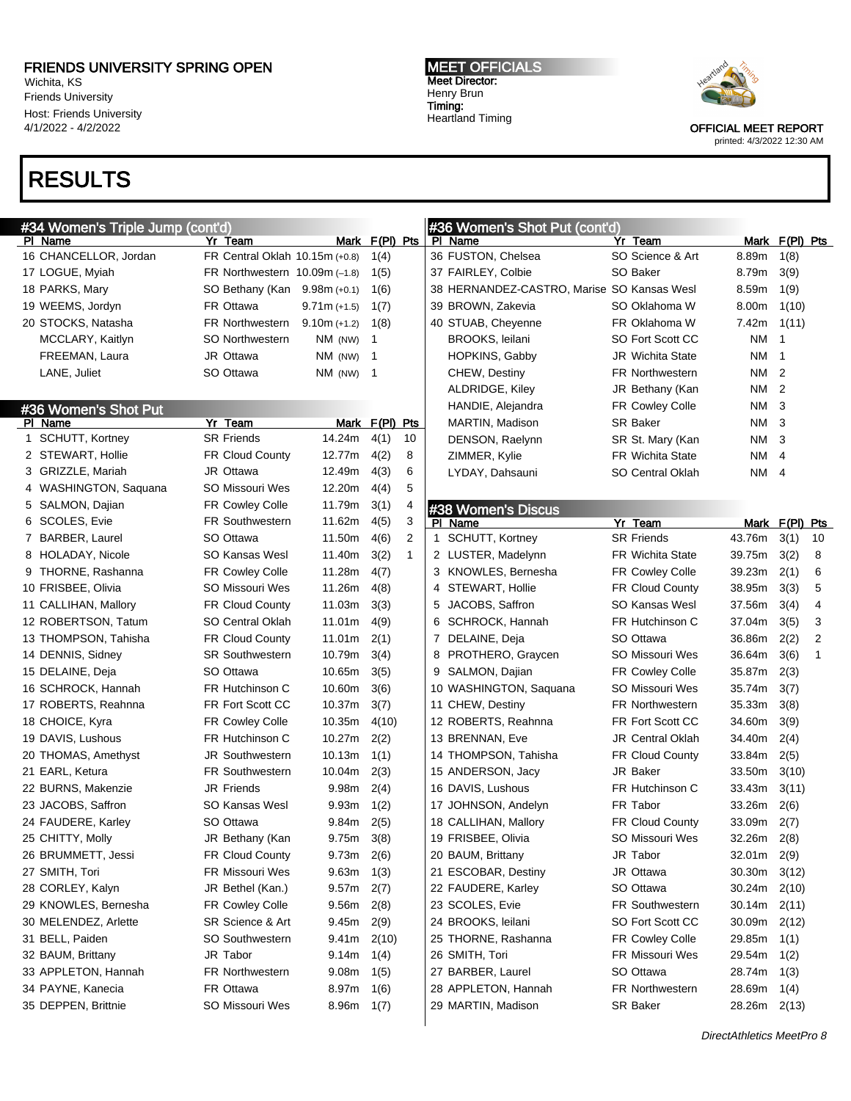Wichita, KS Friends University Host: Friends University 4/1/2022 - 4/2/2022

# RESULTS

#### MEET OFFICIALS Meet Director: Henry Brun Timing: Heartland Timing



OFFICIAL MEET REPORT printed: 4/3/2022 12:30 AM

| <b>RESULTS</b>                   |                                           |                |                |                |                                            |                         |                       |                |                |
|----------------------------------|-------------------------------------------|----------------|----------------|----------------|--------------------------------------------|-------------------------|-----------------------|----------------|----------------|
| #34 Women's Triple Jump (cont'd) |                                           |                |                |                |                                            |                         |                       |                |                |
| PI Name                          | Yr Team                                   |                | Mark F(PI) Pts |                | #36 Women's Shot Put (cont'd)<br>PI Name   | Yr Team                 | Mark                  | $F(PI)$ Pts    |                |
| 16 CHANCELLOR, Jordan            | FR Central Oklah 10.15m (+0.8)            |                | 1(4)           |                | 36 FUSTON, Chelsea                         | SO Science & Art        | 8.89m                 | 1(8)           |                |
| 17 LOGUE, Myiah                  | FR Northwestern $10.09m$ (-1.8)           |                | 1(5)           |                | 37 FAIRLEY, Colbie                         | SO Baker                | 8.79m                 | 3(9)           |                |
| 18 PARKS, Mary                   | SO Bethany (Kan 9.98m (+0.1)              |                | 1(6)           |                | 38 HERNANDEZ-CASTRO, Marise SO Kansas Wesl |                         | 8.59m                 | 1(9)           |                |
| 19 WEEMS, Jordyn                 | FR Ottawa                                 | $9.71m (+1.5)$ | 1(7)           |                | 39 BROWN, Zakevia                          | SO Oklahoma W           | 8.00m                 | 1(10)          |                |
| 20 STOCKS, Natasha               | <b>FR Northwestern</b>                    | $9.10m (+1.2)$ | 1(8)           |                | 40 STUAB, Cheyenne                         | FR Oklahoma W           | 7.42m                 | 1(11)          |                |
| MCCLARY, Kaitlyn                 | <b>SO Northwestern</b>                    | NM (NW)        | $\mathbf 1$    |                | BROOKS, leilani                            | SO Fort Scott CC        | ΝM                    | $\mathbf 1$    |                |
| FREEMAN, Laura                   | JR Ottawa                                 | NM (NW)        | - 1            |                | HOPKINS, Gabby                             | <b>JR</b> Wichita State | ΝM                    | $\overline{1}$ |                |
| LANE, Juliet                     | SO Ottawa                                 | $NM$ (NW) 1    |                |                | CHEW, Destiny                              | <b>FR Northwestern</b>  | NM.                   | $\overline{2}$ |                |
|                                  |                                           |                |                |                | ALDRIDGE, Kiley                            | JR Bethany (Kan         | NM                    | $\overline{2}$ |                |
|                                  |                                           |                |                |                | HANDIE, Alejandra                          | FR Cowley Colle         | ΝM                    | -3             |                |
| #36 Women's Shot Put<br>PI Name  | Yr Team                                   |                | Mark F(PI) Pts |                | MARTIN, Madison                            | SR Baker                | ΝM                    | -3             |                |
| 1 SCHUTT, Kortney                | <b>SR Friends</b>                         | 14.24m         | 4(1)           | 10             | DENSON, Raelynn                            | SR St. Mary (Kan        | ΝM                    | -3             |                |
| 2 STEWART, Hollie                | <b>FR Cloud County</b>                    | 12.77m         | 4(2)           | 8              | ZIMMER, Kylie                              | <b>FR Wichita State</b> | ΝM                    | $\overline{4}$ |                |
| 3 GRIZZLE, Mariah                | JR Ottawa                                 | 12.49m         | 4(3)           | 6              | LYDAY, Dahsauni                            | SO Central Oklah        | ΝM                    | 4              |                |
| 4 WASHINGTON, Saquana            | SO Missouri Wes                           | 12.20m         | 4(4)           | 5              |                                            |                         |                       |                |                |
| 5 SALMON, Dajian                 | FR Cowley Colle                           | 11.79m         | 3(1)           | 4              |                                            |                         |                       |                |                |
| 6 SCOLES, Evie                   | FR Southwestern                           | 11.62m         | 4(5)           | 3              | #38 Women's Discus                         | Yr Team                 |                       | F(PI) Pts      |                |
| 7 BARBER, Laurel                 | SO Ottawa                                 | 11.50m         | 4(6)           | $\overline{2}$ | PI Name<br>1 SCHUTT, Kortney               | <b>SR Friends</b>       | <b>Mark</b><br>43.76m | 3(1)           | 10             |
| 8 HOLADAY, Nicole                | SO Kansas Wesl                            | 11.40m         | 3(2)           | $\mathbf{1}$   | 2 LUSTER, Madelynn                         | <b>FR Wichita State</b> | 39.75m                | 3(2)           | 8              |
| 9 THORNE, Rashanna               |                                           | 11.28m         | 4(7)           |                | 3 KNOWLES, Bernesha                        | <b>FR Cowley Colle</b>  | 39.23m                | 2(1)           | 6              |
| 10 FRISBEE, Olivia               | <b>FR Cowley Colle</b><br>SO Missouri Wes | 11.26m         | 4(8)           |                | 4 STEWART, Hollie                          | <b>FR Cloud County</b>  | 38.95m                | 3(3)           | 5              |
| 11 CALLIHAN, Mallory             | <b>FR Cloud County</b>                    | 11.03m         | 3(3)           |                | 5 JACOBS, Saffron                          | SO Kansas Wesl          | 37.56m                | 3(4)           | 4              |
|                                  | SO Central Oklah                          |                |                |                |                                            | FR Hutchinson C         |                       |                | 3              |
| 12 ROBERTSON, Tatum              |                                           | 11.01m         | 4(9)           |                | 6 SCHROCK, Hannah                          |                         | 37.04m                | 3(5)           | $\overline{2}$ |
| 13 THOMPSON, Tahisha             | <b>FR Cloud County</b>                    | 11.01m         | 2(1)           |                | 7 DELAINE, Deja                            | SO Ottawa               | 36.86m                | 2(2)           | $\overline{1}$ |
| 14 DENNIS, Sidney                | <b>SR Southwestern</b>                    | 10.79m         | 3(4)           |                | 8 PROTHERO, Graycen                        | SO Missouri Wes         | 36.64m                | 3(6)           |                |
| 15 DELAINE, Deja                 | SO Ottawa                                 | 10.65m         | 3(5)           |                | 9 SALMON, Dajian                           | <b>FR Cowley Colle</b>  | 35.87m                | 2(3)           |                |
| 16 SCHROCK, Hannah               | <b>FR Hutchinson C</b>                    | 10.60m         | 3(6)           |                | 10 WASHINGTON, Saquana                     | SO Missouri Wes         | 35.74m                | 3(7)           |                |
| 17 ROBERTS, Reahnna              | FR Fort Scott CC                          | 10.37m         | 3(7)           |                | 11 CHEW, Destiny                           | <b>FR Northwestern</b>  | 35.33m                | 3(8)           |                |
| 18 CHOICE, Kyra                  | <b>FR Cowley Colle</b>                    | 10.35m         | 4(10)          |                | 12 ROBERTS, Reahnna                        | FR Fort Scott CC        | 34.60m                | 3(9)           |                |
| 19 DAVIS, Lushous                | <b>FR Hutchinson C</b>                    | 10.27m         | 2(2)           |                | 13 BRENNAN, Eve                            | <b>JR Central Oklah</b> | 34.40m                | 2(4)           |                |
| 20 THOMAS, Amethyst              | JR Southwestern                           | 10.13m         | 1(1)           |                | 14 THOMPSON, Tahisha                       | FR Cloud County         | 33.84m                | 2(5)           |                |
| 21 EARL, Ketura                  | FR Southwestern                           | 10.04m         | 2(3)           |                | 15 ANDERSON, Jacy                          | JR Baker                | 33.50m                | 3(10)          |                |
| 22 BURNS, Makenzie               | JR Friends                                | 9.98m          | 2(4)           |                | 16 DAVIS, Lushous                          | FR Hutchinson C         | 33.43m                | 3(11)          |                |
| 23 JACOBS, Saffron               | SO Kansas Wesl                            | 9.93m          | 1(2)           |                | 17 JOHNSON, Andelyn                        | FR Tabor                | 33.26m                | 2(6)           |                |
| 24 FAUDERE, Karley               | SO Ottawa                                 | 9.84m          | 2(5)           |                | 18 CALLIHAN, Mallory                       | <b>FR Cloud County</b>  | 33.09m                | 2(7)           |                |
| 25 CHITTY, Molly                 | JR Bethany (Kan                           | 9.75m          | 3(8)           |                | 19 FRISBEE, Olivia                         | SO Missouri Wes         | 32.26m                | 2(8)           |                |
| 26 BRUMMETT, Jessi               | FR Cloud County                           | 9.73m          | 2(6)           |                | 20 BAUM, Brittany                          | JR Tabor                | 32.01m                | 2(9)           |                |
| 27 SMITH, Tori                   | FR Missouri Wes                           | 9.63m          | 1(3)           |                | 21 ESCOBAR, Destiny                        | JR Ottawa               | 30.30m                | 3(12)          |                |
| 28 CORLEY, Kalyn                 | JR Bethel (Kan.)                          | 9.57m          | 2(7)           |                | 22 FAUDERE, Karley                         | SO Ottawa               | 30.24m                | 2(10)          |                |
| 29 KNOWLES, Bernesha             | FR Cowley Colle                           | 9.56m          | 2(8)           |                | 23 SCOLES, Evie                            | FR Southwestern         | 30.14m                | 2(11)          |                |
| 30 MELENDEZ, Arlette             | SR Science & Art                          | 9.45m          | 2(9)           |                | 24 BROOKS, leilani                         | SO Fort Scott CC        | 30.09m                | 2(12)          |                |
| 31 BELL, Paiden                  | SO Southwestern                           | $9.41m$ 2(10)  |                |                | 25 THORNE, Rashanna                        | FR Cowley Colle         | 29.85m                | 1(1)           |                |
| 32 BAUM, Brittany                | JR Tabor                                  | $9.14m$ 1(4)   |                |                | 26 SMITH, Tori                             | FR Missouri Wes         | 29.54m 1(2)           |                |                |

#### FREEMAN, Laura JR Ottawa NM (NW) 1 LANE, Juliet SO Ottawa NM (NW) 1 #36 Women's Shot Put<br>PLName Yr Team Mark F(PI) Pts 1 SCHUTT, Kortney SR Friends 14.24m 4(1) 1 2 STEWART, Hollie FR Cloud County 12.77m 4(2) 8 3 GRIZZLE, Mariah JR Ottawa 12.49m 4(3) 6 4 WASHINGTON, Saquana SO Missouri Wes 12.20m 4(4) 5 5 SALMON, Dajian FR Cowley Colle 11.79m 3(1) 4 6 SCOLES, Evie FR Southwestern 11.62m 4(5) 3 7 BARBER, Laurel SO Ottawa 11.50m 4(6) 2 8 HOLADAY, Nicole SO Kansas Wesl 11.40m 3(2) 1 9 THORNE, Rashanna FR Cowley Colle 11.28m 4(7) 10 FRISBEE, Olivia SO Missouri Wes 11.26m 4(8) 11 CALLIHAN, Mallory FR Cloud County 11.03m 3(3) 12 ROBERTSON, Tatum SO Central Oklah 11.01m 4(9) 13 THOMPSON, Tahisha FR Cloud County 11.01m 2(1) 14 DENNIS, Sidney SR Southwestern 10.79m 3(4) 15 DELAINE, Deja SO Ottawa 10.65m 3(5) 16 SCHROCK, Hannah FR Hutchinson C 10.60m 3(6) 17 ROBERTS, Reahnna FR Fort Scott CC 10.37m 3(7) 18 CHOICE, Kyra **FR Cowley Colle** 10.35m 4(10) 19 DAVIS, Lushous FR Hutchinson C 10.27m 2(2) 20 THOMAS, Amethyst JR Southwestern 10.13m 1(1) 21 EARL, Ketura FR Southwestern 10.04m 2(3) 22 BURNS, Makenzie JR Friends 9.98m 2(4) 23 JACOBS, Saffron SO Kansas Wesl 9.93m 1(2) 24 FAUDERE, Karley SO Ottawa 9.84m 2(5) 25 CHITTY, Molly JR Bethany (Kan 9.75m 3(8) 26 BRUMMETT, Jessi FR Cloud County 9.73m 2(6) 27 SMITH, Tori FR Missouri Wes 9.63m 1(3) 28 CORLEY, Kalyn JR Bethel (Kan.) 9.57m 2(7) 29 KNOWLES, Bernesha FR Cowley Colle 9.56m 2(8) 30 MELENDEZ, Arlette SR Science & Art 9.45m 2(9) 31 BELL, Paiden SO Southwestern 9.41m 2(10) 32 BAUM, Brittany JR Tabor 9.14m 1(4) 33 APPLETON, Hannah FR Northwestern 9.08m 1(5) 34 PAYNE, Kanecia **FR Ottawa** 8.97m 1(6) 35 DEPPEN, Brittnie SO Missouri Wes 8.96m 1(7) 27 BARBER, Laurel SO Ottawa 28.74m 1(3) 28 APPLETON, Hannah FR Northwestern 28.69m 1(4) 29 MARTIN, Madison SR Baker 28.26m 2(13)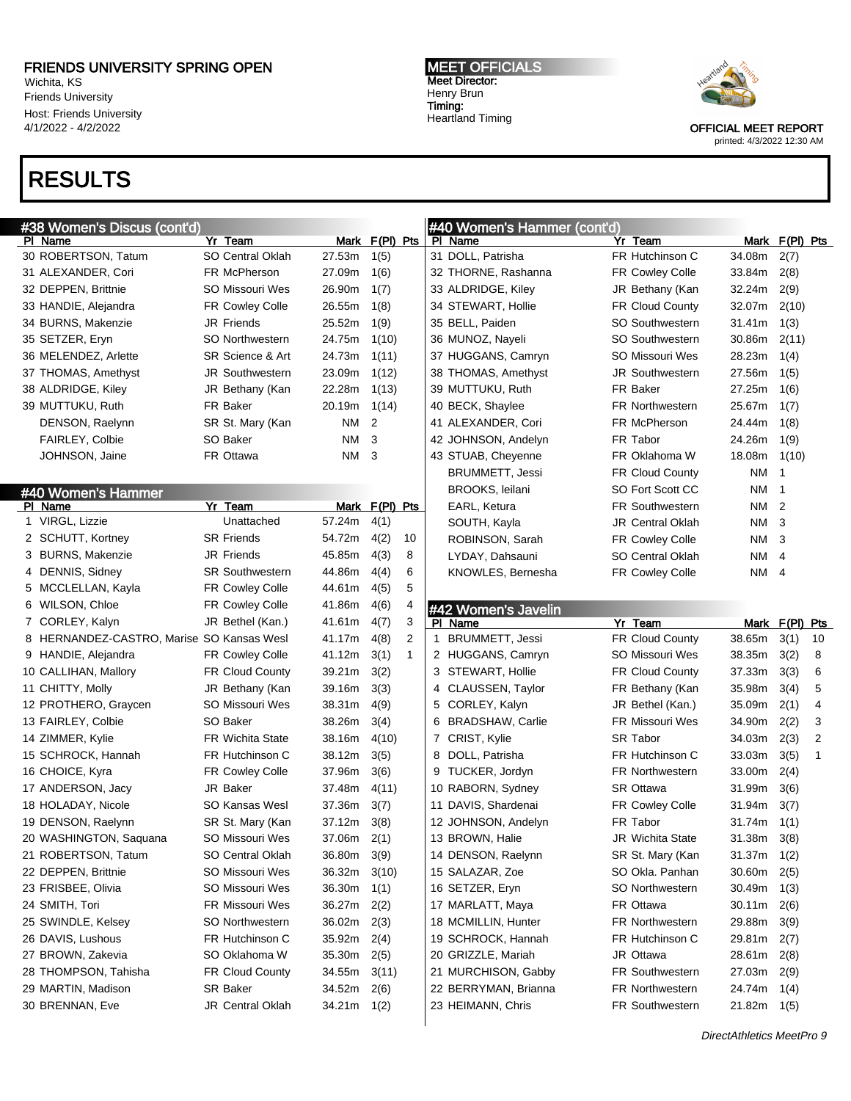Wichita, KS Friends University Host: Friends University 4/1/2022 - 4/2/2022

## RESULTS

#### MEET OFFICIALS Meet Director: Henry Brun Timing: Heartland Timing



OFFICIAL MEET REPORT

### printed: 4/3/2022 12:30 AM

|                | #38 Women's Discus (cont'd)               |                         |               |                |                | #40 Women's Hammer (cont'd) |                         |               |                 |                |
|----------------|-------------------------------------------|-------------------------|---------------|----------------|----------------|-----------------------------|-------------------------|---------------|-----------------|----------------|
| PI Name        |                                           | Yr Team                 | Mark          | $F(PI)$ Pts    |                | PI Name                     | Yr Team                 | Mark          | <u>F(PI) Pt</u> |                |
|                | 30 ROBERTSON, Tatum                       | <b>SO Central Oklah</b> | 27.53m        | 1(5)           |                | 31 DOLL, Patrisha           | FR Hutchinson C         | 34.08m        | 2(7)            |                |
|                | 31 ALEXANDER, Cori                        | FR McPherson            | 27.09m        | 1(6)           |                | 32 THORNE, Rashanna         | FR Cowley Colle         | 33.84m        | 2(8)            |                |
|                | 32 DEPPEN, Brittnie                       | SO Missouri Wes         | 26.90m        | 1(7)           |                | 33 ALDRIDGE, Kiley          | JR Bethany (Kan         | 32.24m        | 2(9)            |                |
|                | 33 HANDIE, Alejandra                      | FR Cowley Colle         | 26.55m        | 1(8)           |                | 34 STEWART, Hollie          | FR Cloud County         | 32.07m        | 2(10)           |                |
|                | 34 BURNS, Makenzie                        | <b>JR Friends</b>       | 25.52m        | 1(9)           |                | 35 BELL, Paiden             | <b>SO Southwestern</b>  | 31.41m        | 1(3)            |                |
|                | 35 SETZER, Eryn                           | <b>SO Northwestern</b>  | 24.75m        | 1(10)          |                | 36 MUNOZ, Nayeli            | <b>SO Southwestern</b>  | 30.86m        | 2(11)           |                |
|                | 36 MELENDEZ, Arlette                      | SR Science & Art        | 24.73m        | 1(11)          |                | 37 HUGGANS, Camryn          | SO Missouri Wes         | 28.23m        | 1(4)            |                |
|                | 37 THOMAS, Amethyst                       | <b>JR Southwestern</b>  | 23.09m        | 1(12)          |                | 38 THOMAS, Amethyst         | <b>JR Southwestern</b>  | 27.56m        | 1(5)            |                |
|                | 38 ALDRIDGE, Kiley                        | JR Bethany (Kan         | 22.28m        | 1(13)          |                | 39 MUTTUKU, Ruth            | FR Baker                | 27.25m        | 1(6)            |                |
|                | 39 MUTTUKU, Ruth                          | FR Baker                | 20.19m        | 1(14)          |                | 40 BECK, Shaylee            | <b>FR Northwestern</b>  | 25.67m        | 1(7)            |                |
|                | DENSON, Raelynn                           | SR St. Mary (Kan        | ΝM            | $\overline{2}$ |                | 41 ALEXANDER, Cori          | FR McPherson            | 24.44m        | 1(8)            |                |
|                | <b>FAIRLEY, Colbie</b>                    | SO Baker                | <b>NM</b>     | 3              |                | 42 JOHNSON, Andelyn         | FR Tabor                | 24.26m        | 1(9)            |                |
|                | JOHNSON, Jaine                            | FR Ottawa               | <b>NM</b>     | 3              |                | 43 STUAB, Cheyenne          | FR Oklahoma W           | 18.08m        | 1(10)           |                |
|                |                                           |                         |               |                |                | <b>BRUMMETT, Jessi</b>      | FR Cloud County         | NM            | $\overline{1}$  |                |
|                | #40 Women's Hammer                        |                         |               |                |                | BROOKS, leilani             | SO Fort Scott CC        | NM            | $\overline{1}$  |                |
| PI Name        |                                           | Yr Team                 | Mark          | $F(PI)$ Pts    |                | EARL, Ketura                | <b>FR Southwestern</b>  | NM            | $\overline{2}$  |                |
|                | 1 VIRGL, Lizzie                           | Unattached              | 57.24m        | 4(1)           |                | SOUTH, Kayla                | <b>JR Central Oklah</b> | ΝM            | 3               |                |
|                | 2 SCHUTT, Kortney                         | <b>SR Friends</b>       | 54.72m        | 4(2)           | 10             | ROBINSON, Sarah             | <b>FR Cowley Colle</b>  | NM            | 3               |                |
|                | 3 BURNS, Makenzie                         | <b>JR Friends</b>       | 45.85m        | 4(3)           | 8              | LYDAY, Dahsauni             | <b>SO Central Oklah</b> | ΝM            | $\overline{4}$  |                |
|                | 4 DENNIS, Sidney                          | <b>SR Southwestern</b>  | 44.86m        | 4(4)           | 6              | KNOWLES, Bernesha           | <b>FR Cowley Colle</b>  | NM            | $\overline{4}$  |                |
|                | 5 MCCLELLAN, Kayla                        | <b>FR Cowley Colle</b>  | 44.61m        | 4(5)           | 5              |                             |                         |               |                 |                |
|                | 6 WILSON, Chloe                           | FR Cowley Colle         | 41.86m        | 4(6)           | 4              | #42 Women's Javelin         |                         |               |                 |                |
|                | 7 CORLEY, Kalyn                           | JR Bethel (Kan.)        | 41.61m        | 4(7)           | 3              | PI Name                     | Yr Team                 | Mark          | $F(PI)$ Pt      |                |
|                | 8 HERNANDEZ-CASTRO, Marise SO Kansas Wesl |                         | 41.17m        | 4(8)           | $\overline{2}$ | 1 BRUMMETT, Jessi           | <b>FR Cloud County</b>  | 38.65m        | 3(1)            | 10             |
|                | 9 HANDIE, Alejandra                       | <b>FR Cowley Colle</b>  | 41.12m        | 3(1)           | 1              | 2 HUGGANS, Camryn           | SO Missouri Wes         | 38.35m        | 3(2)            | 8              |
|                | 10 CALLIHAN, Mallory                      | <b>FR Cloud County</b>  | 39.21m        | 3(2)           |                | 3 STEWART, Hollie           | <b>FR Cloud County</b>  | 37.33m        | 3(3)            | 6              |
|                | 11 CHITTY, Molly                          | JR Bethany (Kan         | 39.16m        | 3(3)           |                | 4 CLAUSSEN, Taylor          | FR Bethany (Kan         | 35.98m        | 3(4)            | 5              |
|                | 12 PROTHERO, Graycen                      | SO Missouri Wes         | 38.31m        | 4(9)           |                | 5 CORLEY, Kalyn             | JR Bethel (Kan.)        | 35.09m        | 2(1)            | 4              |
|                | 13 FAIRLEY, Colbie                        | SO Baker                | 38.26m        | 3(4)           |                | 6 BRADSHAW, Carlie          | FR Missouri Wes         | 34.90m        | 2(2)            | 3              |
|                | 14 ZIMMER, Kylie                          | <b>FR Wichita State</b> | 38.16m        | 4(10)          |                | 7 CRIST, Kylie              | <b>SR Tabor</b>         | 34.03m        | 2(3)            | $\overline{2}$ |
|                | 15 SCHROCK, Hannah                        | FR Hutchinson C         | 38.12m        | 3(5)           |                | 8 DOLL, Patrisha            | FR Hutchinson C         | 33.03m        | 3(5)            | 1              |
|                | 16 CHOICE, Kyra                           | FR Cowley Colle         | 37.96m        | 3(6)           |                | 9 TUCKER, Jordyn            | <b>FR Northwestern</b>  | 33.00m        | 2(4)            |                |
|                | 17 ANDERSON, Jacy                         | <b>JR Baker</b>         | 37.48m        | 4(11)          |                | 10 RABORN, Sydney           | <b>SR Ottawa</b>        | 31.99m        | 3(6)            |                |
|                | 18 HOLADAY, Nicole                        | <b>SO Kansas Wesl</b>   | 37.36m        | 3(7)           |                | 11 DAVIS, Shardenai         | <b>FR Cowley Colle</b>  | 31.94m        | 3(7)            |                |
|                | 19 DENSON, Raelynn                        | SR St. Mary (Kan        | 37.12m        | 3(8)           |                | 12 JOHNSON, Andelyn         | FR Tabor                | 31.74m        | 1(1)            |                |
|                | 20 WASHINGTON, Saquana                    | SO Missouri Wes         | 37.06m        | 2(1)           |                | 13 BROWN, Halie             | JR Wichita State        | 31.38m        | 3(8)            |                |
|                | 21 ROBERTSON, Tatum                       | SO Central Oklah        | 36.80m        | 3(9)           |                | 14 DENSON, Raelynn          | SR St. Mary (Kan        | 31.37m        | 1(2)            |                |
|                | 22 DEPPEN, Brittnie                       | SO Missouri Wes         | 36.32m        | 3(10)          |                | 15 SALAZAR, Zoe             | SO Okla. Panhan         | 30.60m        | 2(5)            |                |
|                | 23 FRISBEE, Olivia                        | SO Missouri Wes         | 36.30m        | 1(1)           |                | 16 SETZER, Eryn             | <b>SO Northwestern</b>  | 30.49m        | 1(3)            |                |
| 24 SMITH, Tori |                                           | FR Missouri Wes         | 36.27m        | 2(2)           |                | 17 MARLATT, Maya            | FR Ottawa               | 30.11m        | 2(6)            |                |
|                | 25 SWINDLE, Kelsey                        | SO Northwestern         | 36.02m        | 2(3)           |                | 18 MCMILLIN, Hunter         | FR Northwestern         | 29.88m        | 3(9)            |                |
|                | 26 DAVIS, Lushous                         | FR Hutchinson C         | 35.92m        | 2(4)           |                | 19 SCHROCK, Hannah          | FR Hutchinson C         | 29.81m        | 2(7)            |                |
|                | 27 BROWN, Zakevia                         | SO Oklahoma W           | 35.30m        | 2(5)           |                | 20 GRIZZLE, Mariah          | JR Ottawa               | 28.61m        | 2(8)            |                |
|                | 28 THOMPSON, Tahisha                      | FR Cloud County         | 34.55m        | 3(11)          |                | 21 MURCHISON, Gabby         | FR Southwestern         | 27.03m        | 2(9)            |                |
|                | 29 MARTIN, Madison                        | SR Baker                | 34.52m        | 2(6)           |                | 22 BERRYMAN, Brianna        | FR Northwestern         | 24.74m        | 1(4)            |                |
|                | 30 BRENNAN, Eve                           | <b>JR Central Oklah</b> | $34.21m$ 1(2) |                |                | 23 HEIMANN, Chris           | <b>FR Southwestern</b>  | $21.82m$ 1(5) |                 |                |
|                |                                           |                         |               |                |                |                             |                         |               |                 |                |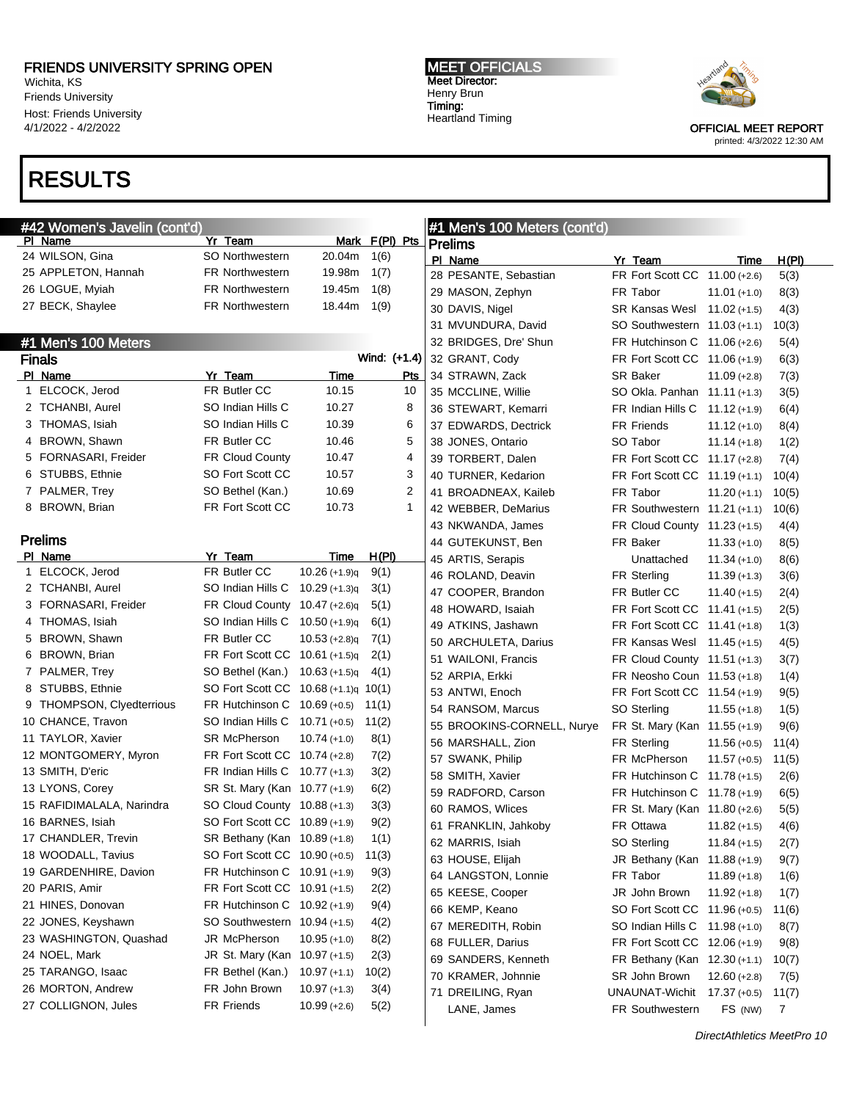Wichita, KS Friends University Host: Friends University 4/1/2022 - 4/2/2022

# RESULTS

MEET OFFICIALS Meet Director: Henry Brun Timing: Heartland Timing



| <u>#42 Wo</u> men's Javelin (cont'd) |                                      |                 |                | #1 Men's 100 Meters (cont'd) |                                  |                |              |
|--------------------------------------|--------------------------------------|-----------------|----------------|------------------------------|----------------------------------|----------------|--------------|
| PI Name                              | Yr Team                              |                 | Mark F(PI) Pts | <b>Prelims</b>               |                                  |                |              |
| 24 WILSON, Gina                      | <b>SO Northwestern</b>               | 20.04m          | 1(6)           | PI Name                      | Yr Team                          | Time           | H(PI)        |
| 25 APPLETON, Hannah                  | <b>FR Northwestern</b>               | 19.98m          | 1(7)           | 28 PESANTE, Sebastian        | FR Fort Scott CC 11.00 (+2.6)    |                | 5(3)         |
| 26 LOGUE, Myiah                      | <b>FR Northwestern</b>               | 19.45m          | 1(8)           | 29 MASON, Zephyn             | FR Tabor                         | $11.01 (+1.0)$ | 8(3)         |
| 27 BECK, Shaylee                     | <b>FR Northwestern</b>               | 18.44m          | 1(9)           | 30 DAVIS, Nigel              | SR Kansas Wesl 11.02 (+1.5)      |                | 4(3)         |
|                                      |                                      |                 |                | 31 MVUNDURA, David           | SO Southwestern 11.03 (+1.1)     |                | 10(3)        |
| #1 Men's 100 Meters                  |                                      |                 |                | 32 BRIDGES, Dre' Shun        | FR Hutchinson C 11.06 (+2.6)     |                | 5(4)         |
| Finals                               |                                      |                 | Wind: (+1.4)   | 32 GRANT, Cody               | FR Fort Scott CC 11.06 (+1.9)    |                | 6(3)         |
| PI Name                              | Yr Team                              | Time            | Pts            | 34 STRAWN, Zack              | <b>SR Baker</b>                  | $11.09 (+2.8)$ | 7(3)         |
| 1 ELCOCK, Jerod                      | FR Butler CC                         | 10.15           | 10             | 35 MCCLINE, Willie           | SO Okla. Panhan 11.11 (+1.3)     |                | 3(5)         |
| 2 TCHANBI, Aurel                     | SO Indian Hills C                    | 10.27           | 8              | 36 STEWART, Kemarri          | FR Indian Hills C $11.12 (+1.9)$ |                | 6(4)         |
| 3 THOMAS, Isiah                      | SO Indian Hills C                    | 10.39           | 6              | 37 EDWARDS, Dectrick         | <b>FR Friends</b>                | $11.12 (+1.0)$ | 8(4)         |
| 4 BROWN, Shawn                       | FR Butler CC                         | 10.46           | 5              | 38 JONES, Ontario            | SO Tabor                         | $11.14 (+1.8)$ | 1(2)         |
| 5 FORNASARI, Freider                 | <b>FR Cloud County</b>               | 10.47           | 4              | 39 TORBERT, Dalen            | FR Fort Scott CC 11.17 (+2.8)    |                | 7(4)         |
| 6 STUBBS, Ethnie                     | SO Fort Scott CC                     | 10.57           | 3              | 40 TURNER, Kedarion          | FR Fort Scott CC 11.19 (+1.1)    |                | 10(4)        |
| 7 PALMER, Trey                       | SO Bethel (Kan.)                     | 10.69           | $\overline{2}$ | 41 BROADNEAX, Kaileb         | FR Tabor                         | $11.20 (+1.1)$ | 10(5)        |
| 8 BROWN, Brian                       | FR Fort Scott CC                     | 10.73           | 1              | 42 WEBBER, DeMarius          | FR Southwestern 11.21 (+1.1)     |                | 10(6)        |
|                                      |                                      |                 |                | 43 NKWANDA, James            | FR Cloud County 11.23 (+1.5)     |                | 4(4)         |
| <b>Prelims</b>                       |                                      |                 |                | 44 GUTEKUNST, Ben            | FR Baker                         | $11.33 (+1.0)$ | 8(5)         |
| PI Name                              | Yr Team                              | <b>Time</b>     | H(PI)          | 45 ARTIS, Serapis            | Unattached                       | $11.34 (+1.0)$ | 8(6)         |
| 1 ELCOCK, Jerod                      | FR Butler CC                         | $10.26 (+1.9)q$ | 9(1)           | 46 ROLAND, Deavin            | FR Sterling                      | $11.39 (+1.3)$ | 3(6)         |
| 2 TCHANBI, Aurel                     | SO Indian Hills C 10.29 (+1.3)q      |                 | 3(1)           | 47 COOPER, Brandon           | FR Butler CC                     | $11.40 (+1.5)$ | 2(4)         |
| 3 FORNASARI, Freider                 | FR Cloud County 10.47 (+2.6)q        |                 | 5(1)           | 48 HOWARD, Isaiah            | FR Fort Scott CC 11.41 (+1.5)    |                | 2(5)         |
| 4 THOMAS, Isiah                      | SO Indian Hills C 10.50 (+1.9)q      |                 | 6(1)           | 49 ATKINS, Jashawn           | FR Fort Scott CC 11.41 (+1.8)    |                | 1(3)         |
| 5 BROWN, Shawn                       | FR Butler CC                         | $10.53 (+2.8)q$ | 7(1)           | 50 ARCHULETA, Darius         | FR Kansas Wesl 11.45 (+1.5)      |                | 4(5)         |
| 6 BROWN, Brian                       | FR Fort Scott CC 10.61 (+1.5)q       |                 | 2(1)           | 51 WAILONI, Francis          | FR Cloud County 11.51 (+1.3)     |                | 3(7)         |
| 7 PALMER, Trey                       | SO Bethel (Kan.) 10.63 (+1.5)q       |                 | 4(1)           | 52 ARPIA, Erkki              | FR Neosho Coun 11.53 (+1.8)      |                | 1(4)         |
| 8 STUBBS, Ethnie                     | SO Fort Scott CC 10.68 (+1.1)q 10(1) |                 |                | 53 ANTWI, Enoch              | FR Fort Scott CC 11.54 (+1.9)    |                | 9(5)         |
| 9 THOMPSON, Clyedterrious            | FR Hutchinson C $10.69$ (+0.5)       |                 | 11(1)          | 54 RANSOM, Marcus            | SO Sterling                      | $11.55 (+1.8)$ | 1(5)         |
| 10 CHANCE, Travon                    | SO Indian Hills C 10.71 (+0.5)       |                 | 11(2)          | 55 BROOKINS-CORNELL, Nurye   | FR St. Mary (Kan 11.55 (+1.9)    |                | 9(6)         |
| 11 TAYLOR, Xavier                    | <b>SR McPherson</b>                  | $10.74 (+1.0)$  | 8(1)           | 56 MARSHALL, Zion            | FR Sterling                      | $11.56 (+0.5)$ | 11(4)        |
| 12 MONTGOMERY, Myron                 | FR Fort Scott CC 10.74 (+2.8)        |                 | 7(2)           | 57 SWANK, Philip             | FR McPherson                     | $11.57 (+0.5)$ | 11(5)        |
| 13 SMITH, D'eric                     | FR Indian Hills C 10.77 (+1.3)       |                 | 3(2)           | 58 SMITH, Xavier             | FR Hutchinson C $11.78$ (+1.5)   |                | 2(6)         |
| 13 LYONS, Corey                      | SR St. Mary (Kan 10.77 (+1.9)        |                 | 6(2)           | 59 RADFORD, Carson           | FR Hutchinson C $11.78 (+1.9)$   |                | 6(5)         |
| 15 RAFIDIMALALA, Narindra            | SO Cloud County 10.88 (+1.3)         |                 | 3(3)           | 60 RAMOS, Wlices             | FR St. Mary (Kan 11.80 (+2.6)    |                | 5(5)         |
| 16 BARNES, Isiah                     | SO Fort Scott CC 10.89 (+1.9)        |                 | 9(2)           | 61 FRANKLIN, Jahkoby         | FR Ottawa                        | $11.82 (+1.5)$ | 4(6)         |
| 17 CHANDLER, Trevin                  | SR Bethany (Kan 10.89 (+1.8)         |                 | 1(1)           | 62 MARRIS, Isiah             | SO Sterling                      | $11.84 (+1.5)$ | 2(7)         |
| 18 WOODALL, Tavius                   | SO Fort Scott CC 10.90 (+0.5)        |                 | 11(3)          | 63 HOUSE, Elijah             | JR Bethany (Kan 11.88 (+1.9)     |                | 9(7)         |
| 19 GARDENHIRE, Davion                | FR Hutchinson C 10.91 (+1.9)         |                 | 9(3)           | 64 LANGSTON, Lonnie          | FR Tabor                         | $11.89 (+1.8)$ | 1(6)         |
| 20 PARIS, Amir                       | FR Fort Scott CC 10.91 (+1.5)        |                 | 2(2)           | 65 KEESE, Cooper             | JR John Brown                    | $11.92 (+1.8)$ |              |
| 21 HINES, Donovan                    | FR Hutchinson C 10.92 (+1.9)         |                 | 9(4)           | 66 KEMP, Keano               | SO Fort Scott CC 11.96 (+0.5)    |                | 1(7)         |
| 22 JONES, Keyshawn                   | SO Southwestern 10.94 (+1.5)         |                 | 4(2)           | 67 MEREDITH, Robin           |                                  |                | 11(6)        |
| 23 WASHINGTON, Quashad               | JR McPherson                         | $10.95 (+1.0)$  | 8(2)           |                              | SO Indian Hills C 11.98 (+1.0)   |                | 8(7)         |
| 24 NOEL, Mark                        | JR St. Mary (Kan 10.97 (+1.5)        |                 | 2(3)           | 68 FULLER, Darius            | FR Fort Scott CC 12.06 (+1.9)    |                | 9(8)         |
| 25 TARANGO, Isaac                    | FR Bethel (Kan.)                     | $10.97 (+1.1)$  | 10(2)          | 69 SANDERS, Kenneth          | FR Bethany (Kan 12.30 (+1.1)     |                | 10(7)        |
| 26 MORTON, Andrew                    | FR John Brown                        | $10.97 (+1.3)$  | 3(4)           | 70 KRAMER, Johnnie           | SR John Brown                    | $12.60 (+2.8)$ | 7(5)         |
| 27 COLLIGNON, Jules                  | FR Friends                           | $10.99 (+2.6)$  | 5(2)           | 71 DREILING, Ryan            | UNAUNAT-Wichit 17.37 (+0.5)      |                | 11(7)        |
|                                      |                                      |                 |                | LANE, James                  | <b>FR Southwestern</b>           | FS (NW)        | $\mathbf{7}$ |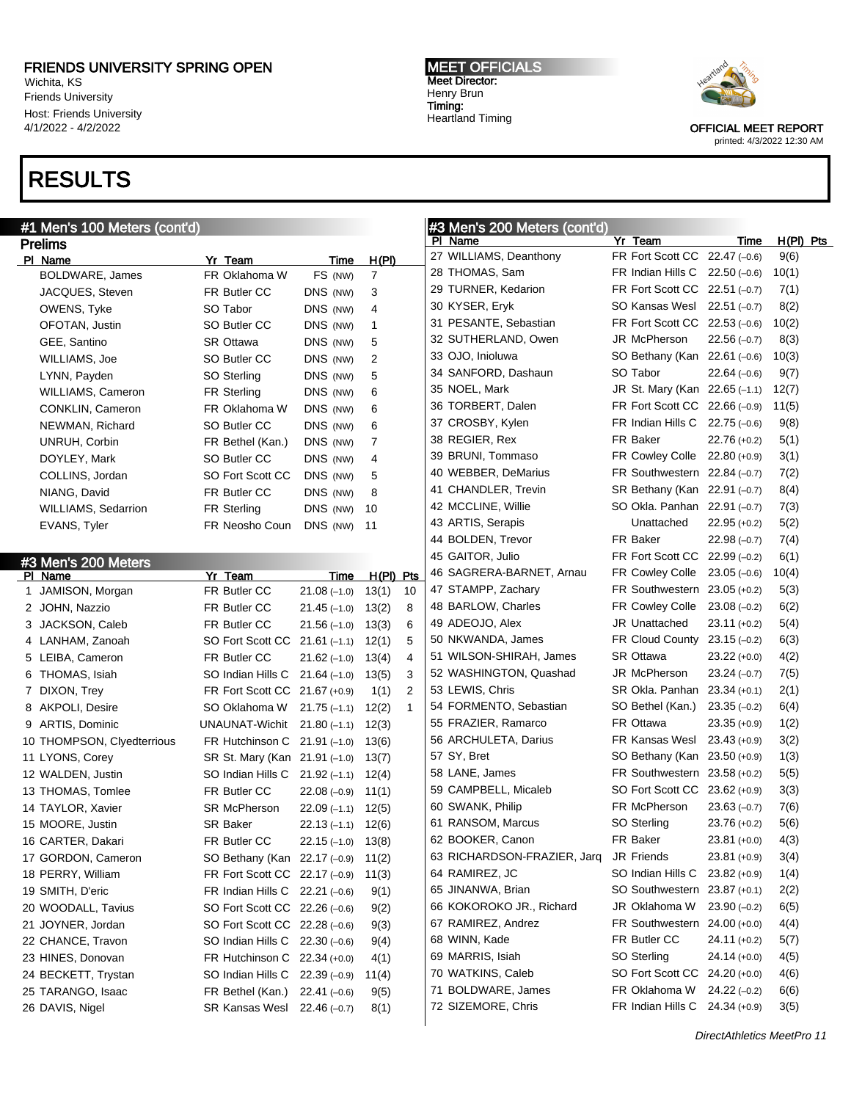Wichita, KS Friends University Host: Friends University 4/1/2022 - 4/2/2022

### RESULTS

### #1 Men's 100 Meters (cont'd)

Prelims PI Name **Yr Team Yr Team** Time H(PI) BOLDWARE, James FR Oklahoma W FS (NW) 7 JACQUES, Steven FR Butler CC DNS (NW) 3 OWENS, Tyke SO Tabor DNS (NW) 4 OFOTAN, Justin SO Butler CC DNS (NW) 1 GEE, Santino SR Ottawa DNS (NW) 5 WILLIAMS, Joe SO Butler CC DNS (NW) 2 LYNN, Payden SO Sterling DNS (NW) 5 WILLIAMS, Cameron FR Sterling DNS (NW) 6 CONKLIN, Cameron FR Oklahoma W DNS (NW) 6 NEWMAN, Richard SO Butler CC DNS (NW) 6 UNRUH, Corbin FR Bethel (Kan.) DNS (NW) 7 DOYLEY, Mark SO Butler CC DNS (NW) 4 COLLINS, Jordan SO Fort Scott CC DNS (NW) 5 NIANG, David **FR Butler CC** DNS (NW) 8 WILLIAMS, Sedarrion FR Sterling DNS (NW) 10 EVANS, Tyler FR Neosho Coun DNS (NW) 11 #3 Men's 200 Meters PI Name **Yr Team** Time H(PI) Pts JAMISON, Morgan FR Butler CC 21.08 (–1.0) 13(1) 10 JOHN, Nazzio FR Butler CC 21.45 (–1.0) 13(2) 8 JACKSON, Caleb FR Butler CC 21.56 (–1.0) 13(3) 6 LANHAM, Zanoah SO Fort Scott CC 21.61 (–1.1) 12(1) 5 LEIBA, Cameron FR Butler CC 21.62 (–1.0) 13(4) 4 THOMAS, Isiah SO Indian Hills C 21.64 (–1.0) 13(5) 3 DIXON, Trey FR Fort Scott CC 21.67 (+0.9) 1(1) 2 8 AKPOLI, Desire SO Oklahoma W 21.75 (-1.1) 12(2) 1 ARTIS, Dominic UNAUNAT-Wichit 21.80 (–1.1) 12(3) THOMPSON, Clyedterrious FR Hutchinson C 21.91 (–1.0) 13(6) LYONS, Corey SR St. Mary (Kan 21.91 (–1.0) 13(7) WALDEN, Justin SO Indian Hills C 21.92 (–1.1) 12(4) THOMAS, Tomlee FR Butler CC 22.08 (–0.9) 11(1) TAYLOR, Xavier SR McPherson 22.09 (–1.1) 12(5) MOORE, Justin SR Baker 22.13 (–1.1) 12(6) CARTER, Dakari FR Butler CC 22.15 (–1.0) 13(8) GORDON, Cameron SO Bethany (Kan 22.17 (–0.9) 11(2) PERRY, William FR Fort Scott CC 22.17 (–0.9) 11(3) SMITH, D'eric FR Indian Hills C 22.21 (–0.6) 9(1) WOODALL, Tavius SO Fort Scott CC 22.26 (–0.6) 9(2)

 JOYNER, Jordan SO Fort Scott CC 22.28 (–0.6) 9(3) CHANCE, Travon SO Indian Hills C 22.30 (–0.6) 9(4) HINES, Donovan FR Hutchinson C 22.34 (+0.0) 4(1) BECKETT, Trystan SO Indian Hills C 22.39 (–0.9) 11(4) TARANGO, Isaac FR Bethel (Kan.) 22.41 (–0.6) 9(5) DAVIS, Nigel SR Kansas Wesl 22.46 (–0.7) 8(1)

#### MEET OFFICIALS Meet Director: Henry Brun Timing: Heartland Timing



OFFICIAL MEET REPORT printed: 4/3/2022 12:30 AM

### #3 Men's 200 Meters (cont'd) Purician Time H(PI) Pts

| 27 WILLIAMS, Deanthony      | <b>FR Fort Scott CC</b>      | $22.47(-0.6)$  | 9(6)  |  |
|-----------------------------|------------------------------|----------------|-------|--|
| 28 THOMAS, Sam              | FR Indian Hills C            | $22.50(-0.6)$  | 10(1) |  |
| 29 TURNER, Kedarion         | FR Fort Scott CC             | $22.51(-0.7)$  | 7(1)  |  |
| 30 KYSER, Eryk              | SO Kansas Wesl               | $22.51(-0.7)$  | 8(2)  |  |
| 31 PESANTE, Sebastian       | FR Fort Scott CC             | $22.53(-0.6)$  | 10(2) |  |
| 32 SUTHERLAND, Owen         | JR McPherson                 | $22.56(-0.7)$  | 8(3)  |  |
| 33 OJO, Inioluwa            | SO Bethany (Kan              | $22.61(-0.6)$  | 10(3) |  |
| 34 SANFORD, Dashaun         | SO Tabor                     | $22.64(-0.6)$  | 9(7)  |  |
| 35 NOEL, Mark               | JR St. Mary (Kan             | $22.65(-1.1)$  | 12(7) |  |
| 36 TORBERT, Dalen           | FR Fort Scott CC             | $22.66(-0.9)$  | 11(5) |  |
| 37 CROSBY, Kylen            | FR Indian Hills C            | $22.75(-0.6)$  | 9(8)  |  |
| 38 REGIER, Rex              | <b>FR Baker</b>              | $22.76 (+0.2)$ | 5(1)  |  |
| 39 BRUNI, Tommaso           | FR Cowley Colle              | $22.80 (+0.9)$ | 3(1)  |  |
| 40 WEBBER, DeMarius         | <b>FR Southwestern</b>       | 22.84 (–0.7)   | 7(2)  |  |
| 41 CHANDLER, Trevin         | SR Bethany (Kan              | $22.91(-0.7)$  | 8(4)  |  |
| 42 MCCLINE, Willie          | SO Okla. Panhan              | $22.91(-0.7)$  | 7(3)  |  |
| 43 ARTIS, Serapis           | Unattached                   | $22.95 (+0.2)$ | 5(2)  |  |
| 44 BOLDEN, Trevor           | <b>FR Baker</b>              | $22.98(-0.7)$  | 7(4)  |  |
| 45 GAITOR, Julio            | FR Fort Scott CC             | $22.99(-0.2)$  | 6(1)  |  |
| 46 SAGRERA-BARNET, Arnau    | FR Cowley Colle              | $23.05(-0.6)$  | 10(4) |  |
| 47 STAMPP, Zachary          | FR Southwestern 23.05 (+0.2) |                | 5(3)  |  |
| 48 BARLOW, Charles          | <b>FR Cowley Colle</b>       | $23.08(-0.2)$  | 6(2)  |  |
| 49 ADEOJO, Alex             | <b>JR Unattached</b>         | $23.11 (+0.2)$ | 5(4)  |  |
| 50 NKWANDA, James           | <b>FR Cloud County</b>       | $23.15(-0.2)$  | 6(3)  |  |
| 51 WILSON-SHIRAH, James     | SR Ottawa                    | $23.22 (+0.0)$ | 4(2)  |  |
| 52 WASHINGTON, Quashad      | JR McPherson                 | $23.24(-0.7)$  | 7(5)  |  |
| 53 LEWIS, Chris             | SR Okla. Panhan              | $23.34 (+0.1)$ | 2(1)  |  |
| 54 FORMENTO, Sebastian      | SO Bethel (Kan.)             | $23.35(-0.2)$  | 6(4)  |  |
| 55 FRAZIER, Ramarco         | FR Ottawa                    | $23.35 (+0.9)$ | 1(2)  |  |
| 56 ARCHULETA, Darius        | FR Kansas Wesl               | $23.43 (+0.9)$ | 3(2)  |  |
| 57 SY, Bret                 | SO Bethany (Kan              | $23.50 (+0.9)$ | 1(3)  |  |
| 58 LANE, James              | <b>FR Southwestern</b>       | $23.58(+0.2)$  | 5(5)  |  |
| 59 CAMPBELL, Micaleb        | SO Fort Scott CC             | $23.62 (+0.9)$ | 3(3)  |  |
| 60 SWANK, Philip            | FR McPherson                 | $23.63(-0.7)$  | 7(6)  |  |
| 61 RANSOM, Marcus           | SO Sterling                  | $23.76 (+0.2)$ | 5(6)  |  |
| 62 BOOKER, Canon            | <b>FR Baker</b>              | $23.81 (+0.0)$ | 4(3)  |  |
| 63 RICHARDSON-FRAZIER, Jarq | <b>JR Friends</b>            | $23.81 (+0.9)$ | 3(4)  |  |
| 64 RAMIREZ, JC              | SO Indian Hills C            | $23.82 (+0.9)$ | 1(4)  |  |
| 65 JINANWA, Brian           | SO Southwestern 23.87 (+0.1) |                | 2(2)  |  |
| 66 KOKOROKO JR., Richard    | JR Oklahoma W                | $23.90(-0.2)$  | 6(5)  |  |
| 67 RAMIREZ, Andrez          | <b>FR Southwestern</b>       | $24.00 (+0.0)$ | 4(4)  |  |
| 68 WINN, Kade               | FR Butler CC                 | $24.11 (+0.2)$ | 5(7)  |  |
| 69 MARRIS, Isiah            | SO Sterling                  | $24.14 (+0.0)$ | 4(5)  |  |
| 70 WATKINS, Caleb           | SO Fort Scott CC             | $24.20 (+0.0)$ | 4(6)  |  |
| 71 BOLDWARE, James          | FR Oklahoma W                | $24.22(-0.2)$  | 6(6)  |  |
| 72 SIZEMORE, Chris          | FR Indian Hills C            | $24.34 (+0.9)$ | 3(5)  |  |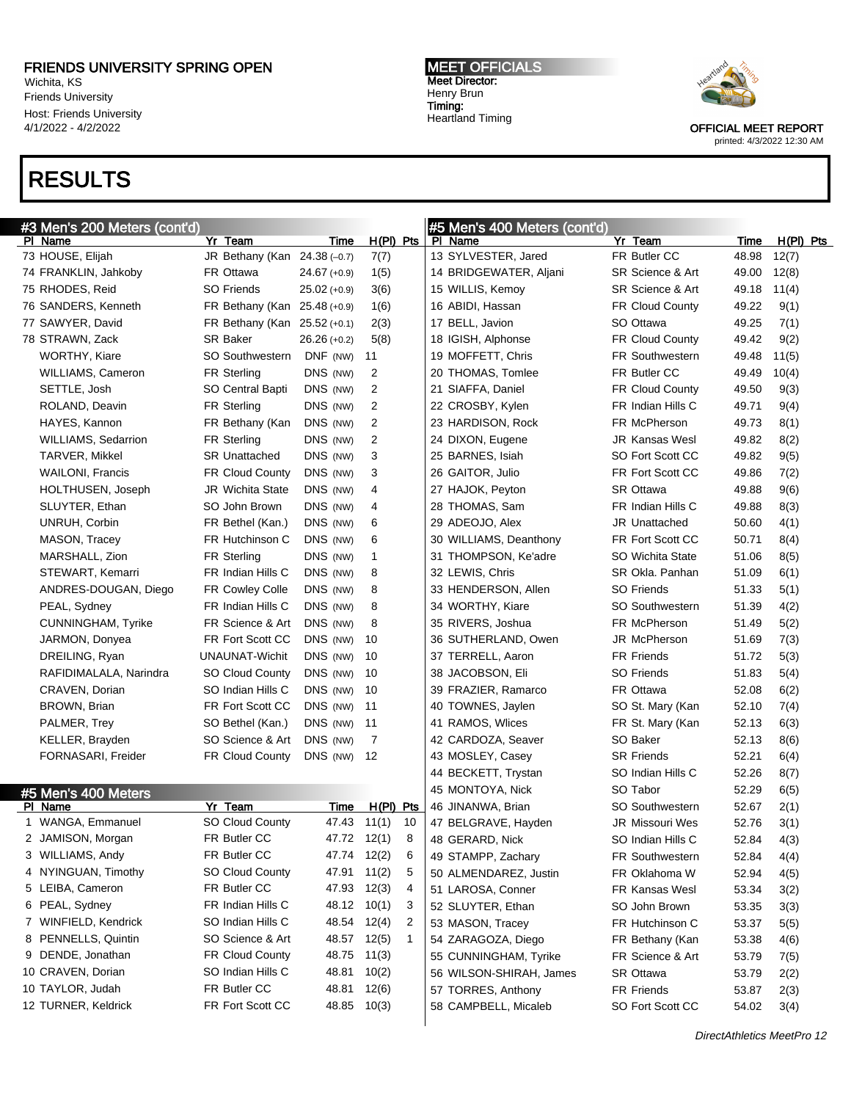Wichita, KS Friends University Host: Friends University 4/1/2022 - 4/2/2022

# RESULTS

**MEET OFFICIALS** Meet Director: Henry Brun Timing: Heartland Timing



| #3 Men's 200 Meters (cont'd) |                              |                |             |    | #5 Men's 400 Meters (cont'd)            |                         |       |           |
|------------------------------|------------------------------|----------------|-------------|----|-----------------------------------------|-------------------------|-------|-----------|
| PI Name                      | Yr Team                      | Time           | $H(PI)$ Pts |    | PI Name                                 | Yr Team                 | Time  | H(PI) Pts |
| 73 HOUSE, Elijah             | JR Bethany (Kan 24.38 (-0.7) |                | 7(7)        |    | 13 SYLVESTER, Jared                     | FR Butler CC            | 48.98 | 12(7)     |
| 74 FRANKLIN, Jahkoby         | FR Ottawa                    | $24.67 (+0.9)$ | 1(5)        |    | 14 BRIDGEWATER, Aljani                  | SR Science & Art        | 49.00 | 12(8)     |
| 75 RHODES, Reid              | <b>SO Friends</b>            | $25.02 (+0.9)$ | 3(6)        |    | 15 WILLIS, Kemoy                        | SR Science & Art        | 49.18 | 11(4)     |
| 76 SANDERS, Kenneth          | FR Bethany (Kan 25.48 (+0.9) |                | 1(6)        |    | 16 ABIDI, Hassan                        | FR Cloud County         | 49.22 | 9(1)      |
| 77 SAWYER, David             | FR Bethany (Kan 25.52 (+0.1) |                | 2(3)        |    | 17 BELL, Javion                         | SO Ottawa               | 49.25 | 7(1)      |
| 78 STRAWN, Zack              | <b>SR Baker</b>              | $26.26 (+0.2)$ | 5(8)        |    | 18 IGISH, Alphonse                      | FR Cloud County         | 49.42 | 9(2)      |
| WORTHY, Kiare                | <b>SO Southwestern</b>       | DNF (NW)       | 11          |    | 19 MOFFETT, Chris                       | <b>FR Southwestern</b>  | 49.48 | 11(5)     |
| WILLIAMS, Cameron            | <b>FR Sterling</b>           | DNS (NW)       | 2           |    | 20 THOMAS, Tomlee                       | FR Butler CC            | 49.49 | 10(4)     |
| SETTLE, Josh                 | SO Central Bapti             | DNS (NW)       | 2           |    | 21 SIAFFA, Daniel                       | FR Cloud County         | 49.50 | 9(3)      |
| ROLAND, Deavin               | <b>FR Sterling</b>           | DNS (NW)       | 2           |    | 22 CROSBY, Kylen                        | FR Indian Hills C       | 49.71 | 9(4)      |
| HAYES, Kannon                | FR Bethany (Kan              | DNS (NW)       | 2           |    | 23 HARDISON, Rock                       | FR McPherson            | 49.73 | 8(1)      |
| <b>WILLIAMS, Sedarrion</b>   | <b>FR Sterling</b>           | DNS (NW)       | 2           |    | 24 DIXON, Eugene                        | <b>JR Kansas Wesl</b>   | 49.82 | 8(2)      |
| TARVER, Mikkel               | <b>SR Unattached</b>         | DNS (NW)       | 3           |    | 25 BARNES, Isiah                        | SO Fort Scott CC        | 49.82 | 9(5)      |
| <b>WAILONI, Francis</b>      | <b>FR Cloud County</b>       | DNS (NW)       | 3           |    | 26 GAITOR, Julio                        | FR Fort Scott CC        | 49.86 | 7(2)      |
| HOLTHUSEN, Joseph            | <b>JR Wichita State</b>      | DNS (NW)       | 4           |    | 27 HAJOK, Peyton                        | <b>SR Ottawa</b>        | 49.88 | 9(6)      |
| SLUYTER, Ethan               | SO John Brown                | DNS (NW)       | 4           |    | 28 THOMAS, Sam                          | FR Indian Hills C       | 49.88 | 8(3)      |
| UNRUH, Corbin                | FR Bethel (Kan.)             | DNS (NW)       | 6           |    | 29 ADEOJO, Alex                         | <b>JR</b> Unattached    | 50.60 | 4(1)      |
|                              | FR Hutchinson C              | DNS (NW)       |             |    |                                         | FR Fort Scott CC        | 50.71 |           |
| MASON, Tracey                |                              |                | 6           |    | 30 WILLIAMS, Deanthony                  |                         |       | 8(4)      |
| MARSHALL, Zion               | FR Sterling                  | DNS (NW)       | 1           |    | 31 THOMPSON, Ke'adre<br>32 LEWIS, Chris | <b>SO Wichita State</b> | 51.06 | 8(5)      |
| STEWART, Kemarri             | FR Indian Hills C            | DNS (NW)       | 8           |    |                                         | SR Okla. Panhan         | 51.09 | 6(1)      |
| ANDRES-DOUGAN, Diego         | <b>FR Cowley Colle</b>       | DNS (NW)       | 8           |    | 33 HENDERSON, Allen                     | <b>SO Friends</b>       | 51.33 | 5(1)      |
| PEAL, Sydney                 | FR Indian Hills C            | DNS (NW)       | 8           |    | 34 WORTHY, Kiare                        | <b>SO Southwestern</b>  | 51.39 | 4(2)      |
| <b>CUNNINGHAM, Tyrike</b>    | FR Science & Art             | DNS (NW)       | 8           |    | 35 RIVERS, Joshua                       | FR McPherson            | 51.49 | 5(2)      |
| JARMON, Donyea               | FR Fort Scott CC             | DNS (NW)       | 10          |    | 36 SUTHERLAND, Owen                     | JR McPherson            | 51.69 | 7(3)      |
| DREILING, Ryan               | UNAUNAT-Wichit               | DNS (NW)       | 10          |    | 37 TERRELL, Aaron                       | <b>FR Friends</b>       | 51.72 | 5(3)      |
| RAFIDIMALALA, Narindra       | <b>SO Cloud County</b>       | DNS (NW)       | 10          |    | 38 JACOBSON, Eli                        | <b>SO Friends</b>       | 51.83 | 5(4)      |
| CRAVEN, Dorian               | SO Indian Hills C            | DNS (NW)       | 10          |    | 39 FRAZIER, Ramarco                     | FR Ottawa               | 52.08 | 6(2)      |
| BROWN, Brian                 | FR Fort Scott CC             | DNS (NW)       | 11          |    | 40 TOWNES, Jaylen                       | SO St. Mary (Kan        | 52.10 | 7(4)      |
| PALMER, Trey                 | SO Bethel (Kan.)             | DNS (NW)       | 11          |    | 41 RAMOS, Wlices                        | FR St. Mary (Kan        | 52.13 | 6(3)      |
| KELLER, Brayden              | SO Science & Art             | DNS (NW)       | 7           |    | 42 CARDOZA, Seaver                      | SO Baker                | 52.13 | 8(6)      |
| FORNASARI, Freider           | FR Cloud County              | DNS (NW)       | 12          |    | 43 MOSLEY, Casey                        | <b>SR Friends</b>       | 52.21 | 6(4)      |
|                              |                              |                |             |    | 44 BECKETT, Trystan                     | SO Indian Hills C       | 52.26 | 8(7)      |
| #5 Men's 400 Meters          |                              |                |             |    | 45 MONTOYA, Nick                        | SO Tabor                | 52.29 | 6(5)      |
| PI Name                      | Yr Team                      | Time           | $H(PI)$ Pts |    | 46 JINANWA, Brian                       | <b>SO Southwestern</b>  | 52.67 | 2(1)      |
| 1 WANGA, Emmanuel            | <b>SO Cloud County</b>       | 47.43          | 11(1)       | 10 | 47 BELGRAVE, Hayden                     | <b>JR Missouri Wes</b>  | 52.76 | 3(1)      |
| 2 JAMISON, Morgan            | FR Butler CC                 | 47.72 12(1)    |             | 8  | 48 GERARD, Nick                         | SO Indian Hills C       | 52.84 | 4(3)      |
| 3 WILLIAMS, Andy             | FR Butler CC                 | 47.74 12(2)    |             | 6  | 49 STAMPP, Zachary                      | <b>FR Southwestern</b>  | 52.84 | 4(4)      |
| 4 NYINGUAN, Timothy          | SO Cloud County              | 47.91          | 11(2)       | 5  | 50 ALMENDAREZ, Justin                   | FR Oklahoma W           | 52.94 | 4(5)      |
| 5 LEIBA, Cameron             | FR Butler CC                 | 47.93 12(3)    |             | 4  | 51 LAROSA, Conner                       | FR Kansas Wesl          | 53.34 | 3(2)      |
| 6 PEAL, Sydney               | FR Indian Hills C            | 48.12 10(1)    |             | 3  | 52 SLUYTER, Ethan                       | SO John Brown           | 53.35 | 3(3)      |
| 7 WINFIELD, Kendrick         | SO Indian Hills C            | 48.54 12(4)    |             | 2  | 53 MASON, Tracey                        | FR Hutchinson C         | 53.37 | 5(5)      |
| 8 PENNELLS, Quintin          | SO Science & Art             | 48.57 12(5)    |             | 1  | 54 ZARAGOZA, Diego                      | FR Bethany (Kan         | 53.38 | 4(6)      |
| 9 DENDE, Jonathan            | FR Cloud County              | 48.75 11(3)    |             |    | 55 CUNNINGHAM, Tyrike                   | FR Science & Art        | 53.79 | 7(5)      |
| 10 CRAVEN, Dorian            | SO Indian Hills C            | 48.81          | 10(2)       |    | 56 WILSON-SHIRAH, James                 | SR Ottawa               | 53.79 | 2(2)      |
| 10 TAYLOR, Judah             | FR Butler CC                 | 48.81          | 12(6)       |    | 57 TORRES, Anthony                      | FR Friends              | 53.87 | 2(3)      |
| 12 TURNER, Keldrick          | FR Fort Scott CC             | 48.85 10(3)    |             |    | 58 CAMPBELL, Micaleb                    | SO Fort Scott CC        | 54.02 | 3(4)      |
|                              |                              |                |             |    |                                         |                         |       |           |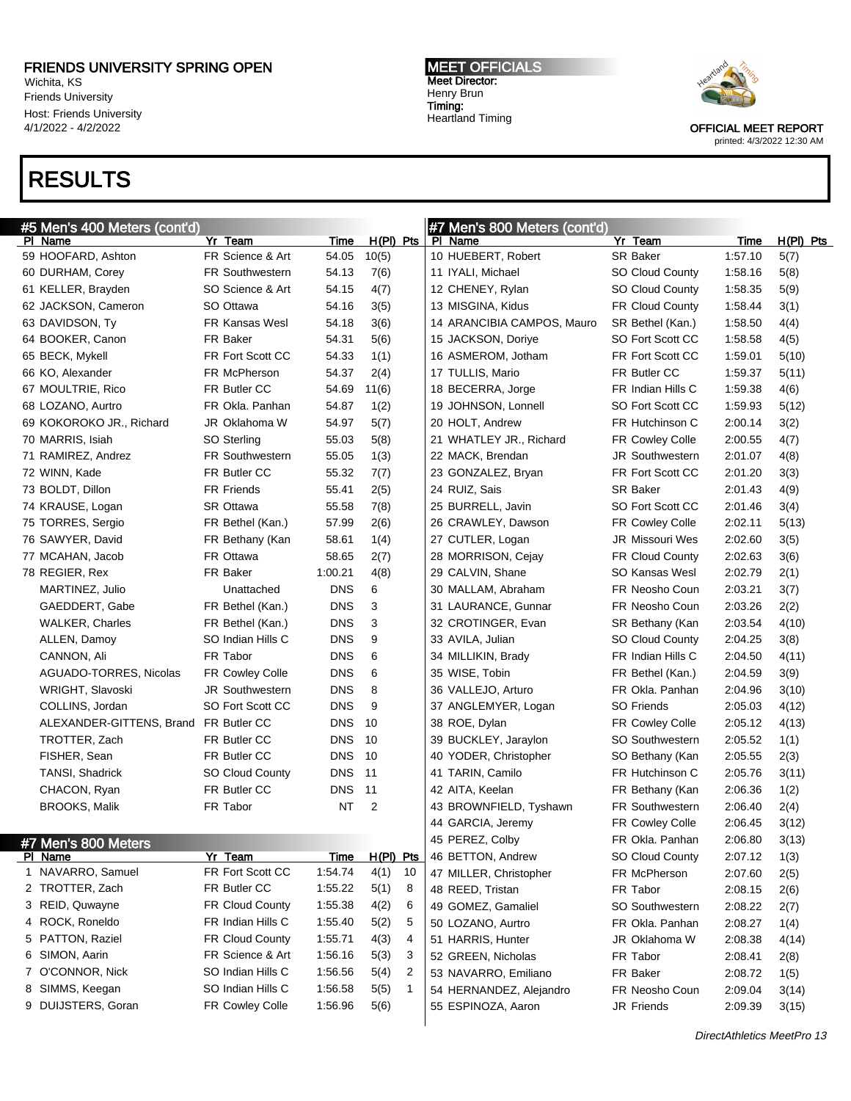Wichita, KS Friends University Host: Friends University 4/1/2022 - 4/2/2022

# RESULTS

MEET OFFICIALS Meet Director: Henry Brun Timing: Heartland Timing



| #5 Men's 400 Meters (cont'd)          |                        |             |             | #7 Men's 800 Meters (cont'd) |                        |                            |             |
|---------------------------------------|------------------------|-------------|-------------|------------------------------|------------------------|----------------------------|-------------|
| PI Name                               | Yr Team                | Time        | $H(PI)$ Pts | PI Name                      | Yr Team                | Time                       | $H(PI)$ Pts |
| 59 HOOFARD, Ashton                    | FR Science & Art       | 54.05       | 10(5)       | 10 HUEBERT, Robert           | <b>SR Baker</b>        | 1:57.10                    | 5(7)        |
| 60 DURHAM, Corey                      | <b>FR Southwestern</b> | 54.13       | 7(6)        | 11 IYALI, Michael            | <b>SO Cloud County</b> | 1:58.16                    | 5(8)        |
| 61 KELLER, Brayden                    | SO Science & Art       | 54.15       | 4(7)        | 12 CHENEY, Rylan             | <b>SO Cloud County</b> | 1:58.35                    | 5(9)        |
| 62 JACKSON, Cameron                   | SO Ottawa              | 54.16       | 3(5)        | 13 MISGINA, Kidus            | <b>FR Cloud County</b> | 1:58.44                    | 3(1)        |
| 63 DAVIDSON, Ty                       | <b>FR Kansas Wesl</b>  | 54.18       | 3(6)        | 14 ARANCIBIA CAMPOS, Mauro   | SR Bethel (Kan.)       | 1:58.50                    | 4(4)        |
| 64 BOOKER, Canon                      | FR Baker               | 54.31       | 5(6)        | 15 JACKSON, Doriye           | SO Fort Scott CC       | 1:58.58                    | 4(5)        |
| 65 BECK, Mykell                       | FR Fort Scott CC       | 54.33       | 1(1)        | 16 ASMEROM, Jotham           | FR Fort Scott CC       | 1:59.01                    | 5(10)       |
| 66 KO, Alexander                      | FR McPherson           | 54.37       | 2(4)        | 17 TULLIS, Mario             | FR Butler CC           | 1:59.37                    | 5(11)       |
| 67 MOULTRIE, Rico                     | FR Butler CC           | 54.69       | 11(6)       | 18 BECERRA, Jorge            | FR Indian Hills C      | 1:59.38                    | 4(6)        |
| 68 LOZANO, Aurtro                     | FR Okla. Panhan        | 54.87       | 1(2)        | 19 JOHNSON, Lonnell          | SO Fort Scott CC       | 1:59.93                    | 5(12)       |
| 69 KOKOROKO JR., Richard              | JR Oklahoma W          | 54.97       | 5(7)        | 20 HOLT, Andrew              | FR Hutchinson C        | 2:00.14                    | 3(2)        |
| 70 MARRIS, Isiah                      | SO Sterling            | 55.03       | 5(8)        | 21 WHATLEY JR., Richard      | FR Cowley Colle        | 2:00.55                    | 4(7)        |
| 71 RAMIREZ, Andrez                    | FR Southwestern        | 55.05       | 1(3)        | 22 MACK, Brendan             | <b>JR Southwestern</b> | 2:01.07                    | 4(8)        |
| 72 WINN, Kade                         | FR Butler CC           | 55.32       | 7(7)        | 23 GONZALEZ, Bryan           | FR Fort Scott CC       | 2:01.20                    | 3(3)        |
| 73 BOLDT, Dillon                      | <b>FR Friends</b>      | 55.41       | 2(5)        | 24 RUIZ, Sais                | <b>SR Baker</b>        | 2:01.43                    | 4(9)        |
| 74 KRAUSE, Logan                      | <b>SR Ottawa</b>       | 55.58       | 7(8)        | 25 BURRELL, Javin            | SO Fort Scott CC       | 2:01.46                    | 3(4)        |
| 75 TORRES, Sergio                     | FR Bethel (Kan.)       | 57.99       | 2(6)        | 26 CRAWLEY, Dawson           | FR Cowley Colle        | 2:02.11                    | 5(13)       |
| 76 SAWYER, David                      | FR Bethany (Kan        | 58.61       | 1(4)        | 27 CUTLER, Logan             | JR Missouri Wes        | 2:02.60                    | 3(5)        |
| 77 MCAHAN, Jacob                      | FR Ottawa              | 58.65       | 2(7)        | 28 MORRISON, Cejay           | FR Cloud County        | 2:02.63                    | 3(6)        |
| 78 REGIER, Rex                        | FR Baker               | 1:00.21     | 4(8)        | 29 CALVIN, Shane             | SO Kansas Wesl         | 2:02.79                    | 2(1)        |
| MARTINEZ, Julio                       | Unattached             | <b>DNS</b>  | 6           | 30 MALLAM, Abraham           | FR Neosho Coun         | 2:03.21                    | 3(7)        |
| GAEDDERT, Gabe                        | FR Bethel (Kan.)       | <b>DNS</b>  | 3           | 31 LAURANCE, Gunnar          | FR Neosho Coun         | 2:03.26                    |             |
|                                       |                        | <b>DNS</b>  | 3           | 32 CROTINGER, Evan           |                        |                            | 2(2)        |
| <b>WALKER, Charles</b>                | FR Bethel (Kan.)       | <b>DNS</b>  |             | 33 AVILA, Julian             | SR Bethany (Kan        | 2:03.54                    | 4(10)       |
| ALLEN, Damoy                          | SO Indian Hills C      |             | 9           |                              | <b>SO Cloud County</b> | 2:04.25                    | 3(8)        |
| CANNON, Ali                           | FR Tabor               | <b>DNS</b>  | 6           | 34 MILLIKIN, Brady           | FR Indian Hills C      | 2:04.50                    | 4(11)       |
| AGUADO-TORRES, Nicolas                | FR Cowley Colle        | <b>DNS</b>  | 6           | 35 WISE, Tobin               | FR Bethel (Kan.)       | 2:04.59                    | 3(9)        |
| WRIGHT, Slavoski                      | <b>JR Southwestern</b> | <b>DNS</b>  | 8           | 36 VALLEJO, Arturo           | FR Okla. Panhan        | 2:04.96                    | 3(10)       |
| COLLINS, Jordan                       | SO Fort Scott CC       | <b>DNS</b>  | 9           | 37 ANGLEMYER, Logan          | <b>SO Friends</b>      | 2:05.03                    | 4(12)       |
| ALEXANDER-GITTENS, Brand FR Butler CC |                        | <b>DNS</b>  | 10          | 38 ROE, Dylan                | FR Cowley Colle        | 2:05.12                    | 4(13)       |
| TROTTER, Zach                         | FR Butler CC           | <b>DNS</b>  | 10          | 39 BUCKLEY, Jaraylon         | <b>SO Southwestern</b> | 2:05.52                    | 1(1)        |
| FISHER, Sean                          | FR Butler CC           | <b>DNS</b>  | 10          | 40 YODER, Christopher        | SO Bethany (Kan        | 2:05.55                    | 2(3)        |
| <b>TANSI, Shadrick</b>                | <b>SO Cloud County</b> | <b>DNS</b>  | 11          | 41 TARIN, Camilo             | FR Hutchinson C        | 2:05.76                    | 3(11)       |
| CHACON, Ryan                          | FR Butler CC           | <b>DNS</b>  | 11          | 42 AITA, Keelan              | FR Bethany (Kan        | 2:06.36                    | 1(2)        |
| <b>BROOKS, Malik</b>                  | FR Tabor               | <b>NT</b>   | 2           | 43 BROWNFIELD, Tyshawn       | FR Southwestern        | 2:06.40                    | 2(4)        |
|                                       |                        |             |             | 44 GARCIA, Jeremy            | FR Cowley Colle        | 2:06.45                    | 3(12)       |
| #7 Men's 800 Meters                   |                        |             |             | 45 PEREZ, Colby              | FR Okla. Panhan        | 2:06.80                    | 3(13)       |
| PI Name                               | Yr Team                | <b>Time</b> | H(PI) Pts   | 46 BETTON, Andrew            | <b>SO Cloud County</b> | 2:07.12                    | 1(3)        |
| 1 NAVARRO, Samuel                     | FR Fort Scott CC       | 1:54.74     | 4(1)<br>10  | 47 MILLER, Christopher       | FR McPherson           | 2:07.60                    | 2(5)        |
| 2 TROTTER, Zach                       | FR Butler CC           | 1:55.22     | 5(1)<br>8   | 48 REED, Tristan             | FR Tabor               | 2:08.15                    | 2(6)        |
| 3 REID, Quwayne                       | FR Cloud County        | 1:55.38     | 4(2)<br>6   | 49 GOMEZ, Gamaliel           | SO Southwestern        | 2:08.22                    | 2(7)        |
| 4 ROCK, Roneldo                       | FR Indian Hills C      | 1:55.40     | 5<br>5(2)   | 50 LOZANO, Aurtro            | FR Okla. Panhan        | 2:08.27                    | 1(4)        |
| 5 PATTON, Raziel                      | FR Cloud County        | 1:55.71     | 4(3)<br>4   | 51 HARRIS, Hunter            | JR Oklahoma W          | 2:08.38                    | 4(14)       |
| 6 SIMON, Aarin                        | FR Science & Art       | 1:56.16     | 5(3)<br>3   | 52 GREEN, Nicholas           | FR Tabor               | 2:08.41                    | 2(8)        |
| 7 O'CONNOR, Nick                      | SO Indian Hills C      | 1:56.56     | 2<br>5(4)   | 53 NAVARRO, Emiliano         | FR Baker               | 2:08.72                    | 1(5)        |
| 8 SIMMS, Keegan                       | SO Indian Hills C      | 1:56.58     | 5(5)<br>1   | 54 HERNANDEZ, Alejandro      | FR Neosho Coun         | 2:09.04                    | 3(14)       |
| 9 DUIJSTERS, Goran                    | FR Cowley Colle        | 1:56.96     | 5(6)        | 55 ESPINOZA, Aaron           | <b>JR Friends</b>      | 2:09.39                    | 3(15)       |
|                                       |                        |             |             |                              |                        | DirectAthletics MeetPro 13 |             |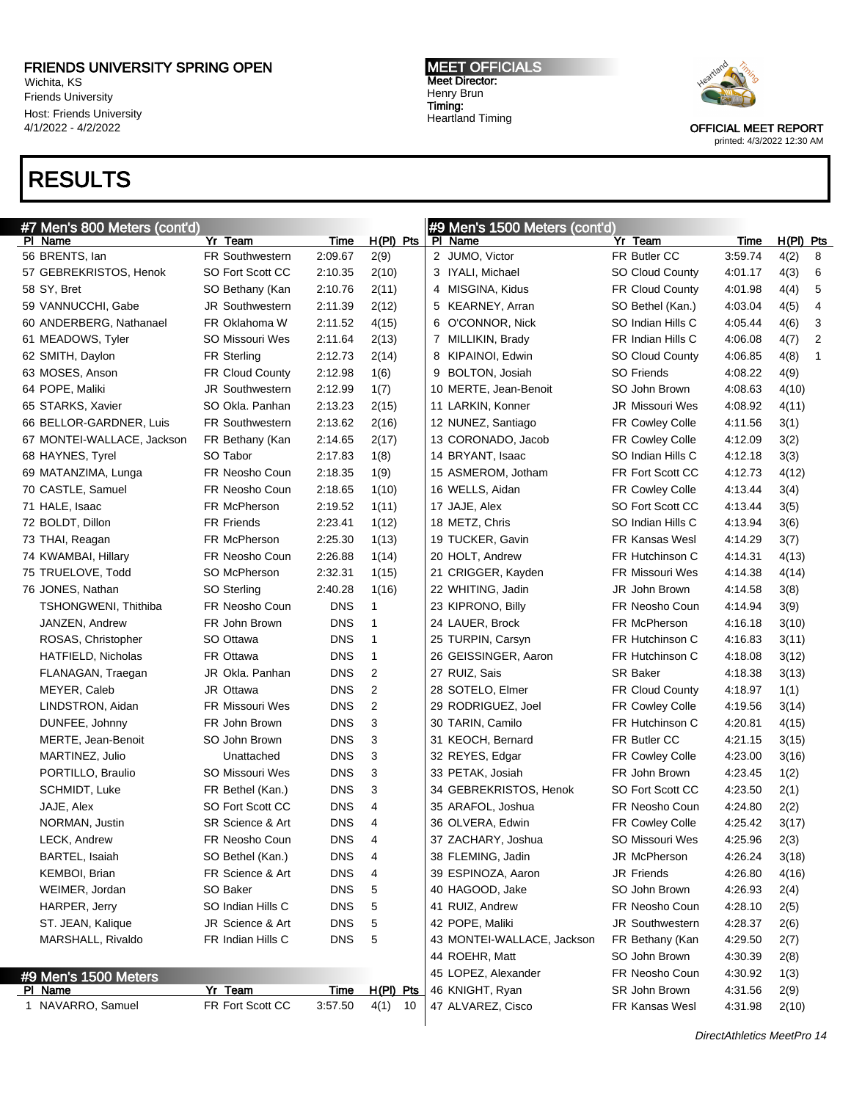Pl Name Yr Team Time H(Pl) Pts

Wichita, KS Friends University Host: Friends University 4/1/2022 - 4/2/2022

# RESULTS

#7 Men's 800 Meters (cont'd)

MEET OFFICIALS Meet Director: Henry Brun Timing: Heartland Timing

#9 Men's 1500 Meters (cont'd)

Pl Name Yr Team Time H(Pl) Pts



OFFICIAL MEET REPORT printed: 4/3/2022 12:30 AM

| 56 BRENTS, lan             | <b>FR Southwestern</b> | 2:09.67    | 2(9)      | 2 JUMO, Victor             | FR Butler CC           | 3:59.74                   | 4(2)<br>8 |
|----------------------------|------------------------|------------|-----------|----------------------------|------------------------|---------------------------|-----------|
| 57 GEBREKRISTOS, Henok     | SO Fort Scott CC       | 2:10.35    | 2(10)     | 3 IYALI, Michael           | <b>SO Cloud County</b> | 4:01.17                   | 4(3)<br>6 |
| 58 SY, Bret                | SO Bethany (Kan        | 2:10.76    | 2(11)     | 4 MISGINA, Kidus           | <b>FR Cloud County</b> | 4:01.98                   | 4(4)<br>5 |
| 59 VANNUCCHI, Gabe         | <b>JR Southwestern</b> | 2:11.39    | 2(12)     | 5 KEARNEY, Arran           | SO Bethel (Kan.)       | 4:03.04                   | 4(5)<br>4 |
| 60 ANDERBERG, Nathanael    | FR Oklahoma W          | 2:11.52    | 4(15)     | 6 O'CONNOR, Nick           | SO Indian Hills C      | 4:05.44                   | 4(6)<br>3 |
| 61 MEADOWS, Tyler          | <b>SO Missouri Wes</b> | 2:11.64    | 2(13)     | 7 MILLIKIN, Brady          | FR Indian Hills C      | 4:06.08                   | 4(7)<br>2 |
| 62 SMITH, Daylon           | <b>FR Sterling</b>     | 2:12.73    | 2(14)     | 8 KIPAINOI, Edwin          | <b>SO Cloud County</b> | 4:06.85                   | 4(8)      |
| 63 MOSES, Anson            | <b>FR Cloud County</b> | 2:12.98    | 1(6)      | 9 BOLTON, Josiah           | <b>SO Friends</b>      | 4:08.22                   | 4(9)      |
| 64 POPE, Maliki            | <b>JR Southwestern</b> | 2:12.99    | 1(7)      | 10 MERTE, Jean-Benoit      | SO John Brown          | 4:08.63                   | 4(10)     |
| 65 STARKS, Xavier          | SO Okla, Panhan        | 2:13.23    | 2(15)     | 11 LARKIN, Konner          | JR Missouri Wes        | 4:08.92                   | 4(11)     |
| 66 BELLOR-GARDNER, Luis    | <b>FR Southwestern</b> | 2:13.62    | 2(16)     | 12 NUNEZ, Santiago         | FR Cowley Colle        | 4:11.56                   | 3(1)      |
| 67 MONTEI-WALLACE, Jackson | FR Bethany (Kan        | 2:14.65    | 2(17)     | 13 CORONADO, Jacob         | FR Cowley Colle        | 4:12.09                   | 3(2)      |
| 68 HAYNES, Tyrel           | SO Tabor               | 2:17.83    | 1(8)      | 14 BRYANT, Isaac           | SO Indian Hills C      | 4:12.18                   | 3(3)      |
| 69 MATANZIMA, Lunga        | FR Neosho Coun         | 2:18.35    | 1(9)      | 15 ASMEROM, Jotham         | FR Fort Scott CC       | 4:12.73                   | 4(12)     |
| 70 CASTLE, Samuel          | FR Neosho Coun         | 2:18.65    | 1(10)     | 16 WELLS, Aidan            | FR Cowley Colle        | 4:13.44                   | 3(4)      |
| 71 HALE, Isaac             | FR McPherson           | 2:19.52    | 1(11)     | 17 JAJE, Alex              | SO Fort Scott CC       | 4:13.44                   | 3(5)      |
| 72 BOLDT, Dillon           | <b>FR Friends</b>      | 2:23.41    | 1(12)     | 18 METZ, Chris             | SO Indian Hills C      | 4:13.94                   | 3(6)      |
| 73 THAI, Reagan            | FR McPherson           | 2:25.30    | 1(13)     | 19 TUCKER, Gavin           | <b>FR Kansas Wesl</b>  | 4:14.29                   | 3(7)      |
| 74 KWAMBAI, Hillary        | FR Neosho Coun         | 2:26.88    | 1(14)     | 20 HOLT, Andrew            | FR Hutchinson C        | 4:14.31                   | 4(13)     |
| 75 TRUELOVE, Todd          | SO McPherson           | 2:32.31    | 1(15)     | 21 CRIGGER, Kayden         | <b>FR Missouri Wes</b> | 4:14.38                   | 4(14)     |
| 76 JONES, Nathan           | SO Sterling            | 2:40.28    | 1(16)     | 22 WHITING, Jadin          | JR John Brown          | 4:14.58                   | 3(8)      |
| TSHONGWENI, Thithiba       | FR Neosho Coun         | <b>DNS</b> | 1         | 23 KIPRONO, Billy          | FR Neosho Coun         | 4:14.94                   | 3(9)      |
| JANZEN, Andrew             | FR John Brown          | <b>DNS</b> | 1         | 24 LAUER, Brock            | FR McPherson           | 4:16.18                   | 3(10)     |
| ROSAS, Christopher         | SO Ottawa              | <b>DNS</b> | 1         | 25 TURPIN, Carsyn          | FR Hutchinson C        | 4:16.83                   | 3(11)     |
| HATFIELD, Nicholas         | FR Ottawa              | <b>DNS</b> | 1         | 26 GEISSINGER, Aaron       | FR Hutchinson C        | 4:18.08                   | 3(12)     |
| FLANAGAN, Traegan          | JR Okla. Panhan        | <b>DNS</b> | 2         | 27 RUIZ, Sais              | <b>SR Baker</b>        | 4:18.38                   | 3(13)     |
| MEYER, Caleb               | JR Ottawa              | <b>DNS</b> | 2         | 28 SOTELO, Elmer           | <b>FR Cloud County</b> | 4:18.97                   | 1(1)      |
| LINDSTRON, Aidan           | FR Missouri Wes        | <b>DNS</b> | 2         | 29 RODRIGUEZ, Joel         | <b>FR Cowley Colle</b> | 4:19.56                   | 3(14)     |
| DUNFEE, Johnny             | FR John Brown          | <b>DNS</b> | 3         | 30 TARIN, Camilo           | FR Hutchinson C        | 4:20.81                   | 4(15)     |
| MERTE, Jean-Benoit         | SO John Brown          | <b>DNS</b> | 3         | 31 KEOCH, Bernard          | FR Butler CC           | 4:21.15                   | 3(15)     |
| MARTINEZ, Julio            | Unattached             | <b>DNS</b> | 3         | 32 REYES, Edgar            | <b>FR Cowley Colle</b> | 4:23.00                   | 3(16)     |
| PORTILLO, Braulio          | SO Missouri Wes        | <b>DNS</b> | 3         | 33 PETAK, Josiah           | FR John Brown          | 4:23.45                   | 1(2)      |
| SCHMIDT, Luke              | FR Bethel (Kan.)       | <b>DNS</b> | 3         | 34 GEBREKRISTOS, Henok     | SO Fort Scott CC       | 4:23.50                   | 2(1)      |
| JAJE, Alex                 | SO Fort Scott CC       | <b>DNS</b> | 4         | 35 ARAFOL, Joshua          | FR Neosho Coun         | 4:24.80                   | 2(2)      |
| NORMAN, Justin             | SR Science & Art       | <b>DNS</b> | 4         | 36 OLVERA, Edwin           | FR Cowley Colle        | 4:25.42                   | 3(17)     |
| LECK, Andrew               | FR Neosho Coun         | <b>DNS</b> | 4         | 37 ZACHARY, Joshua         | <b>SO Missouri Wes</b> | 4:25.96                   | 2(3)      |
| BARTEL, Isaiah             | SO Bethel (Kan.)       | <b>DNS</b> | 4         | 38 FLEMING, Jadin          | JR McPherson           | 4:26.24                   | 3(18)     |
| KEMBOI, Brian              | FR Science & Art       | DNS        | 4         | 39 ESPINOZA, Aaron         | JR Friends             | 4:26.80                   | 4(16)     |
| WEIMER, Jordan             | SO Baker               | <b>DNS</b> | 5         | 40 HAGOOD, Jake            | SO John Brown          | 4:26.93                   | 2(4)      |
| HARPER, Jerry              | SO Indian Hills C      | <b>DNS</b> | 5         | 41 RUIZ, Andrew            | FR Neosho Coun         | 4:28.10                   | 2(5)      |
| ST. JEAN, Kalique          | JR Science & Art       | <b>DNS</b> | 5         | 42 POPE, Maliki            | <b>JR Southwestern</b> | 4:28.37                   | 2(6)      |
| MARSHALL, Rivaldo          | FR Indian Hills C      | <b>DNS</b> | 5         | 43 MONTEI-WALLACE, Jackson | FR Bethany (Kan        | 4:29.50                   | 2(7)      |
|                            |                        |            |           | 44 ROEHR, Matt             | SO John Brown          | 4:30.39                   | 2(8)      |
| #9 Men's 1500 Meters       |                        |            |           | 45 LOPEZ, Alexander        | FR Neosho Coun         | 4:30.92                   | 1(3)      |
| PI Name                    | Yr Team                | Time       | H(PI) Pts | 46 KNIGHT, Ryan            | SR John Brown          | 4:31.56                   | 2(9)      |
| 1 NAVARRO, Samuel          | FR Fort Scott CC       | 3:57.50    | $4(1)$ 10 | 47 ALVAREZ, Cisco          | FR Kansas Wesl         | 4:31.98                   | 2(10)     |
|                            |                        |            |           |                            |                        | DirectAthletics MeetPro 1 |           |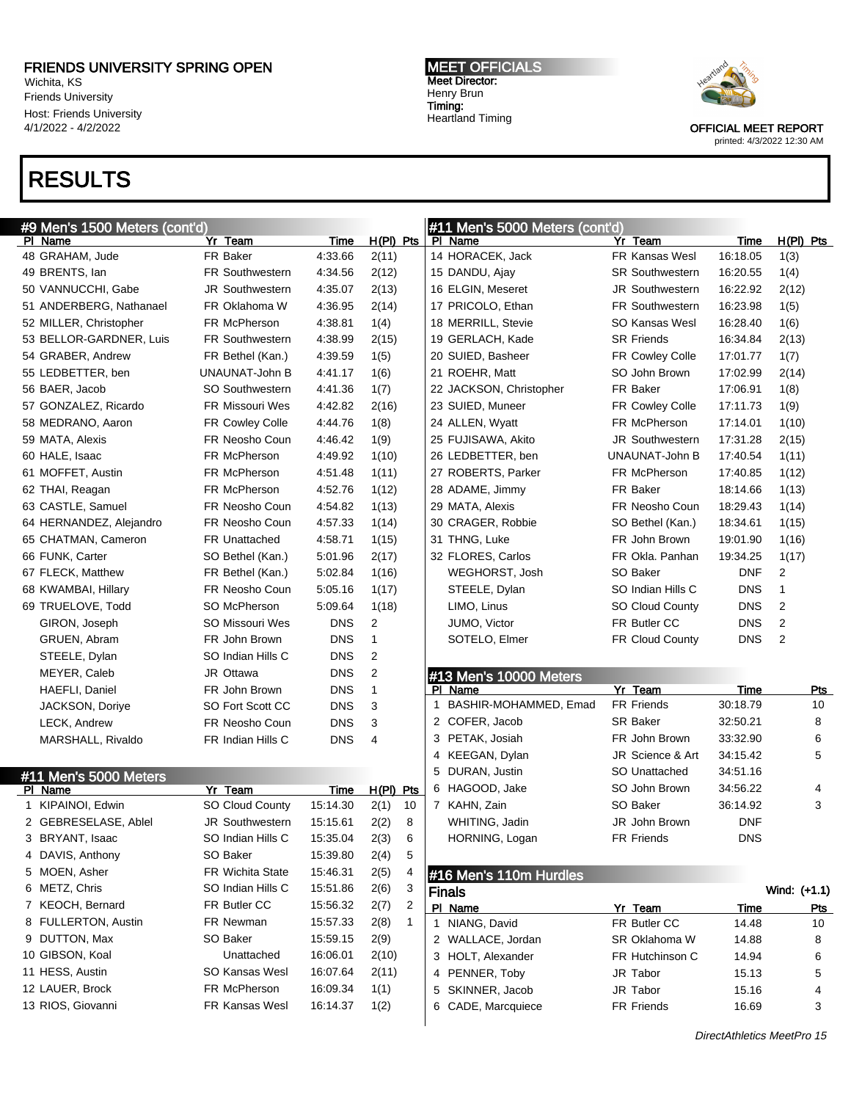PI Name **Yr Team** Time H(PI) Pts GRAHAM, Jude FR Baker 4:33.66 2(11) BRENTS, Ian FR Southwestern 4:34.56 2(12) VANNUCCHI, Gabe JR Southwestern 4:35.07 2(13) ANDERBERG, Nathanael FR Oklahoma W 4:36.95 2(14) MILLER, Christopher FR McPherson 4:38.81 1(4) BELLOR-GARDNER, Luis FR Southwestern 4:38.99 2(15) GRABER, Andrew FR Bethel (Kan.) 4:39.59 1(5) LEDBETTER, ben UNAUNAT-John B 4:41.17 1(6) BAER, Jacob SO Southwestern 4:41.36 1(7) GONZALEZ, Ricardo FR Missouri Wes 4:42.82 2(16) MEDRANO, Aaron FR Cowley Colle 4:44.76 1(8) MATA, Alexis FR Neosho Coun 4:46.42 1(9)

Wichita, KS Friends University Host: Friends University 4/1/2022 - 4/2/2022

### RESULTS

#9 Men's 1500 Meters (cont'd)

#### MEET OFFICIALS Meet Director: Henry Brun Timing: Heartland Timing

#11 Men's 5000 Meters (cont'd)



OFFICIAL MEET REPORT printed: 4/3/2022 12:30 AM

| 29 MATA, Alexis             | FR Neosho Coun    | 18:29.43   | 1(14) |
|-----------------------------|-------------------|------------|-------|
| 30 CRAGER, Robbie           | SO Bethel (Kan.)  | 18:34.61   | 1(15) |
| 31 THNG, Luke               | FR John Brown     | 19:01.90   | 1(16) |
| 32 FLORES, Carlos           | FR Okla. Panhan   | 19:34.25   | 1(17) |
| WEGHORST, Josh              | SO Baker          | <b>DNF</b> | 2     |
| STEELE, Dylan               | SO Indian Hills C | <b>DNS</b> | 1     |
| LIMO, Linus                 | SO Cloud County   | <b>DNS</b> | 2     |
| JUMO, Victor                | FR Butler CC      | <b>DNS</b> | 2     |
| SOTELO, Elmer               | FR Cloud County   | <b>DNS</b> | 2     |
|                             |                   |            |       |
| #13 Men's 10000 Meters      |                   |            |       |
| PI Name                     | Yr Team           | Time       | Pts   |
| BASHIR-MOHAMMED, Emad<br>1. | <b>FR Friends</b> | 30:18.79   | 10    |
| 2 COFER, Jacob              | SR Baker          | 32:50.21   | 8     |
| 3 PETAK, Josiah             | FR John Brown     | 33:32.90   | 6     |
| KEEGAN, Dylan<br>4          | JR Science & Art  | 34:15.42   | 5     |
| DURAN, Justin<br>5          | SO Unattached     | 34:51.16   |       |
| 6 HAGOOD, Jake              | SO John Brown     | 34:56.22   | 4     |
| KAHN, Zain<br>7             | SO Baker          | 36:14.92   | 3     |
| WHITING, Jadin              | JR John Brown     | <b>DNF</b> |       |
| HORNING, Logan              | <b>FR Friends</b> | <b>DNS</b> |       |
|                             |                   |            |       |
| #16 Men's 110m Hurdles      |                   |            |       |
|                             |                   |            |       |

PI Name **Yr Team** Time H(PI) Pts HORACEK, Jack FR Kansas Wesl 16:18.05 1(3) DANDU, Ajay SR Southwestern 16:20.55 1(4) ELGIN, Meseret JR Southwestern 16:22.92 2(12) 17 PRICOLO, Ethan FR Southwestern 16:23.98 1(5) MERRILL, Stevie SO Kansas Wesl 16:28.40 1(6) GERLACH, Kade SR Friends 16:34.84 2(13) SUIED, Basheer FR Cowley Colle 17:01.77 1(7) ROEHR, Matt SO John Brown 17:02.99 2(14) 22 JACKSON, Christopher FR Baker 17:06.91 1(8) SUIED, Muneer FR Cowley Colle 17:11.73 1(9) ALLEN, Wyatt FR McPherson 17:14.01 1(10) FUJISAWA, Akito JR Southwestern 17:31.28 2(15)

| $\pi$ is instead to the function of |                   |              |            |  |  |
|-------------------------------------|-------------------|--------------|------------|--|--|
| <b>Finals</b>                       |                   | Wind: (+1.1) |            |  |  |
| PI Name                             | Yr Team           | Time         | <b>Pts</b> |  |  |
| 1 NIANG, David                      | FR Butler CC      | 14.48        | 10         |  |  |
| 2 WALLACE, Jordan                   | SR Oklahoma W     | 14.88        | 8          |  |  |
| 3 HOLT, Alexander                   | FR Hutchinson C   | 14.94        | 6          |  |  |
| 4 PENNER, Toby                      | JR Tabor          | 15.13        | 5          |  |  |
| 5 SKINNER, Jacob                    | JR Tabor          | 15.16        | 4          |  |  |
| 6 CADE, Marcquiece                  | <b>FR Friends</b> | 16.69        | 3          |  |  |

DirectAthletics MeetPro 15

| 60 HALE, Isaac          | FR McPherson           | 4:49.92    | 1(10)          |    | 26 LEDBETTER, ben      | UNAUNAT-John B    | 17:40.54   | 1(11)        |
|-------------------------|------------------------|------------|----------------|----|------------------------|-------------------|------------|--------------|
| 61 MOFFET, Austin       | FR McPherson           | 4:51.48    | 1(11)          |    | 27 ROBERTS, Parker     | FR McPherson      | 17:40.85   | 1(12)        |
| 62 THAI, Reagan         | FR McPherson           | 4:52.76    | 1(12)          |    | 28 ADAME, Jimmy        | FR Baker          | 18:14.66   | 1(13)        |
| 63 CASTLE, Samuel       | FR Neosho Coun         | 4:54.82    | 1(13)          |    | 29 MATA, Alexis        | FR Neosho Coun    | 18:29.43   | 1(14)        |
| 64 HERNANDEZ, Alejandro | FR Neosho Coun         | 4:57.33    | 1(14)          |    | 30 CRAGER, Robbie      | SO Bethel (Kan.)  | 18:34.61   | 1(15)        |
| 65 CHATMAN, Cameron     | <b>FR Unattached</b>   | 4:58.71    | 1(15)          |    | 31 THNG, Luke          | FR John Brown     | 19:01.90   | 1(16)        |
| 66 FUNK, Carter         | SO Bethel (Kan.)       | 5:01.96    | 2(17)          |    | 32 FLORES, Carlos      | FR Okla. Panhan   | 19:34.25   | 1(17)        |
| 67 FLECK, Matthew       | FR Bethel (Kan.)       | 5:02.84    | 1(16)          |    | WEGHORST, Josh         | SO Baker          | <b>DNF</b> | 2            |
| 68 KWAMBAI, Hillary     | FR Neosho Coun         | 5:05.16    | 1(17)          |    | STEELE, Dylan          | SO Indian Hills C | <b>DNS</b> | $\mathbf{1}$ |
| 69 TRUELOVE, Todd       | SO McPherson           | 5:09.64    | 1(18)          |    | LIMO, Linus            | SO Cloud County   | <b>DNS</b> | 2            |
| GIRON, Joseph           | SO Missouri Wes        | <b>DNS</b> | 2              |    | JUMO, Victor           | FR Butler CC      | <b>DNS</b> | 2            |
| GRUEN, Abram            | FR John Brown          | <b>DNS</b> | 1              |    | SOTELO, Elmer          | FR Cloud County   | <b>DNS</b> | 2            |
| STEELE, Dylan           | SO Indian Hills C      | <b>DNS</b> | 2              |    |                        |                   |            |              |
| MEYER, Caleb            | JR Ottawa              | <b>DNS</b> | 2              |    | #13 Men's 10000 Meters |                   |            |              |
| HAEFLI, Daniel          | FR John Brown          | <b>DNS</b> | $\mathbf{1}$   |    | PI Name                | Yr Team           | Time       |              |
| JACKSON, Doriye         | SO Fort Scott CC       | <b>DNS</b> | 3              |    | BASHIR-MOHAMMED, Emad  | <b>FR Friends</b> | 30:18.79   |              |
| <b>LECK, Andrew</b>     | FR Neosho Coun         | <b>DNS</b> | 3              |    | 2 COFER, Jacob         | <b>SR Baker</b>   | 32:50.21   |              |
| MARSHALL, Rivaldo       | FR Indian Hills C      | <b>DNS</b> | $\overline{4}$ |    | 3 PETAK, Josiah        | FR John Brown     | 33:32.90   |              |
|                         |                        |            |                |    | 4 KEEGAN, Dylan        | JR Science & Art  | 34:15.42   |              |
| #11 Men's 5000 Meters   |                        |            |                |    | 5 DURAN, Justin        | SO Unattached     | 34:51.16   |              |
| PI Name                 | Yr Team                | Time       | $H(PI)$ Pts    |    | 6 HAGOOD, Jake         | SO John Brown     | 34:56.22   |              |
|                         |                        |            |                | 10 | 7 KAHN, Zain           | SO Baker          | 36:14.92   |              |
| 1 KIPAINOI, Edwin       | SO Cloud County        | 15:14.30   | 2(1)           |    |                        |                   |            |              |
| 2 GEBRESELASE, Ablel    | <b>JR Southwestern</b> | 15:15.61   | 2(2)           | 8  | WHITING, Jadin         | JR John Brown     | <b>DNF</b> |              |
| 3 BRYANT, Isaac         | SO Indian Hills C      | 15:35.04   | 2(3)           | 6  | HORNING, Logan         | FR Friends        | <b>DNS</b> |              |
| 4 DAVIS, Anthony        | SO Baker               | 15:39.80   | 2(4)           | 5  |                        |                   |            |              |
| 5 MOEN, Asher           | FR Wichita State       | 15:46.31   | 2(5)           | 4  | #16 Men's 110m Hurdles |                   |            |              |
| 6 METZ, Chris           | SO Indian Hills C      | 15:51.86   | 2(6)           | 3  | <b>Finals</b>          |                   |            | Wind: (      |
| 7 KEOCH, Bernard        | FR Butler CC           | 15:56.32   | 2(7)           | 2  | PI Name                | Yr Team           | Time       |              |
| 8 FULLERTON, Austin     | FR Newman              | 15:57.33   | 2(8)           | 1  | NIANG, David           | FR Butler CC      | 14.48      |              |
| 9 DUTTON, Max           | SO Baker               | 15:59.15   | 2(9)           |    | 2 WALLACE, Jordan      | SR Oklahoma W     | 14.88      |              |
| 10 GIBSON, Koal         | Unattached             | 16:06.01   | 2(10)          |    | 3 HOLT, Alexander      | FR Hutchinson C   | 14.94      |              |
| 11 HESS, Austin         | <b>SO Kansas Wesl</b>  | 16:07.64   | 2(11)          |    | 4 PENNER, Toby         | JR Tabor          | 15.13      |              |
| 12 LAUER, Brock         | FR McPherson           | 16:09.34   | 1(1)           |    | 5 SKINNER, Jacob       | JR Tabor          | 15.16      |              |
| 13 RIOS, Giovanni       | FR Kansas Wesl         | 16:14.37   | 1(2)           |    | 6 CADE, Marcquiece     | FR Friends        | 16.69      |              |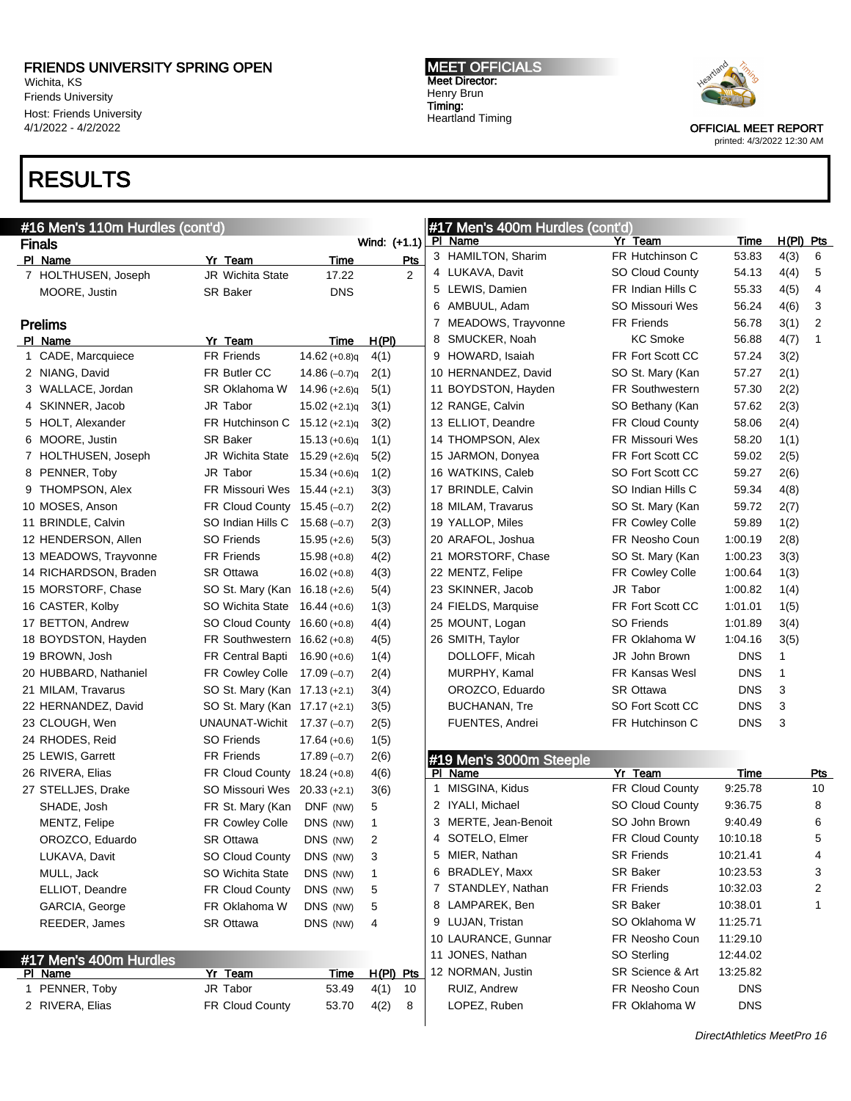Wichita, KS Friends University Host: Friends University 4/1/2022 - 4/2/2022

# RESULTS

Prelims

#16 Men's 110m Hurdles (cont'd)

Finals Wind: (+1.1) PI Name **Yr Team** Time Pts 7 HOLTHUSEN, Joseph JR Wichita State 17.22 2

MOORE, Justin SR Baker DNS

PI Name **Yr Team** Time H(PI) CADE, Marcquiece FR Friends 14.62 (+0.8)q 4(1) NIANG, David FR Butler CC 14.86 (–0.7)q 2(1) WALLACE, Jordan SR Oklahoma W 14.96 (+2.6)q 5(1) SKINNER, Jacob JR Tabor 15.02 (+2.1)q 3(1) HOLT, Alexander FR Hutchinson C 15.12 (+2.1)q 3(2) MOORE, Justin SR Baker 15.13 (+0.6)q 1(1) HOLTHUSEN, Joseph JR Wichita State 15.29 (+2.6)q 5(2) 8 PENNER, Toby **JR Tabor** 15.34 (+0.6)q 1(2) 9 THOMPSON, Alex FR Missouri Wes 15.44 (+2.1) 3(3) MOSES, Anson FR Cloud County 15.45 (–0.7) 2(2) 11 BRINDLE, Calvin SO Indian Hills C 15.68 (-0.7) 2(3) HENDERSON, Allen SO Friends 15.95 (+2.6) 5(3) MEADOWS, Trayvonne FR Friends 15.98 (+0.8) 4(2) RICHARDSON, Braden SR Ottawa 16.02 (+0.8) 4(3)

20 HUBBARD, Nathaniel FR Cowley Colle 17.09 (–0.7) 2(4) 21 MILAM, Travarus SO St. Mary (Kan 17.13 (+2.1) 3(4) 22 HERNANDEZ, David SO St. Mary (Kan 17.17 (+2.1) 3(5) 23 CLOUGH, Wen UNAUNAT-Wichit 17.37 (–0.7) 2(5) 24 RHODES, Reid SO Friends 17.64 (+0.6) 1(5) 25 LEWIS, Garrett FR Friends 17.89 (–0.7) 2(6) 26 RIVERA, Elias FR Cloud County 18.24 (+0.8) 4(6) 27 STELLJES, Drake SO Missouri Wes 20.33 (+2.1) 3(6) SHADE, Josh FR St. Mary (Kan DNF (NW) 5 MENTZ, Felipe FR Cowley Colle DNS (NW) 1 OROZCO, Eduardo SR Ottawa DNS (NW) 2 LUKAVA, Davit **SO Cloud County** DNS (NW) 3 MULL, Jack **SO Wichita State** DNS (NW) 1 ELLIOT, Deandre FR Cloud County DNS (NW) 5 GARCIA, George FR Oklahoma W DNS (NW) 5 REEDER, James SR Ottawa DNS (NW) 4

1 PENNER, Toby JR Tabor 53.49 4(1) 10 2 RIVERA, Elias FR Cloud County 53.70 4(2) 8

Yr Team Time H(PI) Pts

#17 Men's 400m Hurdles<br>PL Name

#### MEET OFFICIALS Meet Director: Henry Brun Timing: Heartland Timing



OFFICIAL MEET REPORT printed: 4/3/2022 12:30 AM

#### 15 MORSTORF, Chase SO St. Mary (Kan 16.18 (+2.6) 5(4) 16 CASTER, Kolby SO Wichita State 16.44 (+0.6) 1(3) 17 BETTON, Andrew SO Cloud County 16.60 (+0.8) 4(4) 18 BOYDSTON, Hayden FR Southwestern 16.62 (+0.8) 4(5) 19 BROWN, Josh FR Central Bapti 16.90 (+0.6) 1(4) 23 SKINNER, Jacol 24 FIELDS, Marquis 25 MOUNT, Logan 26 SMITH, Taylor DOLLOFF, Mica

|    | #17 Men's 400m Hurdles (cont'd) |    |                        |             |              |            |
|----|---------------------------------|----|------------------------|-------------|--------------|------------|
| PI | Name                            | Yr | Team                   | <u>Time</u> | <u>H(PI)</u> | <u>Pts</u> |
|    | 3 HAMILTON, Sharim              |    | FR Hutchinson C        | 53.83       | 4(3)         | 6          |
| 4  | LUKAVA, Davit                   |    | <b>SO Cloud County</b> | 54.13       | 4(4)         | 5          |
| 5  | LEWIS, Damien                   |    | FR Indian Hills C      | 55.33       | 4(5)         | 4          |
| 6  | AMBUUL, Adam                    |    | <b>SO Missouri Wes</b> | 56.24       | 4(6)         | 3          |
| 7  | MEADOWS, Trayvonne              |    | <b>FR Friends</b>      | 56.78       | 3(1)         | 2          |
| 8  | SMUCKER, Noah                   |    | <b>KC Smoke</b>        | 56.88       | 4(7)         | 1          |
| 9  | HOWARD, Isaiah                  |    | FR Fort Scott CC       | 57.24       | 3(2)         |            |
|    | 10 HERNANDEZ, David             |    | SO St. Mary (Kan       | 57.27       | 2(1)         |            |
|    | 11 BOYDSTON, Hayden             |    | <b>FR Southwestern</b> | 57.30       | 2(2)         |            |
|    | 12 RANGE, Calvin                |    | SO Bethany (Kan        | 57.62       | 2(3)         |            |
|    | 13 ELLIOT, Deandre              |    | <b>FR Cloud County</b> | 58.06       | 2(4)         |            |
|    | 14 THOMPSON, Alex               |    | <b>FR Missouri Wes</b> | 58.20       | 1(1)         |            |
|    | 15 JARMON, Donyea               |    | FR Fort Scott CC       | 59.02       | 2(5)         |            |
|    | 16 WATKINS, Caleb               |    | SO Fort Scott CC       | 59.27       | 2(6)         |            |
|    | 17 BRINDLE, Calvin              |    | SO Indian Hills C      | 59.34       | 4(8)         |            |
|    | 18 MILAM, Travarus              |    | SO St. Mary (Kan       | 59.72       | 2(7)         |            |
|    | 19 YALLOP, Miles                |    | FR Cowley Colle        | 59.89       | 1(2)         |            |
|    | 20 ARAFOL, Joshua               |    | FR Neosho Coun         | 1:00.19     | 2(8)         |            |
|    | 21 MORSTORF, Chase              |    | SO St. Mary (Kan       | 1:00.23     | 3(3)         |            |
|    | 22 MENTZ, Felipe                |    | FR Cowley Colle        | 1:00.64     | 1(3)         |            |
|    | 23 SKINNER, Jacob               |    | JR Tabor               | 1:00.82     | 1(4)         |            |
|    | 24 FIELDS, Marquise             |    | FR Fort Scott CC       | 1:01.01     | 1(5)         |            |
|    | 25 MOUNT, Logan                 |    | <b>SO Friends</b>      | 1:01.89     | 3(4)         |            |
|    | 26 SMITH, Taylor                |    | FR Oklahoma W          | 1:04.16     | 3(5)         |            |
|    | DOLLOFF, Micah                  |    | JR John Brown          | <b>DNS</b>  | 1            |            |
|    | MURPHY, Kamal                   |    | <b>FR Kansas Wesl</b>  | <b>DNS</b>  | 1            |            |
|    | OROZCO, Eduardo                 |    | <b>SR Ottawa</b>       | <b>DNS</b>  | 3            |            |
|    | <b>BUCHANAN, Tre</b>            |    | SO Fort Scott CC       | <b>DNS</b>  | 3            |            |
|    | FUENTES, Andrei                 |    | FR Hutchinson C        | <b>DNS</b>  | 3            |            |
|    |                                 |    |                        |             |              |            |

#### #19 Men's 3000m Steeple

| PL | Name                 | Yr Team                | Time       | Pts |
|----|----------------------|------------------------|------------|-----|
| 1. | MISGINA, Kidus       | <b>FR Cloud County</b> | 9.25.78    | 10  |
|    | 2 IYALI, Michael     | <b>SO Cloud County</b> | 9:36.75    | 8   |
|    | 3 MERTE, Jean-Benoit | SO John Brown          | 9:40.49    | 6   |
|    | 4 SOTELO, Elmer      | <b>FR Cloud County</b> | 10:10.18   | 5   |
|    | 5 MIER, Nathan       | <b>SR Friends</b>      | 10:21.41   | 4   |
|    | 6 BRADLEY, Maxx      | <b>SR Baker</b>        | 10:23.53   | 3   |
|    | 7 STANDLEY, Nathan   | FR Friends             | 10:32.03   | 2   |
|    | 8 LAMPAREK, Ben      | <b>SR Baker</b>        | 10:38.01   | 1   |
|    | 9 LUJAN, Tristan     | SO Oklahoma W          | 11:25.71   |     |
|    | 10 LAURANCE, Gunnar  | FR Neosho Coun         | 11:29.10   |     |
|    | 11 JONES, Nathan     | SO Sterling            | 12:44.02   |     |
|    | 12 NORMAN, Justin    | SR Science & Art       | 13:25.82   |     |
|    | RUIZ, Andrew         | FR Neosho Coun         | <b>DNS</b> |     |
|    | LOPEZ, Ruben         | FR Oklahoma W          | <b>DNS</b> |     |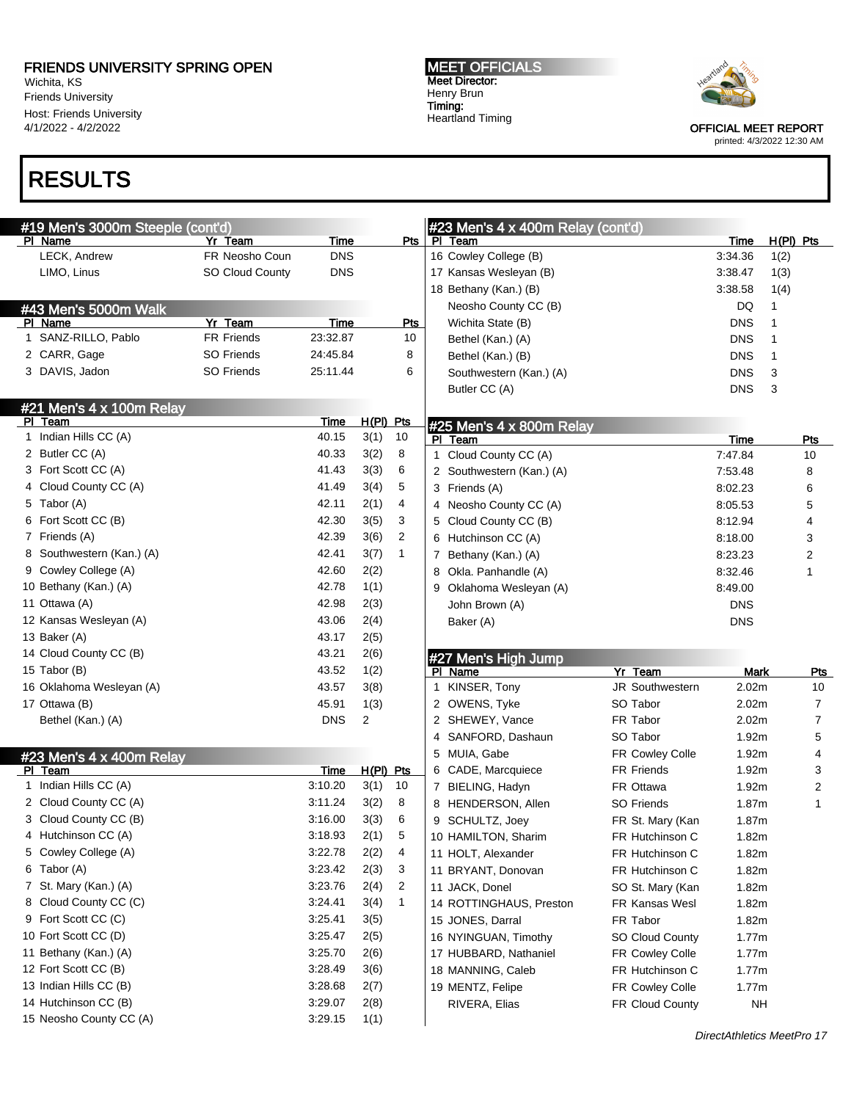Wichita, KS Friends University Host: Friends University 4/1/2022 - 4/2/2022

# RESULTS

MEET OFFICIALS Meet Director: Henry Brun Timing: Heartland Timing



OFFICIAL MEET REPORT

printed: 4/3/2022 12:30 AM

| #19 Men's 3000m Steeple (cont'd)    |                        |            |                |              |   | $#23$ Men's 4 x 400m Relay (cont'd) |                        |             |             |                         |
|-------------------------------------|------------------------|------------|----------------|--------------|---|-------------------------------------|------------------------|-------------|-------------|-------------------------|
| PI Name                             | Yr Team                | Time       |                | Pts          |   | PI Team                             |                        | <b>Time</b> | $H(PI)$ Pts |                         |
| LECK, Andrew                        | FR Neosho Coun         | <b>DNS</b> |                |              |   | 16 Cowley College (B)               |                        | 3:34.36     | 1(2)        |                         |
| LIMO, Linus                         | <b>SO Cloud County</b> | <b>DNS</b> |                |              |   | 17 Kansas Wesleyan (B)              |                        | 3:38.47     | 1(3)        |                         |
|                                     |                        |            |                |              |   | 18 Bethany (Kan.) (B)               |                        | 3:38.58     | 1(4)        |                         |
| #43 Men's 5000m Walk                |                        |            |                |              |   | Neosho County CC (B)                |                        | DQ          | 1           |                         |
| PI Name                             | Yr Team                | Time       |                | <b>Pts</b>   |   | Wichita State (B)                   |                        | <b>DNS</b>  | 1           |                         |
| 1 SANZ-RILLO, Pablo                 | <b>FR Friends</b>      | 23:32.87   |                | 10           |   | Bethel (Kan.) (A)                   |                        | <b>DNS</b>  | 1           |                         |
| 2 CARR, Gage                        | SO Friends             | 24:45.84   |                | 8            |   | Bethel (Kan.) (B)                   |                        | <b>DNS</b>  | 1           |                         |
| 3 DAVIS, Jadon                      | <b>SO Friends</b>      | 25:11.44   |                | 6            |   | Southwestern (Kan.) (A)             |                        | <b>DNS</b>  | 3           |                         |
|                                     |                        |            |                |              |   | Butler CC (A)                       |                        | <b>DNS</b>  | 3           |                         |
| #21 Men's 4 x 100m Relay            |                        |            |                |              |   |                                     |                        |             |             |                         |
| PI Team                             |                        | Time       | H(PI) Pts      |              |   | #25 Men's 4 x 800m Relay            |                        |             |             |                         |
| 1 Indian Hills CC (A)               |                        | 40.15      | 3(1)           | 10           |   | PI Team                             |                        | <b>Time</b> |             | <b>Pts</b>              |
| 2 Butler CC (A)                     |                        | 40.33      | 3(2)           | 8            |   | 1 Cloud County CC (A)               |                        | 7:47.84     |             | 10                      |
| 3 Fort Scott CC (A)                 |                        | 41.43      | 3(3)           | 6            |   | 2 Southwestern (Kan.) (A)           |                        | 7:53.48     |             | 8                       |
| 4 Cloud County CC (A)               |                        | 41.49      | 3(4)           | 5            |   | 3 Friends (A)                       |                        | 8:02.23     |             | 6                       |
| 5 Tabor (A)                         |                        | 42.11      | 2(1)           | 4            |   | 4 Neosho County CC (A)              |                        | 8:05.53     |             | 5                       |
| 6 Fort Scott CC (B)                 |                        | 42.30      | 3(5)           | 3            |   | 5 Cloud County CC (B)               |                        | 8:12.94     |             | 4                       |
| 7 Friends (A)                       |                        | 42.39      | 3(6)           | 2            |   | 6 Hutchinson CC (A)                 |                        | 8:18.00     |             | 3                       |
| 8 Southwestern (Kan.) (A)           |                        | 42.41      | 3(7)           | $\mathbf{1}$ |   | 7 Bethany (Kan.) (A)                |                        | 8:23.23     |             | 2                       |
| 9 Cowley College (A)                |                        | 42.60      | 2(2)           |              |   | 8 Okla. Panhandle (A)               |                        | 8:32.46     |             | 1                       |
| 10 Bethany (Kan.) (A)               |                        | 42.78      | 1(1)           |              | 9 | Oklahoma Wesleyan (A)               |                        | 8:49.00     |             |                         |
| 11 Ottawa (A)                       |                        | 42.98      | 2(3)           |              |   | John Brown (A)                      |                        | <b>DNS</b>  |             |                         |
| 12 Kansas Wesleyan (A)              |                        | 43.06      | 2(4)           |              |   | Baker (A)                           |                        | <b>DNS</b>  |             |                         |
| 13 Baker (A)                        |                        | 43.17      | 2(5)           |              |   |                                     |                        |             |             |                         |
| 14 Cloud County CC (B)              |                        | 43.21      | 2(6)           |              |   |                                     |                        |             |             |                         |
| 15 Tabor (B)                        |                        | 43.52      | 1(2)           |              |   | #27 Men's High Jump<br>PI Name      | Yr Team                | <b>Mark</b> |             | <u>Pts</u>              |
| 16 Oklahoma Wesleyan (A)            |                        | 43.57      | 3(8)           |              |   | 1 KINSER, Tony                      | JR Southwestern        | 2.02m       |             | 10                      |
| 17 Ottawa (B)                       |                        | 45.91      | 1(3)           |              |   | 2 OWENS, Tyke                       | SO Tabor               | 2.02m       |             | $\overline{7}$          |
| Bethel (Kan.) (A)                   |                        | <b>DNS</b> | $\overline{c}$ |              |   | 2 SHEWEY, Vance                     | FR Tabor               | 2.02m       |             | $\overline{7}$          |
|                                     |                        |            |                |              |   | 4 SANFORD, Dashaun                  | SO Tabor               | 1.92m       |             | 5                       |
|                                     |                        |            |                |              |   | 5 MUIA, Gabe                        | <b>FR Cowley Colle</b> | 1.92m       |             | 4                       |
| #23 Men's 4 x 400m Relay<br>PI Team |                        | Time       | $H(PI)$ Pts    |              |   | 6 CADE, Marcquiece                  | <b>FR Friends</b>      | 1.92m       |             | 3                       |
| 1 Indian Hills CC (A)               |                        | 3:10.20    | 3(1)           | 10           |   | 7 BIELING, Hadyn                    | FR Ottawa              | 1.92m       |             | $\overline{\mathbf{c}}$ |
| 2 Cloud County CC (A)               |                        | 3:11.24    | 3(2)           | 8            |   | 8 HENDERSON, Allen                  | <b>SO Friends</b>      | 1.87m       |             | $\mathbf{1}$            |
| 3 Cloud County CC (B)               |                        | 3:16.00    | 3(3)           | 6            |   | 9 SCHULTZ, Joey                     |                        | 1.87m       |             |                         |
| 4 Hutchinson CC (A)                 |                        | 3:18.93    | 2(1)           | 5            |   |                                     | FR St. Mary (Kan       |             |             |                         |
|                                     |                        |            |                |              |   | 10 HAMILTON, Sharim                 | FR Hutchinson C        | 1.82m       |             |                         |
| 5 Cowley College (A)                |                        | 3:22.78    | 2(2)           | 4            |   | 11 HOLT, Alexander                  | FR Hutchinson C        | 1.82m       |             |                         |
| 6 Tabor (A)                         |                        | 3:23.42    | 2(3)           | 3            |   | 11 BRYANT, Donovan                  | FR Hutchinson C        | 1.82m       |             |                         |
| 7 St. Mary (Kan.) (A)               |                        | 3:23.76    | 2(4)           | 2            |   | 11 JACK, Donel                      | SO St. Mary (Kan       | 1.82m       |             |                         |
| 8 Cloud County CC (C)               |                        | 3:24.41    | 3(4)           | $\mathbf{1}$ |   | 14 ROTTINGHAUS, Preston             | FR Kansas Wesl         | 1.82m       |             |                         |
| 9 Fort Scott CC (C)                 |                        | 3:25.41    | 3(5)           |              |   | 15 JONES, Darral                    | FR Tabor               | 1.82m       |             |                         |
| 10 Fort Scott CC (D)                |                        | 3:25.47    | 2(5)           |              |   | 16 NYINGUAN, Timothy                | SO Cloud County        | 1.77m       |             |                         |
| 11 Bethany (Kan.) (A)               |                        | 3:25.70    | 2(6)           |              |   | 17 HUBBARD, Nathaniel               | FR Cowley Colle        | 1.77m       |             |                         |
| 12 Fort Scott CC (B)                |                        | 3:28.49    | 3(6)           |              |   | 18 MANNING, Caleb                   | FR Hutchinson C        | 1.77m       |             |                         |
| 13 Indian Hills CC (B)              |                        | 3:28.68    | 2(7)           |              |   | 19 MENTZ, Felipe                    | FR Cowley Colle        | 1.77m       |             |                         |
| 14 Hutchinson CC (B)                |                        | 3:29.07    | 2(8)           |              |   | RIVERA, Elias                       | FR Cloud County        | NH          |             |                         |
| 15 Neosho County CC (A)             |                        | 3:29.15    | 1(1)           |              |   |                                     |                        |             |             |                         |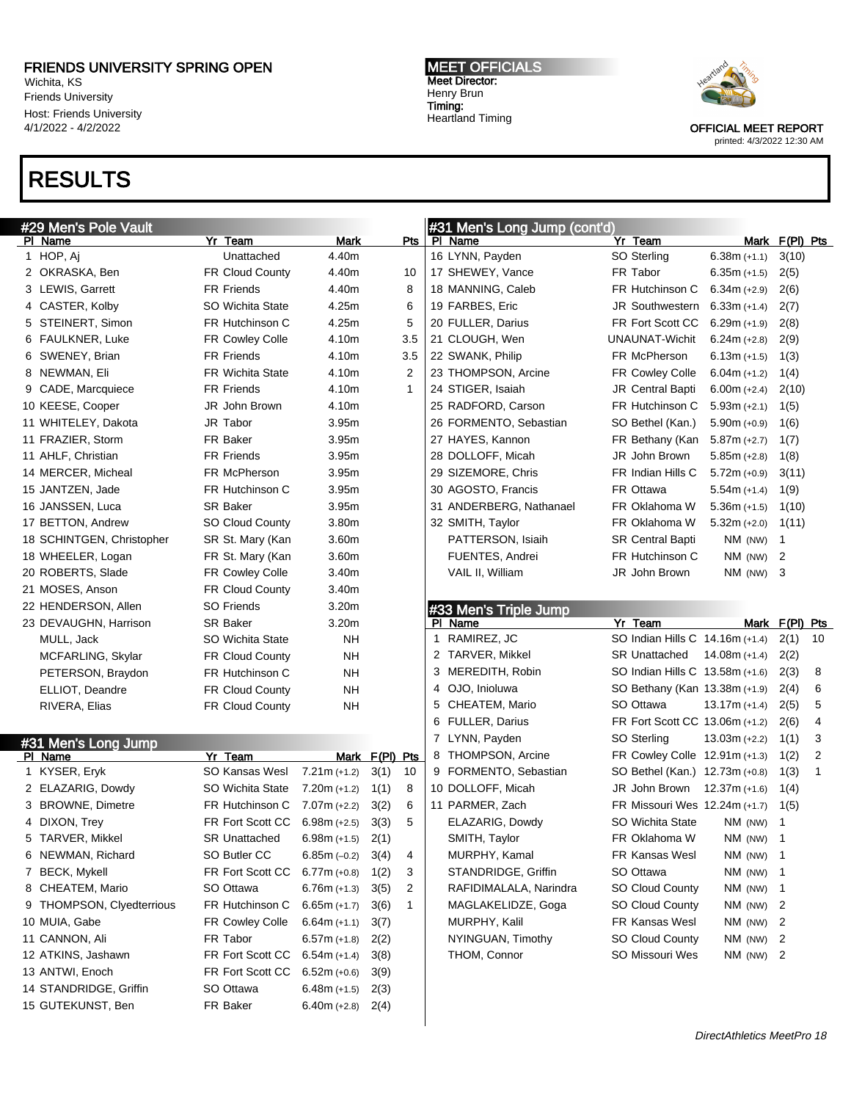Wichita, KS Friends University Host: Friends University 4/1/2022 - 4/2/2022

# RESULTS

#29 Men's Pole Vault

PI Name 1 HOP, Aj MEET OFFICIALS Meet Director: Henry Brun Timing: Heartland Timing

#31 Men's Long Jump (cont'd)



| PI Name                   | Yr Team                 | Mark           |                | Pts          |    | PI Name                 | Yr Team                         | Mark                       | F(PI) Pts      |                |
|---------------------------|-------------------------|----------------|----------------|--------------|----|-------------------------|---------------------------------|----------------------------|----------------|----------------|
| 1 HOP, Aj                 | Unattached              | 4.40m          |                |              |    | 16 LYNN, Payden         | SO Sterling                     | $6.38m (+1.1)$             | 3(10)          |                |
| 2 OKRASKA, Ben            | FR Cloud County         | 4.40m          |                | 10           |    | 17 SHEWEY, Vance        | FR Tabor                        | $6.35m (+1.5)$             | 2(5)           |                |
| 3 LEWIS, Garrett          | <b>FR Friends</b>       | 4.40m          |                | 8            |    | 18 MANNING, Caleb       | FR Hutchinson C                 | $6.34m (+2.9)$             | 2(6)           |                |
| 4 CASTER, Kolby           | SO Wichita State        | 4.25m          |                | 6            |    | 19 FARBES, Eric         | JR Southwestern                 | $6.33m (+1.4)$             | 2(7)           |                |
| 5 STEINERT, Simon         | FR Hutchinson C         | 4.25m          |                | 5            |    | 20 FULLER, Darius       | FR Fort Scott CC                | $6.29m (+1.9)$             | 2(8)           |                |
| 6 FAULKNER, Luke          | FR Cowley Colle         | 4.10m          |                | 3.5          |    | 21 CLOUGH, Wen          | UNAUNAT-Wichit                  | $6.24m (+2.8)$             | 2(9)           |                |
| 6 SWENEY, Brian           | <b>FR Friends</b>       | 4.10m          |                | 3.5          |    | 22 SWANK, Philip        | FR McPherson                    | $6.13m (+1.5)$             | 1(3)           |                |
| 8 NEWMAN, Eli             | <b>FR Wichita State</b> | 4.10m          |                | 2            |    | 23 THOMPSON, Arcine     | FR Cowley Colle                 | $6.04m (+1.2)$             | 1(4)           |                |
| 9 CADE, Marcquiece        | <b>FR Friends</b>       | 4.10m          |                | $\mathbf{1}$ |    | 24 STIGER, Isaiah       | <b>JR Central Bapti</b>         | $6.00m (+2.4)$             | 2(10)          |                |
| 10 KEESE, Cooper          | JR John Brown           | 4.10m          |                |              |    | 25 RADFORD, Carson      | FR Hutchinson C                 | $5.93m (+2.1)$             | 1(5)           |                |
| 11 WHITELEY, Dakota       | JR Tabor                | 3.95m          |                |              |    | 26 FORMENTO, Sebastian  | SO Bethel (Kan.)                | $5.90m (+0.9)$             | 1(6)           |                |
| 11 FRAZIER, Storm         | <b>FR Baker</b>         | 3.95m          |                |              |    | 27 HAYES, Kannon        | FR Bethany (Kan                 | $5.87m (+2.7)$             | 1(7)           |                |
| 11 AHLF, Christian        | <b>FR Friends</b>       | 3.95m          |                |              |    | 28 DOLLOFF, Micah       | JR John Brown                   | $5.85m (+2.8)$             | 1(8)           |                |
| 14 MERCER, Micheal        | FR McPherson            | 3.95m          |                |              |    | 29 SIZEMORE, Chris      | FR Indian Hills C               | $5.72m (+0.9)$             | 3(11)          |                |
| 15 JANTZEN, Jade          | FR Hutchinson C         | 3.95m          |                |              |    | 30 AGOSTO, Francis      | FR Ottawa                       | $5.54m (+1.4)$             | 1(9)           |                |
| 16 JANSSEN, Luca          | SR Baker                | 3.95m          |                |              |    | 31 ANDERBERG, Nathanael | FR Oklahoma W                   | $5.36m (+1.5)$             | 1(10)          |                |
| 17 BETTON, Andrew         | <b>SO Cloud County</b>  | 3.80m          |                |              |    | 32 SMITH, Taylor        | FR Oklahoma W                   | $5.32m (+2.0)$             | 1(11)          |                |
| 18 SCHINTGEN, Christopher | SR St. Mary (Kan        | 3.60m          |                |              |    | PATTERSON, Isiaih       | <b>SR Central Bapti</b>         | NM (NW)                    | $\mathbf{1}$   |                |
| 18 WHEELER, Logan         | FR St. Mary (Kan        | 3.60m          |                |              |    | FUENTES, Andrei         | FR Hutchinson C                 | NM (NW)                    | 2              |                |
| 20 ROBERTS, Slade         | FR Cowley Colle         | 3.40m          |                |              |    | VAIL II, William        | JR John Brown                   | NM (NW)                    | 3              |                |
| 21 MOSES, Anson           | FR Cloud County         | 3.40m          |                |              |    |                         |                                 |                            |                |                |
| 22 HENDERSON, Allen       | <b>SO Friends</b>       | 3.20m          |                |              |    | #33 Men's Triple Jump   |                                 |                            |                |                |
| 23 DEVAUGHN, Harrison     | <b>SR Baker</b>         | 3.20m          |                |              |    | PI Name                 | Yr Team                         |                            | Mark F(PI) Pts |                |
| MULL, Jack                | SO Wichita State        | NΗ             |                |              | 1. | RAMIREZ, JC             | SO Indian Hills C 14.16m (+1.4) |                            | 2(1)           | 10             |
| MCFARLING, Skylar         | <b>FR Cloud County</b>  | NΗ             |                |              | 2  | TARVER, Mikkel          | <b>SR Unattached</b>            | 14.08m (+1.4)              | 2(2)           |                |
| PETERSON, Braydon         | FR Hutchinson C         | NΗ             |                |              | 3  | MEREDITH, Robin         | SO Indian Hills C 13.58m (+1.6) |                            | 2(3)           | 8              |
| ELLIOT, Deandre           | FR Cloud County         | NΗ             |                |              | 4  | OJO, Inioluwa           | SO Bethany (Kan 13.38m (+1.9)   |                            | 2(4)           | 6              |
| RIVERA, Elias             | FR Cloud County         | NΗ             |                |              | 5  | CHEATEM, Mario          | SO Ottawa                       | $13.17m (+1.4)$            | 2(5)           | 5              |
|                           |                         |                |                |              | 6  | <b>FULLER, Darius</b>   | FR Fort Scott CC 13.06m (+1.2)  |                            | 2(6)           | 4              |
| #31 Men's Long Jump       |                         |                |                |              | 7  | LYNN, Payden            | SO Sterling                     | $13.03m (+2.2)$            | 1(1)           | 3              |
| PI Name                   | Yr Team                 |                | Mark F(PI) Pts |              | 8  | THOMPSON, Arcine        | FR Cowley Colle 12.91m (+1.3)   |                            | 1(2)           | $\overline{2}$ |
| 1 KYSER, Eryk             | <b>SO Kansas Wesl</b>   | $7.21m (+1.2)$ | 3(1)           | 10           | 9  | FORMENTO, Sebastian     | SO Bethel (Kan.) 12.73m (+0.8)  |                            | 1(3)           | 1              |
| 2 ELAZARIG, Dowdy         | SO Wichita State        | $7.20m (+1.2)$ | 1(1)           | 8            |    | 10 DOLLOFF, Micah       | JR John Brown                   | $12.37m (+1.6)$            | 1(4)           |                |
| 3 BROWNE, Dimetre         | FR Hutchinson C         | $7.07m (+2.2)$ | 3(2)           | 6            |    | 11 PARMER, Zach         | FR Missouri Wes 12.24m (+1.7)   |                            | 1(5)           |                |
| 4 DIXON, Trey             | FR Fort Scott CC        | $6.98m (+2.5)$ | 3(3)           | 5            |    | ELAZARIG, Dowdy         | SO Wichita State                | NM (NW)                    | 1              |                |
| 5 TARVER, Mikkel          | <b>SR Unattached</b>    | $6.98m (+1.5)$ | 2(1)           |              |    | SMITH, Taylor           | FR Oklahoma W                   | $NM$ (NW)                  | -1             |                |
| 6 NEWMAN, Richard         | SO Butler CC            | $6.85m (-0.2)$ | 3(4)           | 4            |    | MURPHY, Kamal           | <b>FR Kansas Wesl</b>           | NM (NW)                    | -1             |                |
| 7 BECK, Mykell            | FR Fort Scott CC        | $6.77m (+0.8)$ | 1(2)           | 3            |    | STANDRIDGE, Griffin     | SO Ottawa                       | $NM$ (NW) 1                |                |                |
| 8 CHEATEM, Mario          | SO Ottawa               | $6.76m (+1.3)$ | 3(5)           | 2            |    | RAFIDIMALALA, Narindra  | SO Cloud County                 | NM (NW)                    | - 1            |                |
| 9 THOMPSON, Clyedterrious | FR Hutchinson C         | $6.65m (+1.7)$ | 3(6)           | $\mathbf{1}$ |    | MAGLAKELIDZE, Goga      | SO Cloud County                 | NM (NW) $2$                |                |                |
| 10 MUIA, Gabe             | FR Cowley Colle         | $6.64m (+1.1)$ | 3(7)           |              |    | MURPHY, Kalil           | FR Kansas Wesl                  | NM (NW) $2$                |                |                |
| 11 CANNON, Ali            | FR Tabor                | $6.57m (+1.8)$ | 2(2)           |              |    | NYINGUAN, Timothy       | <b>SO Cloud County</b>          | NM (NW) $2$                |                |                |
| 12 ATKINS, Jashawn        | FR Fort Scott CC        | $6.54m (+1.4)$ | 3(8)           |              |    | THOM, Connor            | SO Missouri Wes                 | NM (NW) $2$                |                |                |
| 13 ANTWI, Enoch           | FR Fort Scott CC        | $6.52m (+0.6)$ | 3(9)           |              |    |                         |                                 |                            |                |                |
| 14 STANDRIDGE, Griffin    | SO Ottawa               | $6.48m (+1.5)$ | 2(3)           |              |    |                         |                                 |                            |                |                |
| 15 GUTEKUNST, Ben         | FR Baker                | $6.40m (+2.8)$ | 2(4)           |              |    |                         |                                 |                            |                |                |
|                           |                         |                |                |              |    |                         |                                 |                            |                |                |
|                           |                         |                |                |              |    |                         |                                 | DirectAthletics MeetPro 18 |                |                |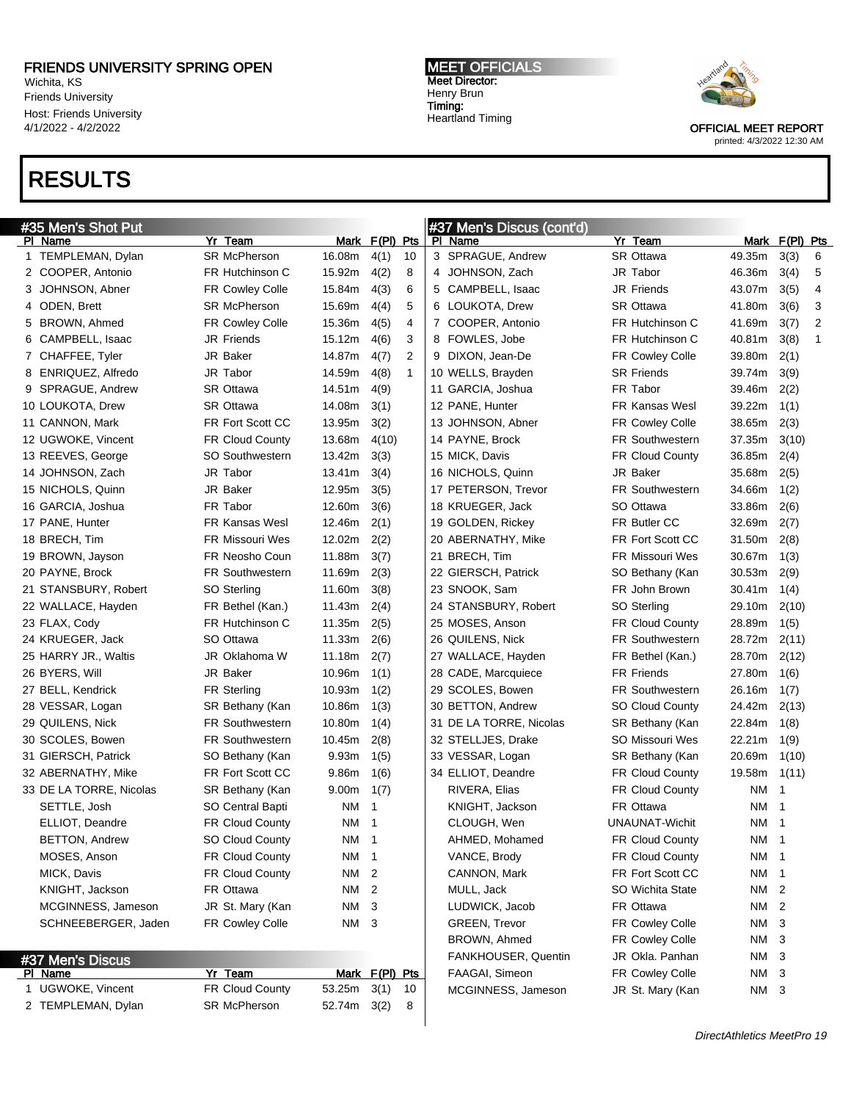Wichita, KS Friends University Host: Friends University 4/1/2022 - 4/2/2022

### RESULTS

#### MEET OFFICIALS Meet Director: Henry Brun Timing: Heartland Timing



OFFICIAL MEET REPORT

|  | printed: 4/3/2022 12:30 AM |  |
|--|----------------------------|--|
|  |                            |  |

| #35 Men's Shot Put |                         |                        |                 |                      |   | #37 Men's Discus (cont'd) |                        |        |                |              |
|--------------------|-------------------------|------------------------|-----------------|----------------------|---|---------------------------|------------------------|--------|----------------|--------------|
|                    | PI Name                 | Yr Team                |                 | Mark F(PI) Pts       |   | PI Name                   | Yr Team                |        | Mark F(PI) Pts |              |
|                    | 1 TEMPLEMAN, Dylan      | <b>SR McPherson</b>    | 16.08m          | 4(1)<br>10           |   | 3 SPRAGUE, Andrew         | <b>SR Ottawa</b>       | 49.35m | 3(3)           | 6            |
|                    | 2 COOPER, Antonio       | FR Hutchinson C        | 15.92m          | 4(2)<br>8            | 4 | JOHNSON, Zach             | JR Tabor               | 46.36m | 3(4)           | 5            |
|                    | 3 JOHNSON, Abner        | FR Cowley Colle        | 15.84m          | 4(3)<br>6            |   | 5 CAMPBELL, Isaac         | <b>JR Friends</b>      | 43.07m | 3(5)           | 4            |
|                    | 4 ODEN, Brett           | <b>SR McPherson</b>    | 15.69m          | 5<br>4(4)            |   | 6 LOUKOTA, Drew           | <b>SR Ottawa</b>       | 41.80m | 3(6)           | 3            |
|                    | 5 BROWN, Ahmed          | <b>FR Cowley Colle</b> | 15.36m          | 4<br>4(5)            |   | 7 COOPER, Antonio         | FR Hutchinson C        | 41.69m | 3(7)           | 2            |
|                    | 6 CAMPBELL, Isaac       | <b>JR Friends</b>      | 15.12m          | 3<br>4(6)            |   | 8 FOWLES, Jobe            | FR Hutchinson C        | 40.81m | 3(8)           | $\mathbf{1}$ |
|                    | 7 CHAFFEE, Tyler        | JR Baker               | 14.87m          | 2<br>4(7)            |   | 9 DIXON, Jean-De          | <b>FR Cowley Colle</b> | 39.80m | 2(1)           |              |
|                    | 8 ENRIQUEZ, Alfredo     | JR Tabor               | 14.59m          | $\mathbf{1}$<br>4(8) |   | 10 WELLS, Brayden         | <b>SR Friends</b>      | 39.74m | 3(9)           |              |
|                    | 9 SPRAGUE, Andrew       | <b>SR Ottawa</b>       | 14.51m          | 4(9)                 |   | 11 GARCIA, Joshua         | FR Tabor               | 39.46m | 2(2)           |              |
|                    | 10 LOUKOTA, Drew        | <b>SR Ottawa</b>       | 14.08m          | 3(1)                 |   | 12 PANE, Hunter           | <b>FR Kansas Wesl</b>  | 39.22m | 1(1)           |              |
|                    | 11 CANNON, Mark         | FR Fort Scott CC       | 13.95m          | 3(2)                 |   | 13 JOHNSON, Abner         | <b>FR Cowley Colle</b> | 38.65m | 2(3)           |              |
|                    | 12 UGWOKE, Vincent      | <b>FR Cloud County</b> | 13.68m          | 4(10)                |   | 14 PAYNE, Brock           | <b>FR Southwestern</b> | 37.35m | 3(10)          |              |
|                    | 13 REEVES, George       | <b>SO Southwestern</b> | 13.42m          | 3(3)                 |   | 15 MICK, Davis            | <b>FR Cloud County</b> | 36.85m | 2(4)           |              |
|                    | 14 JOHNSON, Zach        | JR Tabor               | 13.41m          | 3(4)                 |   | 16 NICHOLS, Quinn         | JR Baker               | 35.68m | 2(5)           |              |
|                    | 15 NICHOLS, Quinn       | JR Baker               | 12.95m          | 3(5)                 |   | 17 PETERSON, Trevor       | <b>FR Southwestern</b> | 34.66m | 1(2)           |              |
|                    | 16 GARCIA, Joshua       | FR Tabor               | 12.60m          | 3(6)                 |   | 18 KRUEGER, Jack          | SO Ottawa              | 33.86m | 2(6)           |              |
|                    | 17 PANE, Hunter         | <b>FR Kansas Wesl</b>  | 12.46m          | 2(1)                 |   | 19 GOLDEN, Rickey         | FR Butler CC           | 32.69m | 2(7)           |              |
|                    | 18 BRECH, Tim           | <b>FR Missouri Wes</b> | 12.02m          | 2(2)                 |   | 20 ABERNATHY, Mike        | FR Fort Scott CC       | 31.50m | 2(8)           |              |
|                    | 19 BROWN, Jayson        | FR Neosho Coun         | 11.88m          | 3(7)                 |   | 21 BRECH, Tim             | <b>FR Missouri Wes</b> | 30.67m | 1(3)           |              |
|                    | 20 PAYNE, Brock         | <b>FR Southwestern</b> | 11.69m          | 2(3)                 |   | 22 GIERSCH, Patrick       | SO Bethany (Kan        | 30.53m | 2(9)           |              |
|                    | 21 STANSBURY, Robert    | SO Sterling            | 11.60m          | 3(8)                 |   | 23 SNOOK, Sam             | FR John Brown          | 30.41m | 1(4)           |              |
|                    | 22 WALLACE, Hayden      | FR Bethel (Kan.)       | 11.43m          | 2(4)                 |   | 24 STANSBURY, Robert      | SO Sterling            | 29.10m | 2(10)          |              |
|                    | 23 FLAX, Cody           | FR Hutchinson C        | 11.35m          | 2(5)                 |   | 25 MOSES, Anson           | <b>FR Cloud County</b> | 28.89m | 1(5)           |              |
|                    | 24 KRUEGER, Jack        | SO Ottawa              | 11.33m          | 2(6)                 |   | 26 QUILENS, Nick          | <b>FR Southwestern</b> | 28.72m | 2(11)          |              |
|                    | 25 HARRY JR., Waltis    | JR Oklahoma W          | 11.18m          | 2(7)                 |   | 27 WALLACE, Hayden        | FR Bethel (Kan.)       | 28.70m | 2(12)          |              |
|                    | 26 BYERS, Will          | JR Baker               | 10.96m          | 1(1)                 |   | 28 CADE, Marcquiece       | <b>FR Friends</b>      | 27.80m | 1(6)           |              |
|                    | 27 BELL, Kendrick       | <b>FR Sterling</b>     | 10.93m          | 1(2)                 |   | 29 SCOLES, Bowen          | <b>FR Southwestern</b> | 26.16m | 1(7)           |              |
|                    | 28 VESSAR, Logan        | SR Bethany (Kan        | 10.86m          | 1(3)                 |   | 30 BETTON, Andrew         | <b>SO Cloud County</b> | 24.42m | 2(13)          |              |
|                    | 29 QUILENS, Nick        | <b>FR Southwestern</b> | 10.80m          | 1(4)                 |   | 31 DE LA TORRE, Nicolas   | SR Bethany (Kan        | 22.84m | 1(8)           |              |
|                    | 30 SCOLES, Bowen        | <b>FR Southwestern</b> | 10.45m          | 2(8)                 |   | 32 STELLJES, Drake        | SO Missouri Wes        | 22.21m | 1(9)           |              |
|                    | 31 GIERSCH, Patrick     | SO Bethany (Kan        | 9.93m           | 1(5)                 |   | 33 VESSAR, Logan          | SR Bethany (Kan        | 20.69m | 1(10)          |              |
|                    | 32 ABERNATHY, Mike      | FR Fort Scott CC       | 9.86m           | 1(6)                 |   | 34 ELLIOT, Deandre        | <b>FR Cloud County</b> | 19.58m | 1(11)          |              |
|                    | 33 DE LA TORRE, Nicolas | SR Bethany (Kan        | 9.00m           | 1(7)                 |   | RIVERA, Elias             | FR Cloud County        | ΝM     | $\mathbf{1}$   |              |
|                    | SETTLE, Josh            | SO Central Bapti       | NM.             | $\overline{1}$       |   | KNIGHT, Jackson           | FR Ottawa              | ΝM     | 1              |              |
|                    | ELLIOT, Deandre         | <b>FR Cloud County</b> | NM 1            |                      |   | CLOUGH, Wen               | <b>UNAUNAT-Wichit</b>  | NM     | $\overline{1}$ |              |
|                    | <b>BETTON, Andrew</b>   | SO Cloud County        | NM 1            |                      |   | AHMED, Mohamed            | FR Cloud County        | NM 1   |                |              |
|                    | MOSES, Anson            | <b>FR Cloud County</b> | NM 1            |                      |   | VANCE, Brody              | FR Cloud County        | NM 1   |                |              |
|                    | MICK, Davis             | FR Cloud County        | NM 2            |                      |   | CANNON, Mark              | FR Fort Scott CC       | NM     | $\overline{1}$ |              |
|                    | KNIGHT, Jackson         | FR Ottawa              | NM 2            |                      |   | MULL, Jack                | SO Wichita State       | NM 2   |                |              |
|                    | MCGINNESS, Jameson      | JR St. Mary (Kan       | NM 3            |                      |   | LUDWICK, Jacob            | FR Ottawa              | NM 2   |                |              |
|                    | SCHNEEBERGER, Jaden     | FR Cowley Colle        | NM 3            |                      |   | <b>GREEN, Trevor</b>      | FR Cowley Colle        | NM 3   |                |              |
|                    |                         |                        |                 |                      |   | BROWN, Ahmed              | FR Cowley Colle        | NM 3   |                |              |
|                    | #37 Men's Discus        |                        |                 |                      |   | FANKHOUSER, Quentin       | JR Okla. Panhan        | NM 3   |                |              |
|                    | PI Name                 | Yr Team                |                 | Mark F(PI) Pts       |   | FAAGAI, Simeon            | FR Cowley Colle        | NM 3   |                |              |
|                    | 1 UGWOKE, Vincent       | FR Cloud County        | $53.25m$ $3(1)$ | 10                   |   | MCGINNESS, Jameson        | JR St. Mary (Kan       | NM 3   |                |              |

 UGWOKE, Vincent FR Cloud County 53.25m 3(1) 10 2 TEMPLEMAN, Dylan SR McPherson 52.74m 3(2) 8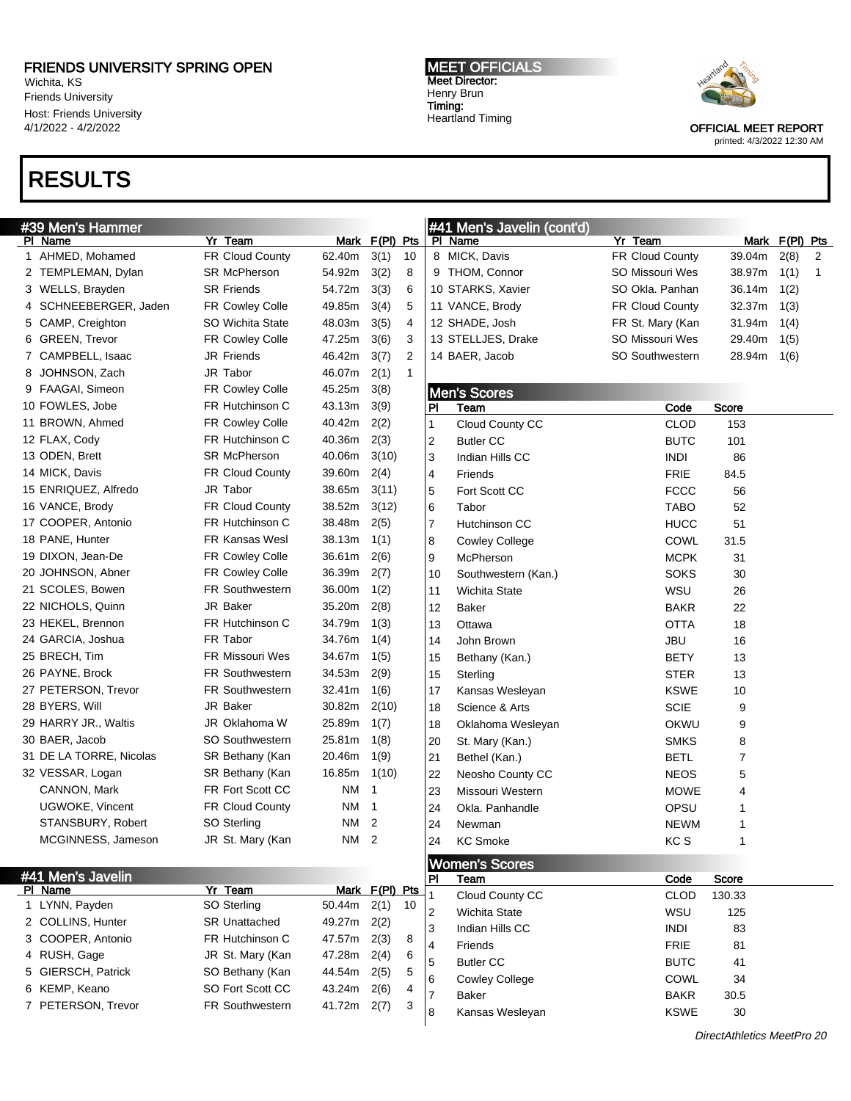Wichita, KS Friends University Host: Friends University 4/1/2022 - 4/2/2022

# RESULTS

MEET OFFICIALS Meet Director: Henry Brun Timing: Heartland Timing



OFFICIAL MEET REPORT

printed: 4/3/2022 12:30 AM

| #39 Men's Hammer |                         |                        |        |                  | #41 Men's Javelin (cont'd) |                         |                               |                        |        |                |              |
|------------------|-------------------------|------------------------|--------|------------------|----------------------------|-------------------------|-------------------------------|------------------------|--------|----------------|--------------|
|                  | PI Name                 | Yr Team                |        | Mark F(PI) Pts   |                            |                         | PI Name                       | Yr Team                |        | Mark F(PI) Pts |              |
|                  | 1 AHMED, Mohamed        | FR Cloud County        | 62.40m | 3(1)             | 10                         |                         | 8 MICK, Davis                 | FR Cloud County        | 39.04m | 2(8)           | 2            |
|                  | 2 TEMPLEMAN, Dylan      | <b>SR McPherson</b>    | 54.92m | 3(2)             | 8                          |                         | 9 THOM, Connor                | SO Missouri Wes        | 38.97m | 1(1)           | $\mathbf{1}$ |
|                  | 3 WELLS, Brayden        | <b>SR Friends</b>      | 54.72m | 3(3)             | 6                          |                         | 10 STARKS, Xavier             | SO Okla, Panhan        | 36.14m | 1(2)           |              |
|                  | 4 SCHNEEBERGER, Jaden   | <b>FR Cowley Colle</b> | 49.85m | 3(4)             | 5                          |                         | 11 VANCE, Brody               | <b>FR Cloud County</b> | 32.37m | 1(3)           |              |
|                  | 5 CAMP, Creighton       | SO Wichita State       | 48.03m | 3(5)             | 4                          |                         | 12 SHADE, Josh                | FR St. Mary (Kan       | 31.94m | 1(4)           |              |
|                  | 6 GREEN, Trevor         | <b>FR Cowley Colle</b> | 47.25m | 3(6)             | 3                          |                         | 13 STELLJES, Drake            | SO Missouri Wes        | 29.40m | 1(5)           |              |
|                  | 7 CAMPBELL, Isaac       | <b>JR Friends</b>      | 46.42m | 3(7)             | 2                          |                         | 14 BAER, Jacob                | <b>SO Southwestern</b> | 28.94m | 1(6)           |              |
| 8                | JOHNSON, Zach           | JR Tabor               | 46.07m | 2(1)             | $\mathbf{1}$               |                         |                               |                        |        |                |              |
|                  | 9 FAAGAI, Simeon        | <b>FR Cowley Colle</b> | 45.25m | 3(8)             |                            |                         | <b>Men's Scores</b>           |                        |        |                |              |
|                  | 10 FOWLES, Jobe         | FR Hutchinson C        | 43.13m | 3(9)             |                            | PI                      | Team                          | Code                   | Score  |                |              |
|                  | 11 BROWN, Ahmed         | FR Cowley Colle        | 40.42m | 2(2)             |                            | 1                       | Cloud County CC               | <b>CLOD</b>            | 153    |                |              |
|                  | 12 FLAX, Cody           | FR Hutchinson C        | 40.36m | 2(3)             |                            | 2                       | <b>Butler CC</b>              | <b>BUTC</b>            | 101    |                |              |
|                  | 13 ODEN, Brett          | <b>SR McPherson</b>    | 40.06m | 3(10)            |                            | 3                       | Indian Hills CC               | <b>INDI</b>            | 86     |                |              |
|                  | 14 MICK, Davis          | FR Cloud County        | 39.60m | 2(4)             |                            | 4                       | Friends                       | <b>FRIE</b>            | 84.5   |                |              |
|                  | 15 ENRIQUEZ, Alfredo    | JR Tabor               | 38.65m | 3(11)            |                            | 5                       | Fort Scott CC                 | <b>FCCC</b>            | 56     |                |              |
|                  | 16 VANCE, Brody         | FR Cloud County        | 38.52m | 3(12)            |                            | 6                       | Tabor                         | <b>TABO</b>            | 52     |                |              |
|                  | 17 COOPER, Antonio      | FR Hutchinson C        | 38.48m | 2(5)             |                            | $\overline{7}$          | Hutchinson CC                 | <b>HUCC</b>            | 51     |                |              |
|                  | 18 PANE, Hunter         | <b>FR Kansas Wesl</b>  | 38.13m | 1(1)             |                            | 8                       | <b>Cowley College</b>         | COWL                   | 31.5   |                |              |
|                  | 19 DIXON, Jean-De       | FR Cowley Colle        | 36.61m | 2(6)             |                            | 9                       | McPherson                     | <b>MCPK</b>            | 31     |                |              |
|                  | 20 JOHNSON, Abner       | FR Cowley Colle        | 36.39m | 2(7)             |                            | 10                      | Southwestern (Kan.)           | <b>SOKS</b>            | 30     |                |              |
|                  | 21 SCOLES, Bowen        | <b>FR Southwestern</b> | 36.00m | 1(2)             |                            | 11                      | <b>Wichita State</b>          | WSU                    | 26     |                |              |
|                  | 22 NICHOLS, Quinn       | JR Baker               | 35.20m | 2(8)             |                            | 12                      | <b>Baker</b>                  | <b>BAKR</b>            | 22     |                |              |
|                  | 23 HEKEL, Brennon       | FR Hutchinson C        | 34.79m | 1(3)             |                            | 13                      | Ottawa                        | <b>OTTA</b>            | 18     |                |              |
|                  | 24 GARCIA, Joshua       | FR Tabor               | 34.76m | 1(4)             |                            | 14                      | John Brown                    | <b>JBU</b>             | 16     |                |              |
|                  | 25 BRECH, Tim           | <b>FR Missouri Wes</b> | 34.67m | 1(5)             |                            | 15                      | Bethany (Kan.)                | BETY                   | 13     |                |              |
|                  | 26 PAYNE, Brock         | <b>FR Southwestern</b> | 34.53m | 2(9)             |                            | 15                      | Sterling                      | <b>STER</b>            | 13     |                |              |
|                  | 27 PETERSON, Trevor     | <b>FR Southwestern</b> | 32.41m | 1(6)             |                            | 17                      | Kansas Wesleyan               | <b>KSWE</b>            | 10     |                |              |
|                  | 28 BYERS, Will          | <b>JR Baker</b>        | 30.82m | 2(10)            |                            | 18                      | Science & Arts                | <b>SCIE</b>            | 9      |                |              |
|                  | 29 HARRY JR., Waltis    | JR Oklahoma W          | 25.89m | 1(7)             |                            | 18                      | Oklahoma Wesleyan             | OKWU                   | 9      |                |              |
|                  | 30 BAER, Jacob          | <b>SO Southwestern</b> | 25.81m | 1(8)             |                            | 20                      | St. Mary (Kan.)               | <b>SMKS</b>            | 8      |                |              |
|                  | 31 DE LA TORRE, Nicolas | SR Bethany (Kan        | 20.46m | 1(9)             |                            | 21                      | Bethel (Kan.)                 | BETL                   | 7      |                |              |
|                  | 32 VESSAR, Logan        | SR Bethany (Kan        | 16.85m | 1(10)            |                            | 22                      | Neosho County CC              | <b>NEOS</b>            | 5      |                |              |
|                  | CANNON, Mark            | FR Fort Scott CC       | NM     | -1               |                            | 23                      | Missouri Western              | <b>MOWE</b>            | 4      |                |              |
|                  | UGWOKE, Vincent         | FR Cloud County        | NM     | -1               |                            | 24                      | Okla. Panhandle               | OPSU                   | 1      |                |              |
|                  | STANSBURY, Robert       | SO Sterling            | NM 2   |                  |                            | 24                      | Newman                        | <b>NEWM</b>            | 1      |                |              |
|                  | MCGINNESS, Jameson      | JR St. Mary (Kan       | NM 2   |                  |                            | 24                      | <b>KC Smoke</b>               | KC <sub>S</sub>        | 1      |                |              |
|                  |                         |                        |        |                  |                            |                         |                               |                        |        |                |              |
|                  | #41 Men's Javelin       |                        |        |                  |                            | PI                      | <b>Women's Scores</b><br>Team | Code                   | Score  |                |              |
|                  | PI Name                 | Yr Team                |        | Mark $F(PI)$ Pts |                            | 1                       | Cloud County CC               | <b>CLOD</b>            | 130.33 |                |              |
|                  | 1 LYNN, Payden          | SO Sterling            | 50.44m | 2(1)             | 10                         | $\overline{\mathbf{c}}$ | <b>Wichita State</b>          | WSU                    | 125    |                |              |
|                  | 2 COLLINS, Hunter       | <b>SR Unattached</b>   | 49.27m | 2(2)             |                            | 3                       | Indian Hills CC               | <b>INDI</b>            | 83     |                |              |
|                  | 3 COOPER, Antonio       | FR Hutchinson C        | 47.57m | 2(3)             | 8                          | 4                       | Friends                       | <b>FRIE</b>            | 81     |                |              |
|                  | 4 RUSH, Gage            | JR St. Mary (Kan       | 47.28m | 2(4)             | 6                          | 5                       | <b>Butler CC</b>              | <b>BUTC</b>            | 41     |                |              |
|                  | 5 GIERSCH, Patrick      | SO Bethany (Kan        | 44.54m | 2(5)             | 5                          | 6                       | <b>Cowley College</b>         | COWL                   | 34     |                |              |
|                  | 6 KEMP, Keano           | SO Fort Scott CC       | 43.24m | 2(6)             | 4                          | 7                       | Baker                         | <b>BAKR</b>            | 30.5   |                |              |
|                  | 7 PETERSON, Trevor      | <b>FR Southwestern</b> | 41.72m | 2(7)             | 3                          | 8                       | Kansas Wesleyan               | <b>KSWE</b>            | 30     |                |              |
|                  |                         |                        |        |                  |                            |                         |                               |                        |        |                |              |